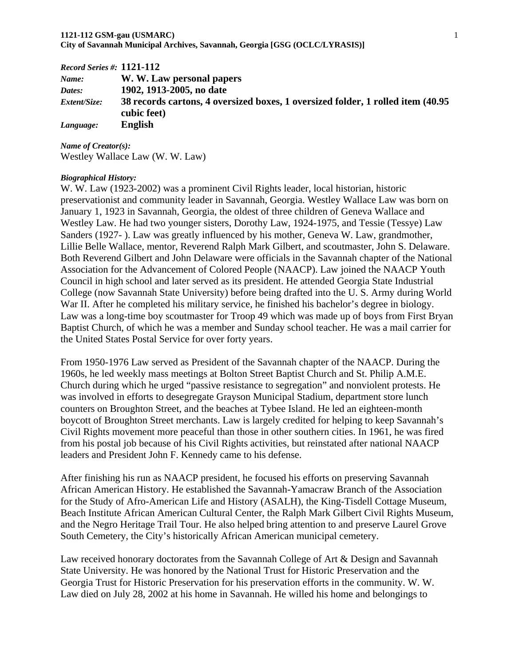### **1121-112 GSM-gau (USMARC)** 1 **City of Savannah Municipal Archives, Savannah, Georgia [GSG (OCLC/LYRASIS)]**

| $Record$ Series #: $1121-112$ |                                                                                  |
|-------------------------------|----------------------------------------------------------------------------------|
| Name:                         | W. W. Law personal papers                                                        |
| Dates:                        | 1902, 1913-2005, no date                                                         |
| <i>Extent/Size:</i>           | 38 records cartons, 4 oversized boxes, 1 oversized folder, 1 rolled item (40.95) |
|                               | cubic feet)                                                                      |
| Language:                     | <b>English</b>                                                                   |

*Name of Creator(s):*  Westley Wallace Law (W. W. Law)

### *Biographical History:*

W. W. Law (1923-2002) was a prominent Civil Rights leader, local historian, historic preservationist and community leader in Savannah, Georgia. Westley Wallace Law was born on January 1, 1923 in Savannah, Georgia, the oldest of three children of Geneva Wallace and Westley Law. He had two younger sisters, Dorothy Law, 1924-1975, and Tessie (Tessye) Law Sanders (1927- ). Law was greatly influenced by his mother, Geneva W. Law, grandmother, Lillie Belle Wallace, mentor, Reverend Ralph Mark Gilbert, and scoutmaster, John S. Delaware. Both Reverend Gilbert and John Delaware were officials in the Savannah chapter of the National Association for the Advancement of Colored People (NAACP). Law joined the NAACP Youth Council in high school and later served as its president. He attended Georgia State Industrial College (now Savannah State University) before being drafted into the U. S. Army during World War II. After he completed his military service, he finished his bachelor's degree in biology. Law was a long-time boy scoutmaster for Troop 49 which was made up of boys from First Bryan Baptist Church, of which he was a member and Sunday school teacher. He was a mail carrier for the United States Postal Service for over forty years.

From 1950-1976 Law served as President of the Savannah chapter of the NAACP. During the 1960s, he led weekly mass meetings at Bolton Street Baptist Church and St. Philip A.M.E. Church during which he urged "passive resistance to segregation" and nonviolent protests. He was involved in efforts to desegregate Grayson Municipal Stadium, department store lunch counters on Broughton Street, and the beaches at Tybee Island. He led an eighteen-month boycott of Broughton Street merchants. Law is largely credited for helping to keep Savannah's Civil Rights movement more peaceful than those in other southern cities. In 1961, he was fired from his postal job because of his Civil Rights activities, but reinstated after national NAACP leaders and President John F. Kennedy came to his defense.

After finishing his run as NAACP president, he focused his efforts on preserving Savannah African American History. He established the Savannah-Yamacraw Branch of the Association for the Study of Afro-American Life and History (ASALH), the King-Tisdell Cottage Museum, Beach Institute African American Cultural Center, the Ralph Mark Gilbert Civil Rights Museum, and the Negro Heritage Trail Tour. He also helped bring attention to and preserve Laurel Grove South Cemetery, the City's historically African American municipal cemetery.

Law received honorary doctorates from the Savannah College of Art & Design and Savannah State University. He was honored by the National Trust for Historic Preservation and the Georgia Trust for Historic Preservation for his preservation efforts in the community. W. W. Law died on July 28, 2002 at his home in Savannah. He willed his home and belongings to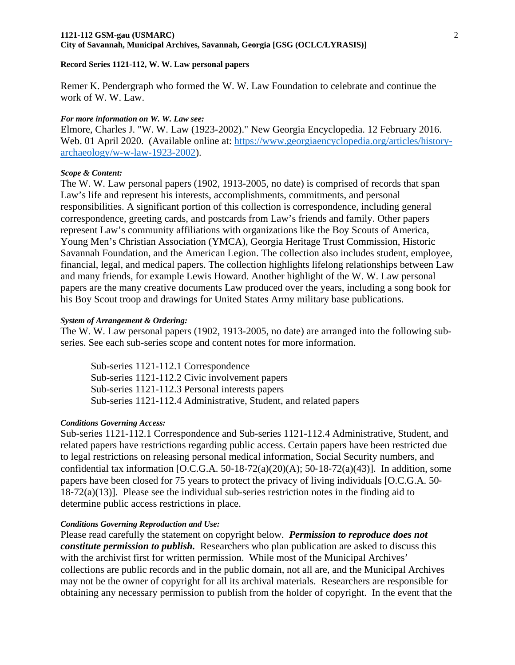Remer K. Pendergraph who formed the W. W. Law Foundation to celebrate and continue the work of W. W. Law.

#### *For more information on W. W. Law see:*

Elmore, Charles J. "W. W. Law (1923-2002)." New Georgia Encyclopedia. 12 February 2016. Web. 01 April 2020. (Available online at: https://www.georgiaencyclopedia.org/articles/historyarchaeology/w-w-law-1923-2002).

### *Scope & Content:*

The W. W. Law personal papers (1902, 1913-2005, no date) is comprised of records that span Law's life and represent his interests, accomplishments, commitments, and personal responsibilities. A significant portion of this collection is correspondence, including general correspondence, greeting cards, and postcards from Law's friends and family. Other papers represent Law's community affiliations with organizations like the Boy Scouts of America, Young Men's Christian Association (YMCA), Georgia Heritage Trust Commission, Historic Savannah Foundation, and the American Legion. The collection also includes student, employee, financial, legal, and medical papers. The collection highlights lifelong relationships between Law and many friends, for example Lewis Howard. Another highlight of the W. W. Law personal papers are the many creative documents Law produced over the years, including a song book for his Boy Scout troop and drawings for United States Army military base publications.

#### *System of Arrangement & Ordering:*

The W. W. Law personal papers (1902, 1913-2005, no date) are arranged into the following subseries. See each sub-series scope and content notes for more information.

Sub-series 1121-112.1 Correspondence Sub-series 1121-112.2 Civic involvement papers Sub-series 1121-112.3 Personal interests papers Sub-series 1121-112.4 Administrative, Student, and related papers

### *Conditions Governing Access:*

Sub-series 1121-112.1 Correspondence and Sub-series 1121-112.4 Administrative, Student, and related papers have restrictions regarding public access. Certain papers have been restricted due to legal restrictions on releasing personal medical information, Social Security numbers, and confidential tax information  $[O.C.G.A. 50-18-72(a)(20)(A); 50-18-72(a)(43)]$ . In addition, some papers have been closed for 75 years to protect the privacy of living individuals [O.C.G.A. 50‐  $18-72(a)(13)$ ]. Please see the individual sub-series restriction notes in the finding aid to determine public access restrictions in place.

### *Conditions Governing Reproduction and Use:*

Please read carefully the statement on copyright below. *Permission to reproduce does not constitute permission to publish.* Researchers who plan publication are asked to discuss this with the archivist first for written permission. While most of the Municipal Archives' collections are public records and in the public domain, not all are, and the Municipal Archives may not be the owner of copyright for all its archival materials. Researchers are responsible for obtaining any necessary permission to publish from the holder of copyright. In the event that the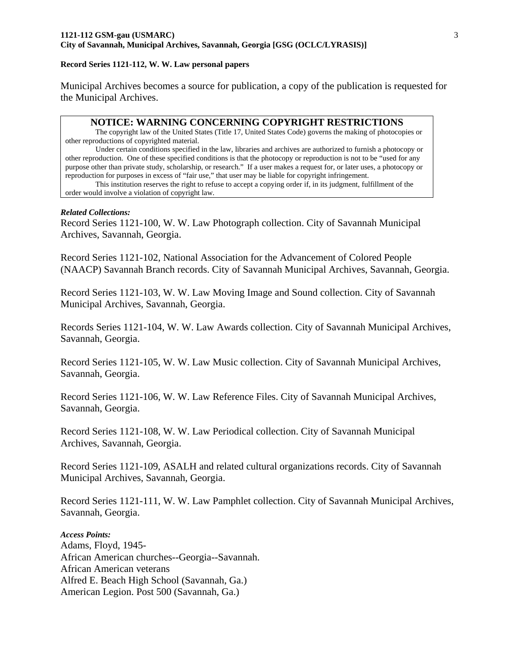Municipal Archives becomes a source for publication, a copy of the publication is requested for the Municipal Archives.

### **NOTICE: WARNING CONCERNING COPYRIGHT RESTRICTIONS**

The copyright law of the United States (Title 17, United States Code) governs the making of photocopies or other reproductions of copyrighted material.

Under certain conditions specified in the law, libraries and archives are authorized to furnish a photocopy or other reproduction. One of these specified conditions is that the photocopy or reproduction is not to be "used for any purpose other than private study, scholarship, or research." If a user makes a request for, or later uses, a photocopy or reproduction for purposes in excess of "fair use," that user may be liable for copyright infringement.

This institution reserves the right to refuse to accept a copying order if, in its judgment, fulfillment of the order would involve a violation of copyright law.

### *Related Collections:*

Record Series 1121-100, W. W. Law Photograph collection. City of Savannah Municipal Archives, Savannah, Georgia.

Record Series 1121-102, National Association for the Advancement of Colored People (NAACP) Savannah Branch records. City of Savannah Municipal Archives, Savannah, Georgia.

Record Series 1121-103, W. W. Law Moving Image and Sound collection. City of Savannah Municipal Archives, Savannah, Georgia.

Records Series 1121-104, W. W. Law Awards collection. City of Savannah Municipal Archives, Savannah, Georgia.

Record Series 1121-105, W. W. Law Music collection. City of Savannah Municipal Archives, Savannah, Georgia.

Record Series 1121-106, W. W. Law Reference Files. City of Savannah Municipal Archives, Savannah, Georgia.

Record Series 1121-108, W. W. Law Periodical collection. City of Savannah Municipal Archives, Savannah, Georgia.

Record Series 1121-109, ASALH and related cultural organizations records. City of Savannah Municipal Archives, Savannah, Georgia.

Record Series 1121-111, W. W. Law Pamphlet collection. City of Savannah Municipal Archives, Savannah, Georgia.

*Access Points:*  Adams, Floyd, 1945- African American churches--Georgia--Savannah. African American veterans Alfred E. Beach High School (Savannah, Ga.) American Legion. Post 500 (Savannah, Ga.)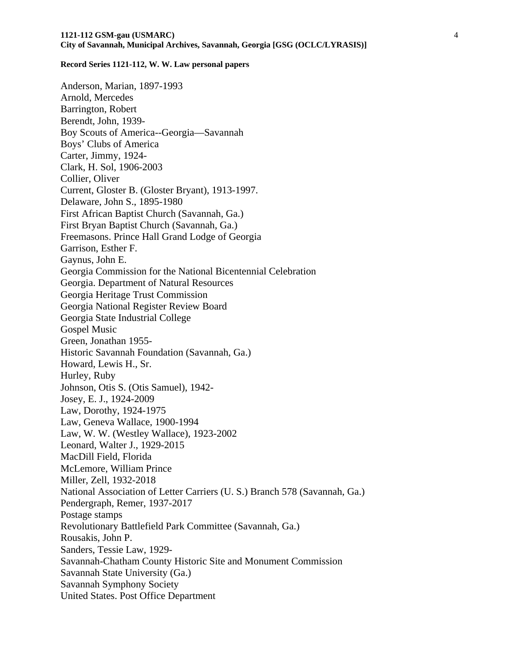Anderson, Marian, 1897-1993 Arnold, Mercedes Barrington, Robert Berendt, John, 1939- Boy Scouts of America--Georgia—Savannah Boys' Clubs of America Carter, Jimmy, 1924- Clark, H. Sol, 1906-2003 Collier, Oliver Current, Gloster B. (Gloster Bryant), 1913-1997. Delaware, John S., 1895-1980 First African Baptist Church (Savannah, Ga.) First Bryan Baptist Church (Savannah, Ga.) Freemasons. Prince Hall Grand Lodge of Georgia Garrison, Esther F. Gaynus, John E. Georgia Commission for the National Bicentennial Celebration Georgia. Department of Natural Resources Georgia Heritage Trust Commission Georgia National Register Review Board Georgia State Industrial College Gospel Music Green, Jonathan 1955- Historic Savannah Foundation (Savannah, Ga.) Howard, Lewis H., Sr. Hurley, Ruby Johnson, Otis S. (Otis Samuel), 1942- Josey, E. J., 1924-2009 Law, Dorothy, 1924-1975 Law, Geneva Wallace, 1900-1994 Law, W. W. (Westley Wallace), 1923-2002 Leonard, Walter J., 1929-2015 MacDill Field, Florida McLemore, William Prince Miller, Zell, 1932-2018 National Association of Letter Carriers (U. S.) Branch 578 (Savannah, Ga.) Pendergraph, Remer, 1937-2017 Postage stamps Revolutionary Battlefield Park Committee (Savannah, Ga.) Rousakis, John P. Sanders, Tessie Law, 1929- Savannah-Chatham County Historic Site and Monument Commission Savannah State University (Ga.) Savannah Symphony Society United States. Post Office Department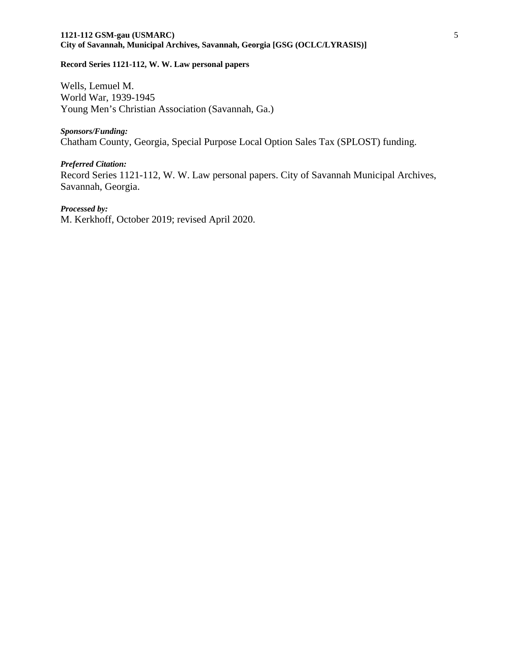### **1121-112 GSM-gau (USMARC)** 5 **City of Savannah, Municipal Archives, Savannah, Georgia [GSG (OCLC/LYRASIS)]**

### **Record Series 1121-112, W. W. Law personal papers**

Wells, Lemuel M. World War, 1939-1945 Young Men's Christian Association (Savannah, Ga.)

*Sponsors/Funding:*  Chatham County, Georgia, Special Purpose Local Option Sales Tax (SPLOST) funding.

*Preferred Citation:*  Record Series 1121-112, W. W. Law personal papers. City of Savannah Municipal Archives, Savannah, Georgia.

*Processed by:* M. Kerkhoff, October 2019; revised April 2020.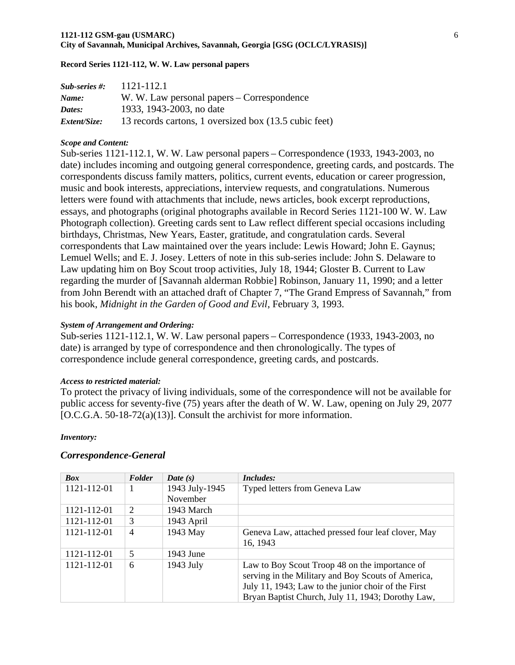| $Sub-series$ #: | 1121-112.1                                            |
|-----------------|-------------------------------------------------------|
| Name:           | W. W. Law personal papers – Correspondence            |
| Dates:          | 1933, 1943-2003, no date                              |
| Extent/Size:    | 13 records cartons, 1 oversized box (13.5 cubic feet) |

### *Scope and Content:*

Sub-series 1121-112.1, W. W. Law personal papers – Correspondence (1933, 1943-2003, no date) includes incoming and outgoing general correspondence, greeting cards, and postcards. The correspondents discuss family matters, politics, current events, education or career progression, music and book interests, appreciations, interview requests, and congratulations. Numerous letters were found with attachments that include, news articles, book excerpt reproductions, essays, and photographs (original photographs available in Record Series 1121-100 W. W. Law Photograph collection). Greeting cards sent to Law reflect different special occasions including birthdays, Christmas, New Years, Easter, gratitude, and congratulation cards. Several correspondents that Law maintained over the years include: Lewis Howard; John E. Gaynus; Lemuel Wells; and E. J. Josey. Letters of note in this sub-series include: John S. Delaware to Law updating him on Boy Scout troop activities, July 18, 1944; Gloster B. Current to Law regarding the murder of [Savannah alderman Robbie] Robinson, January 11, 1990; and a letter from John Berendt with an attached draft of Chapter 7, "The Grand Empress of Savannah," from his book, *Midnight in the Garden of Good and Evil*, February 3, 1993.

### *System of Arrangement and Ordering:*

Sub-series 1121-112.1, W. W. Law personal papers – Correspondence (1933, 1943-2003, no date) is arranged by type of correspondence and then chronologically. The types of correspondence include general correspondence, greeting cards, and postcards.

### *Access to restricted material:*

To protect the privacy of living individuals, some of the correspondence will not be available for public access for seventy-five (75) years after the death of W. W. Law, opening on July 29, 2077 [O.C.G.A. 50-18-72(a)(13)]. Consult the archivist for more information.

### *Inventory:*

### *Correspondence-General*

| <b>Box</b>  | Folder         | Date $(s)$     | <i>Includes:</i>                                    |
|-------------|----------------|----------------|-----------------------------------------------------|
| 1121-112-01 | 1              | 1943 July-1945 | Typed letters from Geneva Law                       |
|             |                | November       |                                                     |
| 1121-112-01 | 2              | 1943 March     |                                                     |
| 1121-112-01 | 3              | 1943 April     |                                                     |
| 1121-112-01 | $\overline{4}$ | 1943 May       | Geneva Law, attached pressed four leaf clover, May  |
|             |                |                | 16, 1943                                            |
| 1121-112-01 | 5              | 1943 June      |                                                     |
| 1121-112-01 | 6              | 1943 July      | Law to Boy Scout Troop 48 on the importance of      |
|             |                |                | serving in the Military and Boy Scouts of America,  |
|             |                |                | July 11, 1943; Law to the junior choir of the First |
|             |                |                | Bryan Baptist Church, July 11, 1943; Dorothy Law,   |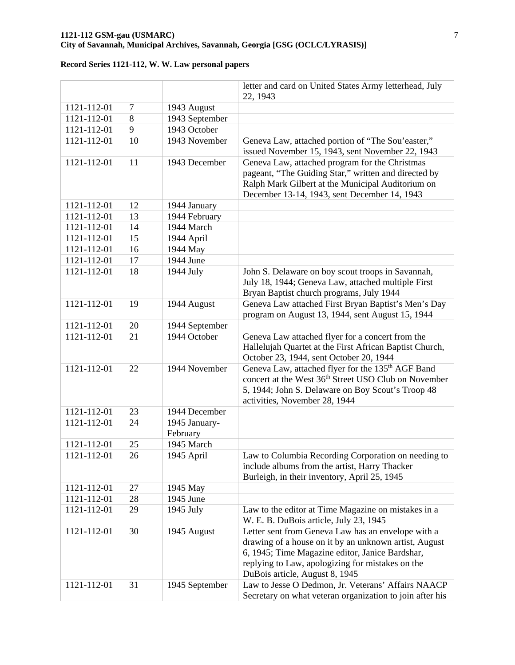### **1121-112 GSM-gau (USMARC)** 7 **City of Savannah, Municipal Archives, Savannah, Georgia [GSG (OCLC/LYRASIS)]**

|             |                |                | letter and card on United States Army letterhead, July<br>22, 1943                                                                                                                                                                                   |
|-------------|----------------|----------------|------------------------------------------------------------------------------------------------------------------------------------------------------------------------------------------------------------------------------------------------------|
| 1121-112-01 | $\overline{7}$ | 1943 August    |                                                                                                                                                                                                                                                      |
| 1121-112-01 | 8              | 1943 September |                                                                                                                                                                                                                                                      |
| 1121-112-01 | 9              | 1943 October   |                                                                                                                                                                                                                                                      |
| 1121-112-01 | 10             | 1943 November  | Geneva Law, attached portion of "The Sou'easter,"                                                                                                                                                                                                    |
|             |                |                | issued November 15, 1943, sent November 22, 1943                                                                                                                                                                                                     |
| 1121-112-01 | 11             | 1943 December  | Geneva Law, attached program for the Christmas<br>pageant, "The Guiding Star," written and directed by<br>Ralph Mark Gilbert at the Municipal Auditorium on<br>December 13-14, 1943, sent December 14, 1943                                          |
| 1121-112-01 | 12             | 1944 January   |                                                                                                                                                                                                                                                      |
| 1121-112-01 | 13             | 1944 February  |                                                                                                                                                                                                                                                      |
| 1121-112-01 | 14             | 1944 March     |                                                                                                                                                                                                                                                      |
| 1121-112-01 | 15             | 1944 April     |                                                                                                                                                                                                                                                      |
| 1121-112-01 | 16             | 1944 May       |                                                                                                                                                                                                                                                      |
| 1121-112-01 | 17             | 1944 June      |                                                                                                                                                                                                                                                      |
| 1121-112-01 | 18             | 1944 July      | John S. Delaware on boy scout troops in Savannah,<br>July 18, 1944; Geneva Law, attached multiple First<br>Bryan Baptist church programs, July 1944                                                                                                  |
| 1121-112-01 | 19             | 1944 August    | Geneva Law attached First Bryan Baptist's Men's Day<br>program on August 13, 1944, sent August 15, 1944                                                                                                                                              |
| 1121-112-01 | 20             | 1944 September |                                                                                                                                                                                                                                                      |
| 1121-112-01 | 21             | 1944 October   | Geneva Law attached flyer for a concert from the<br>Hallelujah Quartet at the First African Baptist Church,<br>October 23, 1944, sent October 20, 1944                                                                                               |
| 1121-112-01 | 22             | 1944 November  | Geneva Law, attached flyer for the 135 <sup>th</sup> AGF Band<br>concert at the West 36 <sup>th</sup> Street USO Club on November<br>5, 1944; John S. Delaware on Boy Scout's Troop 48<br>activities, November 28, 1944                              |
| 1121-112-01 | 23             | 1944 December  |                                                                                                                                                                                                                                                      |
| 1121-112-01 | 24             | 1945 January-  |                                                                                                                                                                                                                                                      |
|             |                | February       |                                                                                                                                                                                                                                                      |
| 1121-112-01 | 25             | 1945 March     |                                                                                                                                                                                                                                                      |
| 1121-112-01 | 26             | 1945 April     | Law to Columbia Recording Corporation on needing to<br>include albums from the artist, Harry Thacker<br>Burleigh, in their inventory, April 25, 1945                                                                                                 |
| 1121-112-01 | 27             | 1945 May       |                                                                                                                                                                                                                                                      |
| 1121-112-01 | 28             | 1945 June      |                                                                                                                                                                                                                                                      |
| 1121-112-01 | 29             | 1945 July      | Law to the editor at Time Magazine on mistakes in a<br>W. E. B. DuBois article, July 23, 1945                                                                                                                                                        |
| 1121-112-01 | 30             | 1945 August    | Letter sent from Geneva Law has an envelope with a<br>drawing of a house on it by an unknown artist, August<br>6, 1945; Time Magazine editor, Janice Bardshar,<br>replying to Law, apologizing for mistakes on the<br>DuBois article, August 8, 1945 |
| 1121-112-01 | 31             | 1945 September | Law to Jesse O Dedmon, Jr. Veterans' Affairs NAACP<br>Secretary on what veteran organization to join after his                                                                                                                                       |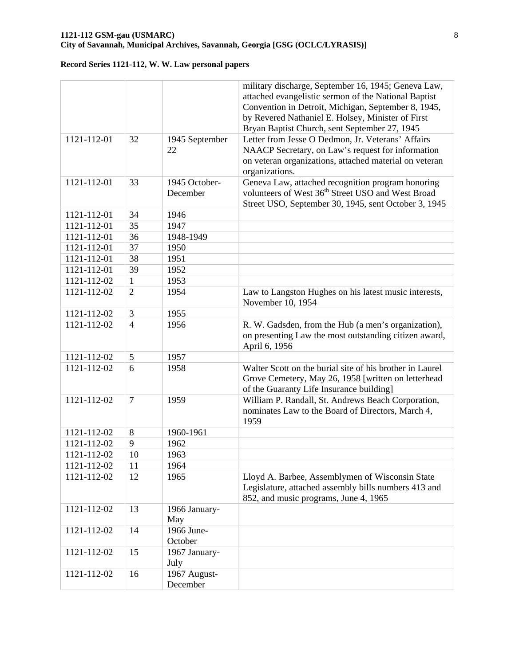|                   |                |                           | military discharge, September 16, 1945; Geneva Law,<br>attached evangelistic sermon of the National Baptist<br>Convention in Detroit, Michigan, September 8, 1945,<br>by Revered Nathaniel E. Holsey, Minister of First<br>Bryan Baptist Church, sent September 27, 1945 |
|-------------------|----------------|---------------------------|--------------------------------------------------------------------------------------------------------------------------------------------------------------------------------------------------------------------------------------------------------------------------|
| 1121-112-01       | 32             | 1945 September<br>22      | Letter from Jesse O Dedmon, Jr. Veterans' Affairs<br>NAACP Secretary, on Law's request for information<br>on veteran organizations, attached material on veteran<br>organizations.                                                                                       |
| 1121-112-01       | 33             | 1945 October-<br>December | Geneva Law, attached recognition program honoring<br>volunteers of West 36 <sup>th</sup> Street USO and West Broad<br>Street USO, September 30, 1945, sent October 3, 1945                                                                                               |
| 1121-112-01       | 34             | 1946                      |                                                                                                                                                                                                                                                                          |
| 1121-112-01       | 35             | 1947                      |                                                                                                                                                                                                                                                                          |
| 1121-112-01       | 36             | 1948-1949                 |                                                                                                                                                                                                                                                                          |
| 1121-112-01       | 37             | 1950                      |                                                                                                                                                                                                                                                                          |
| 1121-112-01       | 38             | 1951                      |                                                                                                                                                                                                                                                                          |
| 1121-112-01       | 39             | 1952                      |                                                                                                                                                                                                                                                                          |
| 1121-112-02       | $\mathbf{1}$   | 1953                      |                                                                                                                                                                                                                                                                          |
| 1121-112-02       | $\overline{2}$ | 1954                      | Law to Langston Hughes on his latest music interests,<br>November 10, 1954                                                                                                                                                                                               |
| 1121-112-02       | 3              | 1955                      |                                                                                                                                                                                                                                                                          |
| 1121-112-02       | $\overline{4}$ | 1956                      | R. W. Gadsden, from the Hub (a men's organization),<br>on presenting Law the most outstanding citizen award,<br>April 6, 1956                                                                                                                                            |
| $1121 - 112 - 02$ | 5              | 1957                      |                                                                                                                                                                                                                                                                          |
| 1121-112-02       | 6              | 1958                      | Walter Scott on the burial site of his brother in Laurel<br>Grove Cemetery, May 26, 1958 [written on letterhead<br>of the Guaranty Life Insurance building]                                                                                                              |
| 1121-112-02       | $\tau$         | 1959                      | William P. Randall, St. Andrews Beach Corporation,<br>nominates Law to the Board of Directors, March 4,<br>1959                                                                                                                                                          |
| 1121-112-02       | 8              | 1960-1961                 |                                                                                                                                                                                                                                                                          |
| 1121-112-02       | 9              | 1962                      |                                                                                                                                                                                                                                                                          |
| 1121-112-02       | $10\,$         | 1963                      |                                                                                                                                                                                                                                                                          |
| 1121-112-02       | 11             | 1964                      |                                                                                                                                                                                                                                                                          |
| 1121-112-02       | 12             | 1965                      | Lloyd A. Barbee, Assemblymen of Wisconsin State<br>Legislature, attached assembly bills numbers 413 and<br>852, and music programs, June 4, 1965                                                                                                                         |
| 1121-112-02       | 13             | 1966 January-<br>May      |                                                                                                                                                                                                                                                                          |
| 1121-112-02       | 14             | 1966 June-<br>October     |                                                                                                                                                                                                                                                                          |
| 1121-112-02       | 15             | 1967 January-<br>July     |                                                                                                                                                                                                                                                                          |
| 1121-112-02       | 16             | 1967 August-<br>December  |                                                                                                                                                                                                                                                                          |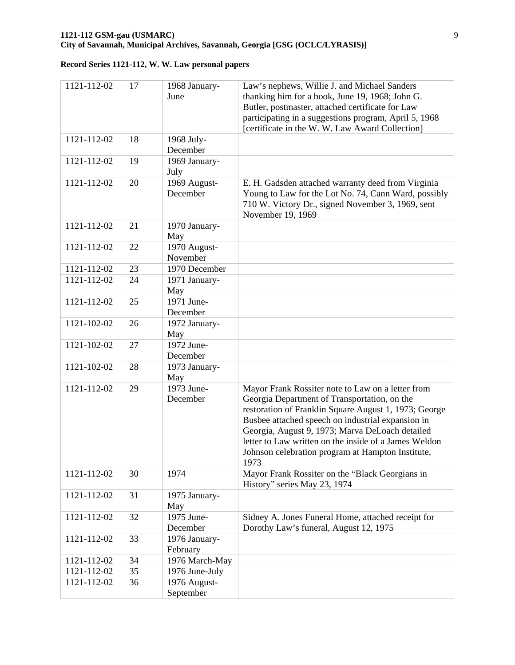| 1121-112-02 | 17 | 1968 January-<br>June     | Law's nephews, Willie J. and Michael Sanders<br>thanking him for a book, June 19, 1968; John G.<br>Butler, postmaster, attached certificate for Law<br>participating in a suggestions program, April 5, 1968<br>[certificate in the W. W. Law Award Collection]                                                                                                                          |
|-------------|----|---------------------------|------------------------------------------------------------------------------------------------------------------------------------------------------------------------------------------------------------------------------------------------------------------------------------------------------------------------------------------------------------------------------------------|
| 1121-112-02 | 18 | 1968 July-<br>December    |                                                                                                                                                                                                                                                                                                                                                                                          |
| 1121-112-02 | 19 | 1969 January-<br>July     |                                                                                                                                                                                                                                                                                                                                                                                          |
| 1121-112-02 | 20 | 1969 August-<br>December  | E. H. Gadsden attached warranty deed from Virginia<br>Young to Law for the Lot No. 74, Cann Ward, possibly<br>710 W. Victory Dr., signed November 3, 1969, sent<br>November 19, 1969                                                                                                                                                                                                     |
| 1121-112-02 | 21 | 1970 January-<br>May      |                                                                                                                                                                                                                                                                                                                                                                                          |
| 1121-112-02 | 22 | 1970 August-<br>November  |                                                                                                                                                                                                                                                                                                                                                                                          |
| 1121-112-02 | 23 | 1970 December             |                                                                                                                                                                                                                                                                                                                                                                                          |
| 1121-112-02 | 24 | 1971 January-<br>May      |                                                                                                                                                                                                                                                                                                                                                                                          |
| 1121-112-02 | 25 | 1971 June-<br>December    |                                                                                                                                                                                                                                                                                                                                                                                          |
| 1121-102-02 | 26 | 1972 January-<br>May      |                                                                                                                                                                                                                                                                                                                                                                                          |
| 1121-102-02 | 27 | 1972 June-<br>December    |                                                                                                                                                                                                                                                                                                                                                                                          |
| 1121-102-02 | 28 | 1973 January-<br>May      |                                                                                                                                                                                                                                                                                                                                                                                          |
| 1121-112-02 | 29 | 1973 June-<br>December    | Mayor Frank Rossiter note to Law on a letter from<br>Georgia Department of Transportation, on the<br>restoration of Franklin Square August 1, 1973; George<br>Busbee attached speech on industrial expansion in<br>Georgia, August 9, 1973; Marva DeLoach detailed<br>letter to Law written on the inside of a James Weldon<br>Johnson celebration program at Hampton Institute.<br>1973 |
| 1121-112-02 | 30 | 1974                      | Mayor Frank Rossiter on the "Black Georgians in<br>History" series May 23, 1974                                                                                                                                                                                                                                                                                                          |
| 1121-112-02 | 31 | 1975 January-<br>May      |                                                                                                                                                                                                                                                                                                                                                                                          |
| 1121-112-02 | 32 | 1975 June-<br>December    | Sidney A. Jones Funeral Home, attached receipt for<br>Dorothy Law's funeral, August 12, 1975                                                                                                                                                                                                                                                                                             |
| 1121-112-02 | 33 | 1976 January-<br>February |                                                                                                                                                                                                                                                                                                                                                                                          |
| 1121-112-02 | 34 | 1976 March-May            |                                                                                                                                                                                                                                                                                                                                                                                          |
| 1121-112-02 | 35 | 1976 June-July            |                                                                                                                                                                                                                                                                                                                                                                                          |
| 1121-112-02 | 36 | 1976 August-<br>September |                                                                                                                                                                                                                                                                                                                                                                                          |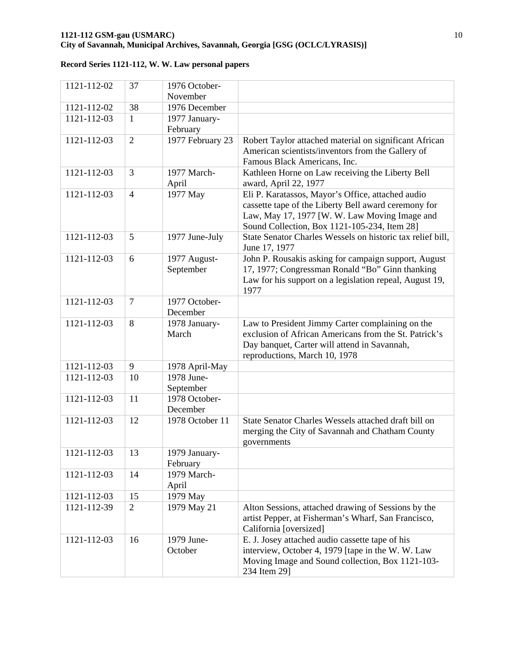| 1121-112-02 | 37             | 1976 October-    |                                                                               |
|-------------|----------------|------------------|-------------------------------------------------------------------------------|
|             |                | November         |                                                                               |
| 1121-112-02 | 38             | 1976 December    |                                                                               |
| 1121-112-03 | 1              | 1977 January-    |                                                                               |
|             |                | February         |                                                                               |
| 1121-112-03 | $\overline{2}$ | 1977 February 23 | Robert Taylor attached material on significant African                        |
|             |                |                  | American scientists/inventors from the Gallery of                             |
|             |                |                  | Famous Black Americans, Inc.                                                  |
| 1121-112-03 | 3              | 1977 March-      | Kathleen Horne on Law receiving the Liberty Bell                              |
|             |                | April            | award, April 22, 1977                                                         |
| 1121-112-03 | $\overline{4}$ | 1977 May         | Eli P. Karatassos, Mayor's Office, attached audio                             |
|             |                |                  | cassette tape of the Liberty Bell award ceremony for                          |
|             |                |                  | Law, May 17, 1977 [W. W. Law Moving Image and                                 |
|             |                |                  | Sound Collection, Box 1121-105-234, Item 28]                                  |
| 1121-112-03 | 5              | 1977 June-July   | State Senator Charles Wessels on historic tax relief bill,                    |
|             |                |                  | June 17, 1977                                                                 |
| 1121-112-03 | 6              | 1977 August-     | John P. Rousakis asking for campaign support, August                          |
|             |                | September        | 17, 1977; Congressman Ronald "Bo" Ginn thanking                               |
|             |                |                  | Law for his support on a legislation repeal, August 19,                       |
|             |                |                  | 1977                                                                          |
| 1121-112-03 | $\tau$         | 1977 October-    |                                                                               |
|             |                | December         |                                                                               |
| 1121-112-03 | 8              | 1978 January-    | Law to President Jimmy Carter complaining on the                              |
|             |                | March            | exclusion of African Americans from the St. Patrick's                         |
|             |                |                  | Day banquet, Carter will attend in Savannah,<br>reproductions, March 10, 1978 |
| 1121-112-03 | 9              | 1978 April-May   |                                                                               |
| 1121-112-03 | 10             | 1978 June-       |                                                                               |
|             |                | September        |                                                                               |
| 1121-112-03 | 11             | 1978 October-    |                                                                               |
|             |                | December         |                                                                               |
| 1121-112-03 | 12             | 1978 October 11  | State Senator Charles Wessels attached draft bill on                          |
|             |                |                  | merging the City of Savannah and Chatham County                               |
|             |                |                  | governments                                                                   |
| 1121-112-03 | 13             | 1979 January-    |                                                                               |
|             |                | February         |                                                                               |
| 1121-112-03 | 14             | 1979 March-      |                                                                               |
|             |                | April            |                                                                               |
| 1121-112-03 | 15             | 1979 May         |                                                                               |
| 1121-112-39 | $\overline{2}$ | 1979 May 21      | Alton Sessions, attached drawing of Sessions by the                           |
|             |                |                  | artist Pepper, at Fisherman's Wharf, San Francisco,                           |
|             |                |                  | California [oversized]                                                        |
| 1121-112-03 | 16             | 1979 June-       | E. J. Josey attached audio cassette tape of his                               |
|             |                | October          | interview, October 4, 1979 [tape in the W. W. Law                             |
|             |                |                  | Moving Image and Sound collection, Box 1121-103-                              |
|             |                |                  | 234 Item 29]                                                                  |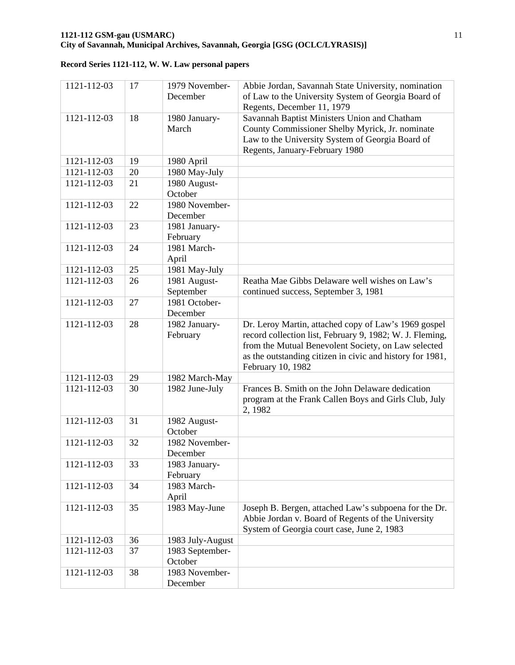| 1121-112-03 | 17 | 1979 November-<br>December | Abbie Jordan, Savannah State University, nomination<br>of Law to the University System of Georgia Board of |
|-------------|----|----------------------------|------------------------------------------------------------------------------------------------------------|
|             |    |                            | Regents, December 11, 1979                                                                                 |
| 1121-112-03 | 18 | 1980 January-<br>March     | Savannah Baptist Ministers Union and Chatham<br>County Commissioner Shelby Myrick, Jr. nominate            |
|             |    |                            | Law to the University System of Georgia Board of                                                           |
|             |    |                            | Regents, January-February 1980                                                                             |
| 1121-112-03 | 19 | 1980 April                 |                                                                                                            |
| 1121-112-03 | 20 | 1980 May-July              |                                                                                                            |
| 1121-112-03 | 21 | 1980 August-               |                                                                                                            |
|             |    | October                    |                                                                                                            |
| 1121-112-03 | 22 | 1980 November-             |                                                                                                            |
|             |    | December                   |                                                                                                            |
| 1121-112-03 | 23 | 1981 January-              |                                                                                                            |
|             |    | February                   |                                                                                                            |
| 1121-112-03 | 24 | 1981 March-                |                                                                                                            |
|             |    | April                      |                                                                                                            |
| 1121-112-03 | 25 | 1981 May-July              |                                                                                                            |
| 1121-112-03 | 26 | 1981 August-               | Reatha Mae Gibbs Delaware well wishes on Law's                                                             |
|             |    | September                  | continued success, September 3, 1981                                                                       |
| 1121-112-03 | 27 | 1981 October-              |                                                                                                            |
|             |    | December                   |                                                                                                            |
| 1121-112-03 | 28 | 1982 January-              | Dr. Leroy Martin, attached copy of Law's 1969 gospel                                                       |
|             |    | February                   | record collection list, February 9, 1982; W. J. Fleming,                                                   |
|             |    |                            | from the Mutual Benevolent Society, on Law selected                                                        |
|             |    |                            | as the outstanding citizen in civic and history for 1981,                                                  |
|             |    |                            | February 10, 1982                                                                                          |
| 1121-112-03 | 29 | 1982 March-May             |                                                                                                            |
| 1121-112-03 | 30 | 1982 June-July             | Frances B. Smith on the John Delaware dedication                                                           |
|             |    |                            | program at the Frank Callen Boys and Girls Club, July                                                      |
|             |    |                            | 2, 1982                                                                                                    |
| 1121-112-03 | 31 | 1982 August-               |                                                                                                            |
|             |    | October                    |                                                                                                            |
| 1121-112-03 | 32 | 1982 November-             |                                                                                                            |
|             |    | December                   |                                                                                                            |
| 1121-112-03 | 33 | 1983 January-              |                                                                                                            |
| 1121-112-03 | 34 | February<br>1983 March-    |                                                                                                            |
|             |    | April                      |                                                                                                            |
| 1121-112-03 | 35 | 1983 May-June              | Joseph B. Bergen, attached Law's subpoena for the Dr.                                                      |
|             |    |                            | Abbie Jordan v. Board of Regents of the University                                                         |
|             |    |                            | System of Georgia court case, June 2, 1983                                                                 |
| 1121-112-03 | 36 | 1983 July-August           |                                                                                                            |
| 1121-112-03 | 37 | 1983 September-            |                                                                                                            |
|             |    | October                    |                                                                                                            |
| 1121-112-03 | 38 | 1983 November-             |                                                                                                            |
|             |    | December                   |                                                                                                            |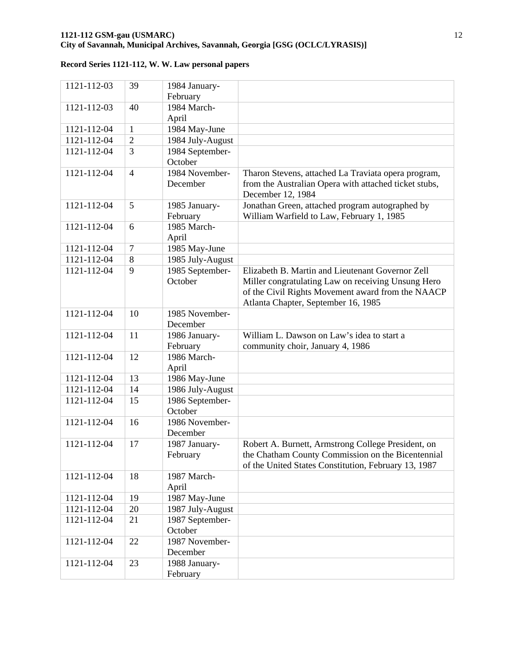| 1121-112-03 | 39             | 1984 January-              |                                                       |
|-------------|----------------|----------------------------|-------------------------------------------------------|
|             |                | February                   |                                                       |
| 1121-112-03 | 40             | 1984 March-                |                                                       |
|             |                | April                      |                                                       |
| 1121-112-04 | $\mathbf{1}$   | 1984 May-June              |                                                       |
| 1121-112-04 | $\overline{2}$ | 1984 July-August           |                                                       |
| 1121-112-04 | 3              | 1984 September-            |                                                       |
|             |                | October                    |                                                       |
| 1121-112-04 | $\overline{4}$ | 1984 November-             | Tharon Stevens, attached La Traviata opera program,   |
|             |                | December                   | from the Australian Opera with attached ticket stubs, |
|             |                |                            | December 12, 1984                                     |
| 1121-112-04 | 5              | 1985 January-              | Jonathan Green, attached program autographed by       |
|             |                | February                   | William Warfield to Law, February 1, 1985             |
| 1121-112-04 | 6              | 1985 March-                |                                                       |
|             |                | April                      |                                                       |
| 1121-112-04 | $\tau$         | 1985 May-June              |                                                       |
| 1121-112-04 | 8              | 1985 July-August           |                                                       |
| 1121-112-04 | 9              | 1985 September-            | Elizabeth B. Martin and Lieutenant Governor Zell      |
|             |                | October                    | Miller congratulating Law on receiving Unsung Hero    |
|             |                |                            | of the Civil Rights Movement award from the NAACP     |
|             |                |                            | Atlanta Chapter, September 16, 1985                   |
| 1121-112-04 | 10             | 1985 November-             |                                                       |
|             |                | December                   |                                                       |
| 1121-112-04 | 11             | 1986 January-              | William L. Dawson on Law's idea to start a            |
|             |                | February                   | community choir, January 4, 1986                      |
| 1121-112-04 | 12             | 1986 March-                |                                                       |
|             |                | April                      |                                                       |
| 1121-112-04 | 13             | 1986 May-June              |                                                       |
| 1121-112-04 | 14             | 1986 July-August           |                                                       |
| 1121-112-04 | 15             | 1986 September-            |                                                       |
|             |                | October                    |                                                       |
| 1121-112-04 | 16             | 1986 November-             |                                                       |
|             |                | December                   |                                                       |
| 1121-112-04 | 17             | 1987 January-              | Robert A. Burnett, Armstrong College President, on    |
|             |                | February                   | the Chatham County Commission on the Bicentennial     |
|             |                |                            | of the United States Constitution, February 13, 1987  |
| 1121-112-04 | 18             | 1987 March-                |                                                       |
|             |                | April                      |                                                       |
| 1121-112-04 | 19             | 1987 May-June              |                                                       |
| 1121-112-04 | 20             | 1987 July-August           |                                                       |
| 1121-112-04 | 21             | 1987 September-<br>October |                                                       |
|             |                |                            |                                                       |
|             |                |                            |                                                       |
| 1121-112-04 | 22             | 1987 November-             |                                                       |
|             |                | December                   |                                                       |
| 1121-112-04 | 23             | 1988 January-<br>February  |                                                       |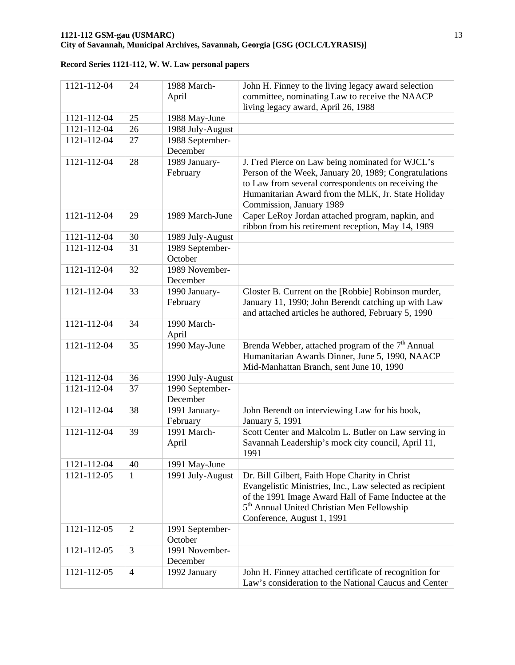| 1121-112-04 | 24             | 1988 March-<br>April        | John H. Finney to the living legacy award selection<br>committee, nominating Law to receive the NAACP<br>living legacy award, April 26, 1988                                                                                                               |
|-------------|----------------|-----------------------------|------------------------------------------------------------------------------------------------------------------------------------------------------------------------------------------------------------------------------------------------------------|
| 1121-112-04 | 25             | 1988 May-June               |                                                                                                                                                                                                                                                            |
| 1121-112-04 | 26             | 1988 July-August            |                                                                                                                                                                                                                                                            |
| 1121-112-04 | 27             | 1988 September-<br>December |                                                                                                                                                                                                                                                            |
| 1121-112-04 | 28             | 1989 January-<br>February   | J. Fred Pierce on Law being nominated for WJCL's<br>Person of the Week, January 20, 1989; Congratulations<br>to Law from several correspondents on receiving the<br>Humanitarian Award from the MLK, Jr. State Holiday<br>Commission, January 1989         |
| 1121-112-04 | 29             | 1989 March-June             | Caper LeRoy Jordan attached program, napkin, and<br>ribbon from his retirement reception, May 14, 1989                                                                                                                                                     |
| 1121-112-04 | 30             | 1989 July-August            |                                                                                                                                                                                                                                                            |
| 1121-112-04 | 31             | 1989 September-<br>October  |                                                                                                                                                                                                                                                            |
| 1121-112-04 | 32             | 1989 November-<br>December  |                                                                                                                                                                                                                                                            |
| 1121-112-04 | 33             | 1990 January-<br>February   | Gloster B. Current on the [Robbie] Robinson murder,<br>January 11, 1990; John Berendt catching up with Law<br>and attached articles he authored, February 5, 1990                                                                                          |
| 1121-112-04 | 34             | 1990 March-<br>April        |                                                                                                                                                                                                                                                            |
| 1121-112-04 | 35             | 1990 May-June               | Brenda Webber, attached program of the 7 <sup>th</sup> Annual<br>Humanitarian Awards Dinner, June 5, 1990, NAACP<br>Mid-Manhattan Branch, sent June 10, 1990                                                                                               |
| 1121-112-04 | 36             | 1990 July-August            |                                                                                                                                                                                                                                                            |
| 1121-112-04 | 37             | 1990 September-<br>December |                                                                                                                                                                                                                                                            |
| 1121-112-04 | 38             | 1991 January-<br>February   | John Berendt on interviewing Law for his book,<br>January 5, 1991                                                                                                                                                                                          |
| 1121-112-04 | 39             | 1991 March-<br>April        | Scott Center and Malcolm L. Butler on Law serving in<br>Savannah Leadership's mock city council, April 11,<br>1991                                                                                                                                         |
| 1121-112-04 | 40             | 1991 May-June               |                                                                                                                                                                                                                                                            |
| 1121-112-05 | 1              | 1991 July-August            | Dr. Bill Gilbert, Faith Hope Charity in Christ<br>Evangelistic Ministries, Inc., Law selected as recipient<br>of the 1991 Image Award Hall of Fame Inductee at the<br>5 <sup>th</sup> Annual United Christian Men Fellowship<br>Conference, August 1, 1991 |
| 1121-112-05 | $\overline{2}$ | 1991 September-<br>October  |                                                                                                                                                                                                                                                            |
| 1121-112-05 | 3              | 1991 November-<br>December  |                                                                                                                                                                                                                                                            |
| 1121-112-05 | $\overline{4}$ | 1992 January                | John H. Finney attached certificate of recognition for<br>Law's consideration to the National Caucus and Center                                                                                                                                            |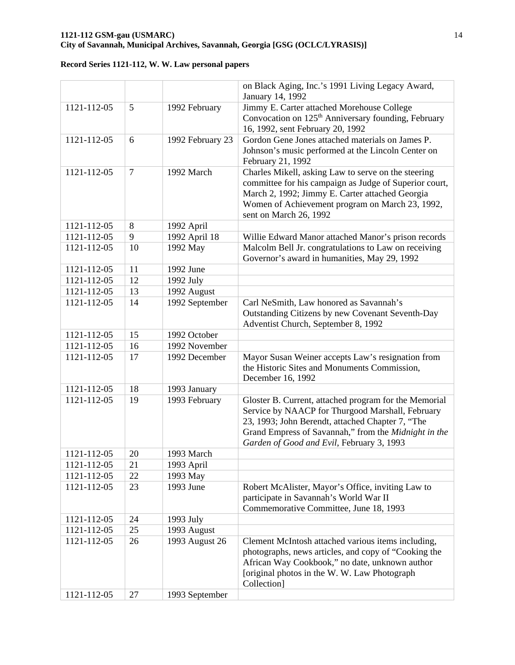### **1121-112 GSM-gau (USMARC)** 14 **City of Savannah, Municipal Archives, Savannah, Georgia [GSG (OCLC/LYRASIS)]**

|             |                |                  | on Black Aging, Inc.'s 1991 Living Legacy Award,<br>January 14, 1992                                                                                                                                                                                               |
|-------------|----------------|------------------|--------------------------------------------------------------------------------------------------------------------------------------------------------------------------------------------------------------------------------------------------------------------|
| 1121-112-05 | 5              | 1992 February    | Jimmy E. Carter attached Morehouse College<br>Convocation on 125 <sup>th</sup> Anniversary founding, February<br>16, 1992, sent February 20, 1992                                                                                                                  |
| 1121-112-05 | 6              | 1992 February 23 | Gordon Gene Jones attached materials on James P.<br>Johnson's music performed at the Lincoln Center on<br>February 21, 1992                                                                                                                                        |
| 1121-112-05 | $\overline{7}$ | 1992 March       | Charles Mikell, asking Law to serve on the steering<br>committee for his campaign as Judge of Superior court,<br>March 2, 1992; Jimmy E. Carter attached Georgia<br>Women of Achievement program on March 23, 1992,<br>sent on March 26, 1992                      |
| 1121-112-05 | 8              | 1992 April       |                                                                                                                                                                                                                                                                    |
| 1121-112-05 | 9              | 1992 April 18    | Willie Edward Manor attached Manor's prison records                                                                                                                                                                                                                |
| 1121-112-05 | 10             | 1992 May         | Malcolm Bell Jr. congratulations to Law on receiving<br>Governor's award in humanities, May 29, 1992                                                                                                                                                               |
| 1121-112-05 | 11             | 1992 June        |                                                                                                                                                                                                                                                                    |
| 1121-112-05 | 12             | 1992 July        |                                                                                                                                                                                                                                                                    |
| 1121-112-05 | 13             | 1992 August      |                                                                                                                                                                                                                                                                    |
| 1121-112-05 | 14             | 1992 September   | Carl NeSmith, Law honored as Savannah's<br>Outstanding Citizens by new Covenant Seventh-Day<br>Adventist Church, September 8, 1992                                                                                                                                 |
| 1121-112-05 | 15             | 1992 October     |                                                                                                                                                                                                                                                                    |
| 1121-112-05 | 16             | 1992 November    |                                                                                                                                                                                                                                                                    |
| 1121-112-05 | 17             | 1992 December    | Mayor Susan Weiner accepts Law's resignation from<br>the Historic Sites and Monuments Commission,<br>December 16, 1992                                                                                                                                             |
| 1121-112-05 | 18             | 1993 January     |                                                                                                                                                                                                                                                                    |
| 1121-112-05 | 19             | 1993 February    | Gloster B. Current, attached program for the Memorial<br>Service by NAACP for Thurgood Marshall, February<br>23, 1993; John Berendt, attached Chapter 7, "The<br>Grand Empress of Savannah," from the Midnight in the<br>Garden of Good and Evil, February 3, 1993 |
| 1121-112-05 | 20             | 1993 March       |                                                                                                                                                                                                                                                                    |
| 1121-112-05 | 21             | 1993 April       |                                                                                                                                                                                                                                                                    |
| 1121-112-05 | 22             | 1993 May         |                                                                                                                                                                                                                                                                    |
| 1121-112-05 | 23             | 1993 June        | Robert McAlister, Mayor's Office, inviting Law to<br>participate in Savannah's World War II<br>Commemorative Committee, June 18, 1993                                                                                                                              |
| 1121-112-05 | 24             | 1993 July        |                                                                                                                                                                                                                                                                    |
| 1121-112-05 | 25             | 1993 August      |                                                                                                                                                                                                                                                                    |
| 1121-112-05 | 26             | 1993 August 26   | Clement McIntosh attached various items including,<br>photographs, news articles, and copy of "Cooking the<br>African Way Cookbook," no date, unknown author<br>[original photos in the W.W. Law Photograph<br>Collection]                                         |
| 1121-112-05 | 27             | 1993 September   |                                                                                                                                                                                                                                                                    |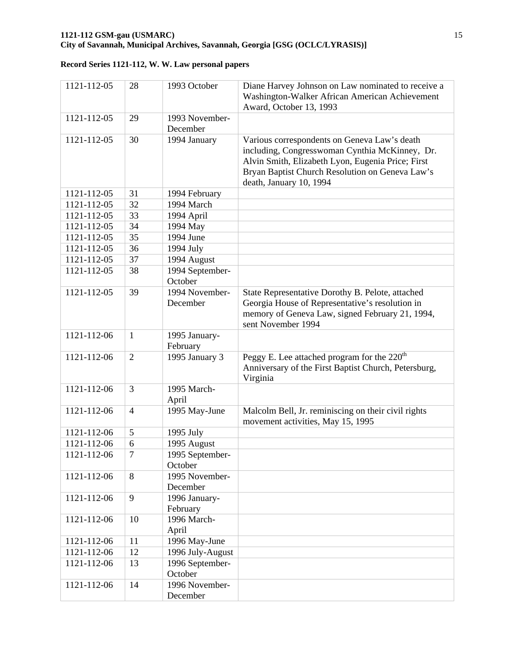| 1121-112-05 | 28             | 1993 October               | Diane Harvey Johnson on Law nominated to receive a<br>Washington-Walker African American Achievement<br>Award, October 13, 1993                                                                                                   |
|-------------|----------------|----------------------------|-----------------------------------------------------------------------------------------------------------------------------------------------------------------------------------------------------------------------------------|
| 1121-112-05 | 29             | 1993 November-             |                                                                                                                                                                                                                                   |
| 1121-112-05 | 30             | December<br>1994 January   | Various correspondents on Geneva Law's death<br>including, Congresswoman Cynthia McKinney, Dr.<br>Alvin Smith, Elizabeth Lyon, Eugenia Price; First<br>Bryan Baptist Church Resolution on Geneva Law's<br>death, January 10, 1994 |
| 1121-112-05 | 31             | 1994 February              |                                                                                                                                                                                                                                   |
| 1121-112-05 | 32             | 1994 March                 |                                                                                                                                                                                                                                   |
| 1121-112-05 | 33             | 1994 April                 |                                                                                                                                                                                                                                   |
| 1121-112-05 | 34             | 1994 May                   |                                                                                                                                                                                                                                   |
| 1121-112-05 | 35             | 1994 June                  |                                                                                                                                                                                                                                   |
| 1121-112-05 | 36             | 1994 July                  |                                                                                                                                                                                                                                   |
| 1121-112-05 | 37             | 1994 August                |                                                                                                                                                                                                                                   |
| 1121-112-05 | 38             | 1994 September-            |                                                                                                                                                                                                                                   |
|             |                | October                    |                                                                                                                                                                                                                                   |
| 1121-112-05 | 39             | 1994 November-             | State Representative Dorothy B. Pelote, attached                                                                                                                                                                                  |
|             |                | December                   | Georgia House of Representative's resolution in<br>memory of Geneva Law, signed February 21, 1994,<br>sent November 1994                                                                                                          |
| 1121-112-06 | $\mathbf{1}$   | 1995 January-<br>February  |                                                                                                                                                                                                                                   |
| 1121-112-06 | $\overline{2}$ | 1995 January 3             | Peggy E. Lee attached program for the 220 <sup>th</sup><br>Anniversary of the First Baptist Church, Petersburg,<br>Virginia                                                                                                       |
| 1121-112-06 | 3              | 1995 March-<br>April       |                                                                                                                                                                                                                                   |
| 1121-112-06 | $\overline{4}$ | 1995 May-June              | Malcolm Bell, Jr. reminiscing on their civil rights<br>movement activities, May 15, 1995                                                                                                                                          |
| 1121-112-06 | 5              | 1995 July                  |                                                                                                                                                                                                                                   |
| 1121-112-06 | 6              | 1995 August                |                                                                                                                                                                                                                                   |
| 1121-112-06 | 7              | 1995 September-<br>October |                                                                                                                                                                                                                                   |
| 1121-112-06 | 8              | 1995 November-<br>December |                                                                                                                                                                                                                                   |
| 1121-112-06 | 9              | 1996 January-              |                                                                                                                                                                                                                                   |
|             |                | February                   |                                                                                                                                                                                                                                   |
| 1121-112-06 | 10             | 1996 March-<br>April       |                                                                                                                                                                                                                                   |
| 1121-112-06 | 11             | 1996 May-June              |                                                                                                                                                                                                                                   |
| 1121-112-06 | 12             | 1996 July-August           |                                                                                                                                                                                                                                   |
| 1121-112-06 | 13             | 1996 September-<br>October |                                                                                                                                                                                                                                   |
| 1121-112-06 | 14             | 1996 November-<br>December |                                                                                                                                                                                                                                   |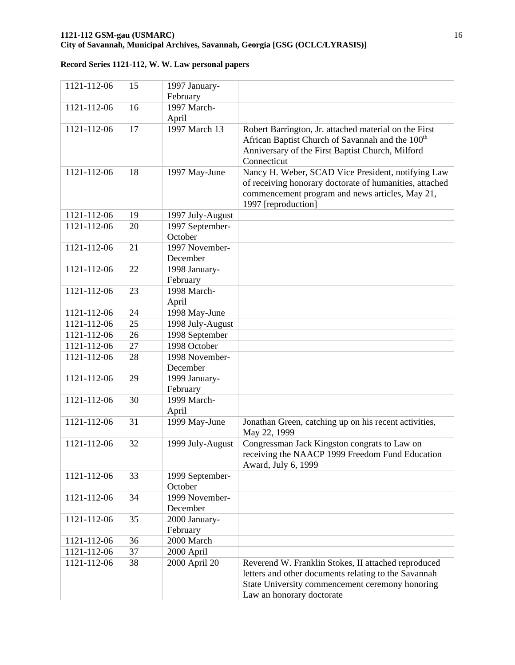### **1121-112 GSM-gau (USMARC)** 16 **City of Savannah, Municipal Archives, Savannah, Georgia [GSG (OCLC/LYRASIS)]**

| 1121-112-06 | 15 | 1997 January-              |                                                                        |
|-------------|----|----------------------------|------------------------------------------------------------------------|
|             |    | February                   |                                                                        |
| 1121-112-06 | 16 | 1997 March-                |                                                                        |
|             |    | April                      |                                                                        |
| 1121-112-06 | 17 | 1997 March 13              | Robert Barrington, Jr. attached material on the First                  |
|             |    |                            | African Baptist Church of Savannah and the 100 <sup>th</sup>           |
|             |    |                            | Anniversary of the First Baptist Church, Milford                       |
|             |    |                            | Connecticut                                                            |
| 1121-112-06 | 18 | 1997 May-June              | Nancy H. Weber, SCAD Vice President, notifying Law                     |
|             |    |                            | of receiving honorary doctorate of humanities, attached                |
|             |    |                            | commencement program and news articles, May 21,                        |
|             | 19 |                            | 1997 [reproduction]                                                    |
| 1121-112-06 |    | 1997 July-August           |                                                                        |
| 1121-112-06 | 20 | 1997 September-<br>October |                                                                        |
| 1121-112-06 | 21 | 1997 November-             |                                                                        |
|             |    | December                   |                                                                        |
| 1121-112-06 | 22 | 1998 January-              |                                                                        |
|             |    | February                   |                                                                        |
| 1121-112-06 | 23 | 1998 March-                |                                                                        |
|             |    | April                      |                                                                        |
| 1121-112-06 | 24 | 1998 May-June              |                                                                        |
| 1121-112-06 | 25 | 1998 July-August           |                                                                        |
| 1121-112-06 | 26 | 1998 September             |                                                                        |
| 1121-112-06 | 27 | 1998 October               |                                                                        |
| 1121-112-06 | 28 | 1998 November-             |                                                                        |
|             |    | December                   |                                                                        |
| 1121-112-06 | 29 | 1999 January-              |                                                                        |
|             |    | February                   |                                                                        |
| 1121-112-06 | 30 | 1999 March-                |                                                                        |
|             |    | April                      |                                                                        |
| 1121-112-06 | 31 | 1999 May-June              | Jonathan Green, catching up on his recent activities,                  |
|             |    |                            | May 22, 1999                                                           |
| 1121-112-06 | 32 | 1999 July-August           | Congressman Jack Kingston congrats to Law on                           |
|             |    |                            | receiving the NAACP 1999 Freedom Fund Education<br>Award, July 6, 1999 |
| 1121-112-06 | 33 | 1999 September-            |                                                                        |
|             |    | October                    |                                                                        |
| 1121-112-06 | 34 | 1999 November-             |                                                                        |
|             |    | December                   |                                                                        |
| 1121-112-06 | 35 | 2000 January-              |                                                                        |
|             |    | February                   |                                                                        |
| 1121-112-06 | 36 | 2000 March                 |                                                                        |
| 1121-112-06 | 37 | 2000 April                 |                                                                        |
| 1121-112-06 | 38 | 2000 April 20              | Reverend W. Franklin Stokes, II attached reproduced                    |
|             |    |                            | letters and other documents relating to the Savannah                   |
|             |    |                            | State University commencement ceremony honoring                        |
|             |    |                            | Law an honorary doctorate                                              |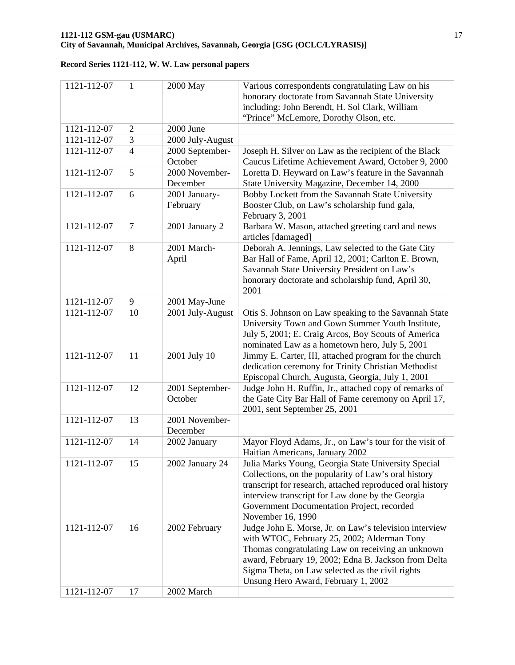| 1121-112-07 | $\mathbf{1}$   | 2000 May                   | Various correspondents congratulating Law on his<br>honorary doctorate from Savannah State University<br>including: John Berendt, H. Sol Clark, William<br>"Prince" McLemore, Dorothy Olson, etc.                                                                                                             |
|-------------|----------------|----------------------------|---------------------------------------------------------------------------------------------------------------------------------------------------------------------------------------------------------------------------------------------------------------------------------------------------------------|
| 1121-112-07 | $\overline{2}$ | 2000 June                  |                                                                                                                                                                                                                                                                                                               |
| 1121-112-07 | 3              | 2000 July-August           |                                                                                                                                                                                                                                                                                                               |
| 1121-112-07 | $\overline{4}$ | 2000 September-<br>October | Joseph H. Silver on Law as the recipient of the Black<br>Caucus Lifetime Achievement Award, October 9, 2000                                                                                                                                                                                                   |
| 1121-112-07 | 5              | 2000 November-<br>December | Loretta D. Heyward on Law's feature in the Savannah<br>State University Magazine, December 14, 2000                                                                                                                                                                                                           |
| 1121-112-07 | 6              | 2001 January-<br>February  | Bobby Lockett from the Savannah State University<br>Booster Club, on Law's scholarship fund gala,<br>February 3, 2001                                                                                                                                                                                         |
| 1121-112-07 | 7              | 2001 January 2             | Barbara W. Mason, attached greeting card and news<br>articles [damaged]                                                                                                                                                                                                                                       |
| 1121-112-07 | 8              | 2001 March-<br>April       | Deborah A. Jennings, Law selected to the Gate City<br>Bar Hall of Fame, April 12, 2001; Carlton E. Brown,<br>Savannah State University President on Law's<br>honorary doctorate and scholarship fund, April 30,<br>2001                                                                                       |
| 1121-112-07 | 9              | 2001 May-June              |                                                                                                                                                                                                                                                                                                               |
| 1121-112-07 | 10             | 2001 July-August           | Otis S. Johnson on Law speaking to the Savannah State<br>University Town and Gown Summer Youth Institute,<br>July 5, 2001; E. Craig Arcos, Boy Scouts of America<br>nominated Law as a hometown hero, July 5, 2001                                                                                            |
| 1121-112-07 | 11             | 2001 July 10               | Jimmy E. Carter, III, attached program for the church<br>dedication ceremony for Trinity Christian Methodist<br>Episcopal Church, Augusta, Georgia, July 1, 2001                                                                                                                                              |
| 1121-112-07 | 12             | 2001 September-<br>October | Judge John H. Ruffin, Jr., attached copy of remarks of<br>the Gate City Bar Hall of Fame ceremony on April 17,<br>2001, sent September 25, 2001                                                                                                                                                               |
| 1121-112-07 | 13             | 2001 November-<br>December |                                                                                                                                                                                                                                                                                                               |
| 1121-112-07 | 14             | 2002 January               | Mayor Floyd Adams, Jr., on Law's tour for the visit of<br>Haitian Americans, January 2002                                                                                                                                                                                                                     |
| 1121-112-07 | 15             | 2002 January 24            | Julia Marks Young, Georgia State University Special<br>Collections, on the popularity of Law's oral history<br>transcript for research, attached reproduced oral history<br>interview transcript for Law done by the Georgia<br>Government Documentation Project, recorded<br>November 16, 1990               |
| 1121-112-07 | 16             | 2002 February              | Judge John E. Morse, Jr. on Law's television interview<br>with WTOC, February 25, 2002; Alderman Tony<br>Thomas congratulating Law on receiving an unknown<br>award, February 19, 2002; Edna B. Jackson from Delta<br>Sigma Theta, on Law selected as the civil rights<br>Unsung Hero Award, February 1, 2002 |
| 1121-112-07 | 17             | 2002 March                 |                                                                                                                                                                                                                                                                                                               |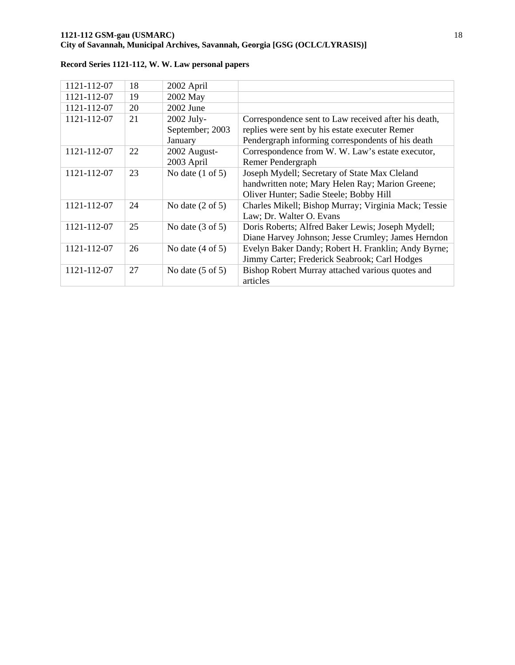### **1121-112 GSM-gau (USMARC)** 18 **City of Savannah, Municipal Archives, Savannah, Georgia [GSG (OCLC/LYRASIS)]**

| 1121-112-07 | 18 | 2002 April                  |                                                      |
|-------------|----|-----------------------------|------------------------------------------------------|
| 1121-112-07 | 19 | 2002 May                    |                                                      |
| 1121-112-07 | 20 | $2002$ June                 |                                                      |
| 1121-112-07 | 21 | 2002 July-                  | Correspondence sent to Law received after his death, |
|             |    | September; 2003             | replies were sent by his estate executer Remer       |
|             |    | January                     | Pendergraph informing correspondents of his death    |
| 1121-112-07 | 22 | 2002 August-                | Correspondence from W. W. Law's estate executor,     |
|             |    | 2003 April                  | Remer Pendergraph                                    |
| 1121-112-07 | 23 | No date $(1 \text{ of } 5)$ | Joseph Mydell; Secretary of State Max Cleland        |
|             |    |                             | handwritten note; Mary Helen Ray; Marion Greene;     |
|             |    |                             | Oliver Hunter; Sadie Steele; Bobby Hill              |
| 1121-112-07 | 24 | No date $(2 \text{ of } 5)$ | Charles Mikell; Bishop Murray; Virginia Mack; Tessie |
|             |    |                             | Law; Dr. Walter O. Evans                             |
| 1121-112-07 | 25 | No date $(3 \text{ of } 5)$ | Doris Roberts; Alfred Baker Lewis; Joseph Mydell;    |
|             |    |                             | Diane Harvey Johnson; Jesse Crumley; James Herndon   |
| 1121-112-07 | 26 | No date $(4 \text{ of } 5)$ | Evelyn Baker Dandy; Robert H. Franklin; Andy Byrne;  |
|             |    |                             | Jimmy Carter; Frederick Seabrook; Carl Hodges        |
| 1121-112-07 | 27 | No date $(5 \text{ of } 5)$ | Bishop Robert Murray attached various quotes and     |
|             |    |                             | articles                                             |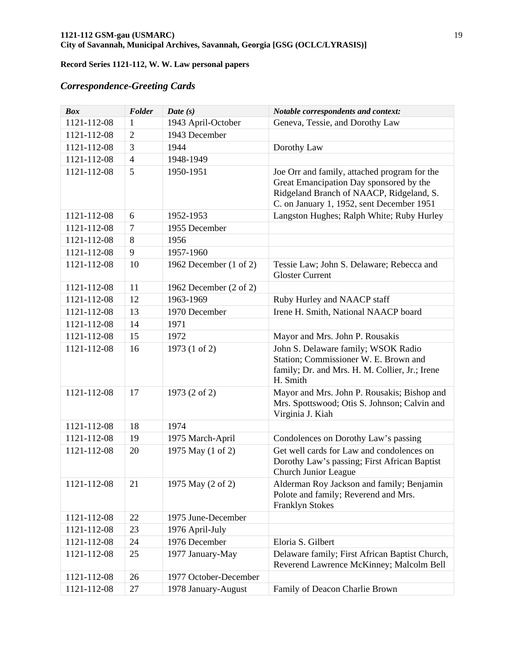# *Correspondence-Greeting Cards*

| <b>Box</b>  | Folder         | Date $(s)$                        | Notable correspondents and context:                                                                                                                                              |
|-------------|----------------|-----------------------------------|----------------------------------------------------------------------------------------------------------------------------------------------------------------------------------|
| 1121-112-08 | $\mathbf{1}$   | 1943 April-October                | Geneva, Tessie, and Dorothy Law                                                                                                                                                  |
| 1121-112-08 | 2              | 1943 December                     |                                                                                                                                                                                  |
| 1121-112-08 | 3              | 1944                              | Dorothy Law                                                                                                                                                                      |
| 1121-112-08 | $\overline{4}$ | 1948-1949                         |                                                                                                                                                                                  |
| 1121-112-08 | 5              | 1950-1951                         | Joe Orr and family, attached program for the<br>Great Emancipation Day sponsored by the<br>Ridgeland Branch of NAACP, Ridgeland, S.<br>C. on January 1, 1952, sent December 1951 |
| 1121-112-08 | 6              | 1952-1953                         | Langston Hughes; Ralph White; Ruby Hurley                                                                                                                                        |
| 1121-112-08 | $\overline{7}$ | 1955 December                     |                                                                                                                                                                                  |
| 1121-112-08 | 8              | 1956                              |                                                                                                                                                                                  |
| 1121-112-08 | 9              | 1957-1960                         |                                                                                                                                                                                  |
| 1121-112-08 | 10             | 1962 December $(1 \text{ of } 2)$ | Tessie Law; John S. Delaware; Rebecca and<br><b>Gloster Current</b>                                                                                                              |
| 1121-112-08 | 11             | 1962 December $(2 \text{ of } 2)$ |                                                                                                                                                                                  |
| 1121-112-08 | 12             | 1963-1969                         | Ruby Hurley and NAACP staff                                                                                                                                                      |
| 1121-112-08 | 13             | 1970 December                     | Irene H. Smith, National NAACP board                                                                                                                                             |
| 1121-112-08 | 14             | 1971                              |                                                                                                                                                                                  |
| 1121-112-08 | 15             | 1972                              | Mayor and Mrs. John P. Rousakis                                                                                                                                                  |
| 1121-112-08 | 16             | 1973 (1 of 2)                     | John S. Delaware family; WSOK Radio<br>Station; Commissioner W. E. Brown and<br>family; Dr. and Mrs. H. M. Collier, Jr.; Irene<br>H. Smith                                       |
| 1121-112-08 | 17             | 1973 (2 of 2)                     | Mayor and Mrs. John P. Rousakis; Bishop and<br>Mrs. Spottswood; Otis S. Johnson; Calvin and<br>Virginia J. Kiah                                                                  |
| 1121-112-08 | 18             | 1974                              |                                                                                                                                                                                  |
| 1121-112-08 | 19             | 1975 March-April                  | Condolences on Dorothy Law's passing                                                                                                                                             |
| 1121-112-08 | 20             | 1975 May (1 of 2)                 | Get well cards for Law and condolences on<br>Dorothy Law's passing; First African Baptist<br>Church Junior League                                                                |
| 1121-112-08 | 21             | 1975 May (2 of 2)                 | Alderman Roy Jackson and family; Benjamin<br>Polote and family; Reverend and Mrs.<br>Franklyn Stokes                                                                             |
| 1121-112-08 | 22             | 1975 June-December                |                                                                                                                                                                                  |
| 1121-112-08 | 23             | 1976 April-July                   |                                                                                                                                                                                  |
| 1121-112-08 | 24             | 1976 December                     | Eloria S. Gilbert                                                                                                                                                                |
| 1121-112-08 | 25             | 1977 January-May                  | Delaware family; First African Baptist Church,<br>Reverend Lawrence McKinney; Malcolm Bell                                                                                       |
| 1121-112-08 | 26             | 1977 October-December             |                                                                                                                                                                                  |
| 1121-112-08 | 27             | 1978 January-August               | Family of Deacon Charlie Brown                                                                                                                                                   |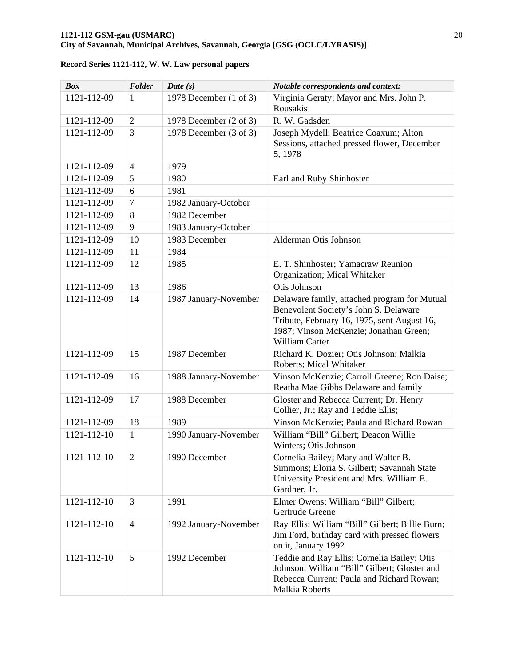| <b>Box</b>  | Folder         | Date $(s)$                        | Notable correspondents and context:                                                                                                                                                              |
|-------------|----------------|-----------------------------------|--------------------------------------------------------------------------------------------------------------------------------------------------------------------------------------------------|
| 1121-112-09 | $\mathbf{1}$   | 1978 December (1 of 3)            | Virginia Geraty; Mayor and Mrs. John P.<br>Rousakis                                                                                                                                              |
| 1121-112-09 | $\overline{2}$ | 1978 December $(2 \text{ of } 3)$ | R. W. Gadsden                                                                                                                                                                                    |
| 1121-112-09 | 3              | 1978 December (3 of 3)            | Joseph Mydell; Beatrice Coaxum; Alton<br>Sessions, attached pressed flower, December<br>5, 1978                                                                                                  |
| 1121-112-09 | 4              | 1979                              |                                                                                                                                                                                                  |
| 1121-112-09 | 5              | 1980                              | Earl and Ruby Shinhoster                                                                                                                                                                         |
| 1121-112-09 | 6              | 1981                              |                                                                                                                                                                                                  |
| 1121-112-09 | $\tau$         | 1982 January-October              |                                                                                                                                                                                                  |
| 1121-112-09 | 8              | 1982 December                     |                                                                                                                                                                                                  |
| 1121-112-09 | 9              | 1983 January-October              |                                                                                                                                                                                                  |
| 1121-112-09 | 10             | 1983 December                     | Alderman Otis Johnson                                                                                                                                                                            |
| 1121-112-09 | 11             | 1984                              |                                                                                                                                                                                                  |
| 1121-112-09 | 12             | 1985                              | E. T. Shinhoster; Yamacraw Reunion<br>Organization; Mical Whitaker                                                                                                                               |
| 1121-112-09 | 13             | 1986                              | Otis Johnson                                                                                                                                                                                     |
| 1121-112-09 | 14             | 1987 January-November             | Delaware family, attached program for Mutual<br>Benevolent Society's John S. Delaware<br>Tribute, February 16, 1975, sent August 16,<br>1987; Vinson McKenzie; Jonathan Green;<br>William Carter |
| 1121-112-09 | 15             | 1987 December                     | Richard K. Dozier; Otis Johnson; Malkia<br>Roberts; Mical Whitaker                                                                                                                               |
| 1121-112-09 | 16             | 1988 January-November             | Vinson McKenzie; Carroll Greene; Ron Daise;<br>Reatha Mae Gibbs Delaware and family                                                                                                              |
| 1121-112-09 | 17             | 1988 December                     | Gloster and Rebecca Current; Dr. Henry<br>Collier, Jr.; Ray and Teddie Ellis;                                                                                                                    |
| 1121-112-09 | 18             | 1989                              | Vinson McKenzie; Paula and Richard Rowan                                                                                                                                                         |
| 1121-112-10 | $\mathbf{1}$   | 1990 January-November             | William "Bill" Gilbert; Deacon Willie<br>Winters; Otis Johnson                                                                                                                                   |
| 1121-112-10 | 2              | 1990 December                     | Cornelia Bailey; Mary and Walter B.<br>Simmons; Eloria S. Gilbert; Savannah State<br>University President and Mrs. William E.<br>Gardner, Jr.                                                    |
| 1121-112-10 | 3              | 1991                              | Elmer Owens; William "Bill" Gilbert;<br>Gertrude Greene                                                                                                                                          |
| 1121-112-10 | $\overline{4}$ | 1992 January-November             | Ray Ellis; William "Bill" Gilbert; Billie Burn;<br>Jim Ford, birthday card with pressed flowers<br>on it, January 1992                                                                           |
| 1121-112-10 | 5              | 1992 December                     | Teddie and Ray Ellis; Cornelia Bailey; Otis<br>Johnson; William "Bill" Gilbert; Gloster and<br>Rebecca Current; Paula and Richard Rowan;<br><b>Malkia Roberts</b>                                |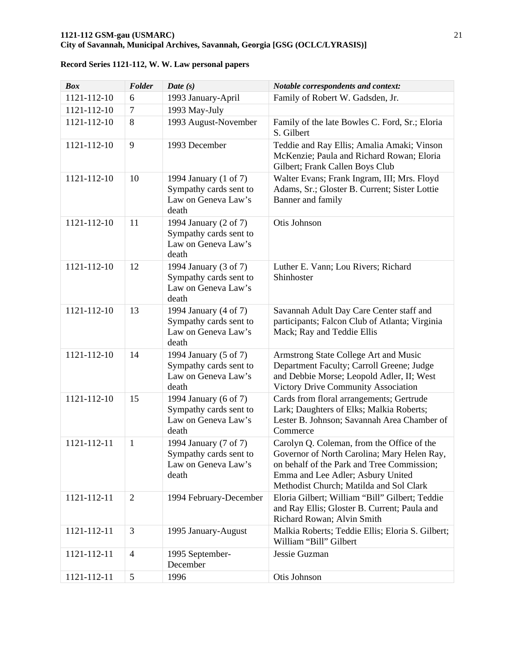| <b>Box</b>  | Folder         | Date $(s)$                                                                      | Notable correspondents and context:                                                                                                                                                                                     |
|-------------|----------------|---------------------------------------------------------------------------------|-------------------------------------------------------------------------------------------------------------------------------------------------------------------------------------------------------------------------|
| 1121-112-10 | 6              | 1993 January-April                                                              | Family of Robert W. Gadsden, Jr.                                                                                                                                                                                        |
| 1121-112-10 | 7              | 1993 May-July                                                                   |                                                                                                                                                                                                                         |
| 1121-112-10 | 8              | 1993 August-November                                                            | Family of the late Bowles C. Ford, Sr.; Eloria<br>S. Gilbert                                                                                                                                                            |
| 1121-112-10 | 9              | 1993 December                                                                   | Teddie and Ray Ellis; Amalia Amaki; Vinson<br>McKenzie; Paula and Richard Rowan; Eloria<br>Gilbert; Frank Callen Boys Club                                                                                              |
| 1121-112-10 | 10             | 1994 January (1 of 7)<br>Sympathy cards sent to<br>Law on Geneva Law's<br>death | Walter Evans; Frank Ingram, III; Mrs. Floyd<br>Adams, Sr.; Gloster B. Current; Sister Lottie<br>Banner and family                                                                                                       |
| 1121-112-10 | 11             | 1994 January (2 of 7)<br>Sympathy cards sent to<br>Law on Geneva Law's<br>death | Otis Johnson                                                                                                                                                                                                            |
| 1121-112-10 | 12             | 1994 January (3 of 7)<br>Sympathy cards sent to<br>Law on Geneva Law's<br>death | Luther E. Vann; Lou Rivers; Richard<br>Shinhoster                                                                                                                                                                       |
| 1121-112-10 | 13             | 1994 January (4 of 7)<br>Sympathy cards sent to<br>Law on Geneva Law's<br>death | Savannah Adult Day Care Center staff and<br>participants; Falcon Club of Atlanta; Virginia<br>Mack; Ray and Teddie Ellis                                                                                                |
| 1121-112-10 | 14             | 1994 January (5 of 7)<br>Sympathy cards sent to<br>Law on Geneva Law's<br>death | Armstrong State College Art and Music<br>Department Faculty; Carroll Greene; Judge<br>and Debbie Morse; Leopold Adler, II; West<br>Victory Drive Community Association                                                  |
| 1121-112-10 | 15             | 1994 January (6 of 7)<br>Sympathy cards sent to<br>Law on Geneva Law's<br>death | Cards from floral arrangements; Gertrude<br>Lark; Daughters of Elks; Malkia Roberts;<br>Lester B. Johnson; Savannah Area Chamber of<br>Commerce                                                                         |
| 1121-112-11 | $\mathbf{1}$   | 1994 January (7 of 7)<br>Sympathy cards sent to<br>Law on Geneva Law's<br>death | Carolyn Q. Coleman, from the Office of the<br>Governor of North Carolina; Mary Helen Ray,<br>on behalf of the Park and Tree Commission;<br>Emma and Lee Adler; Asbury United<br>Methodist Church; Matilda and Sol Clark |
| 1121-112-11 | $\overline{2}$ | 1994 February-December                                                          | Eloria Gilbert; William "Bill" Gilbert; Teddie<br>and Ray Ellis; Gloster B. Current; Paula and<br>Richard Rowan; Alvin Smith                                                                                            |
| 1121-112-11 | 3              | 1995 January-August                                                             | Malkia Roberts; Teddie Ellis; Eloria S. Gilbert;<br>William "Bill" Gilbert                                                                                                                                              |
| 1121-112-11 | 4              | 1995 September-<br>December                                                     | Jessie Guzman                                                                                                                                                                                                           |
| 1121-112-11 | 5              | 1996                                                                            | Otis Johnson                                                                                                                                                                                                            |

**Record Series 1121-112, W. W. Law personal papers**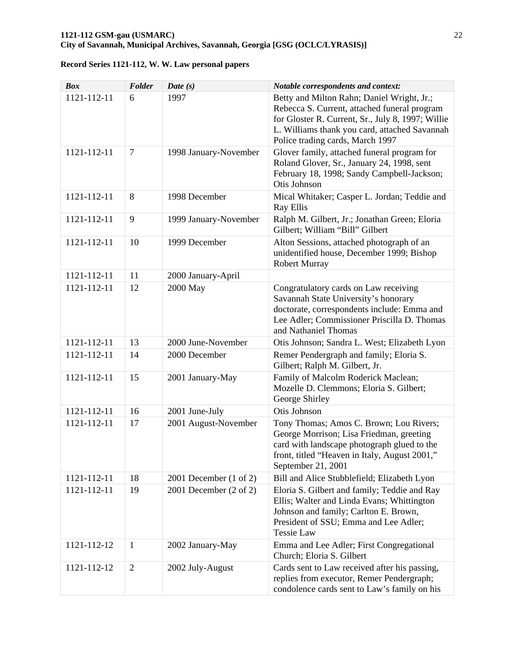| <b>Box</b>  | Folder         | Date $(s)$                        | Notable correspondents and context:                                                                                                                                                                                                  |
|-------------|----------------|-----------------------------------|--------------------------------------------------------------------------------------------------------------------------------------------------------------------------------------------------------------------------------------|
| 1121-112-11 | 6              | 1997                              | Betty and Milton Rahn; Daniel Wright, Jr.;<br>Rebecca S. Current, attached funeral program<br>for Gloster R. Current, Sr., July 8, 1997; Willie<br>L. Williams thank you card, attached Savannah<br>Police trading cards, March 1997 |
| 1121-112-11 | $\overline{7}$ | 1998 January-November             | Glover family, attached funeral program for<br>Roland Glover, Sr., January 24, 1998, sent<br>February 18, 1998; Sandy Campbell-Jackson;<br>Otis Johnson                                                                              |
| 1121-112-11 | 8              | 1998 December                     | Mical Whitaker; Casper L. Jordan; Teddie and<br>Ray Ellis                                                                                                                                                                            |
| 1121-112-11 | 9              | 1999 January-November             | Ralph M. Gilbert, Jr.; Jonathan Green; Eloria<br>Gilbert; William "Bill" Gilbert                                                                                                                                                     |
| 1121-112-11 | 10             | 1999 December                     | Alton Sessions, attached photograph of an<br>unidentified house, December 1999; Bishop<br><b>Robert Murray</b>                                                                                                                       |
| 1121-112-11 | 11             | 2000 January-April                |                                                                                                                                                                                                                                      |
| 1121-112-11 | 12             | 2000 May                          | Congratulatory cards on Law receiving<br>Savannah State University's honorary<br>doctorate, correspondents include: Emma and<br>Lee Adler; Commissioner Priscilla D. Thomas<br>and Nathaniel Thomas                                  |
| 1121-112-11 | 13             | 2000 June-November                | Otis Johnson; Sandra L. West; Elizabeth Lyon                                                                                                                                                                                         |
| 1121-112-11 | 14             | 2000 December                     | Remer Pendergraph and family; Eloria S.<br>Gilbert; Ralph M. Gilbert, Jr.                                                                                                                                                            |
| 1121-112-11 | 15             | 2001 January-May                  | Family of Malcolm Roderick Maclean;<br>Mozelle D. Clemmons; Eloria S. Gilbert;<br>George Shirley                                                                                                                                     |
| 1121-112-11 | 16             | 2001 June-July                    | Otis Johnson                                                                                                                                                                                                                         |
| 1121-112-11 | 17             | 2001 August-November              | Tony Thomas; Amos C. Brown; Lou Rivers;<br>George Morrison; Lisa Friedman, greeting<br>card with landscape photograph glued to the<br>front, titled "Heaven in Italy, August 2001,"<br>September 21, 2001                            |
| 1121-112-11 | 18             | 2001 December $(1 \text{ of } 2)$ | Bill and Alice Stubblefield; Elizabeth Lyon                                                                                                                                                                                          |
| 1121-112-11 | 19             | 2001 December $(2 \text{ of } 2)$ | Eloria S. Gilbert and family; Teddie and Ray<br>Ellis; Walter and Linda Evans; Whittington<br>Johnson and family; Carlton E. Brown,<br>President of SSU; Emma and Lee Adler;<br><b>Tessie Law</b>                                    |
| 1121-112-12 | $\mathbf{1}$   | 2002 January-May                  | Emma and Lee Adler; First Congregational<br>Church; Eloria S. Gilbert                                                                                                                                                                |
| 1121-112-12 | $\overline{c}$ | 2002 July-August                  | Cards sent to Law received after his passing,<br>replies from executor, Remer Pendergraph;<br>condolence cards sent to Law's family on his                                                                                           |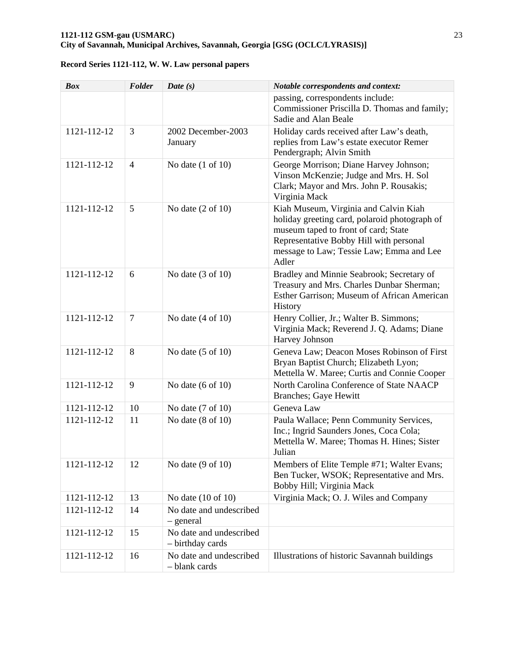| <b>Box</b>  | Folder         | Date $(s)$                                  | <b>Notable correspondents and context:</b>                                                                                                                                                                                     |
|-------------|----------------|---------------------------------------------|--------------------------------------------------------------------------------------------------------------------------------------------------------------------------------------------------------------------------------|
|             |                |                                             | passing, correspondents include:<br>Commissioner Priscilla D. Thomas and family;<br>Sadie and Alan Beale                                                                                                                       |
| 1121-112-12 | 3              | 2002 December-2003<br>January               | Holiday cards received after Law's death,<br>replies from Law's estate executor Remer<br>Pendergraph; Alvin Smith                                                                                                              |
| 1121-112-12 | $\overline{4}$ | No date $(1 \text{ of } 10)$                | George Morrison; Diane Harvey Johnson;<br>Vinson McKenzie; Judge and Mrs. H. Sol<br>Clark; Mayor and Mrs. John P. Rousakis;<br>Virginia Mack                                                                                   |
| 1121-112-12 | 5              | No date $(2 \text{ of } 10)$                | Kiah Museum, Virginia and Calvin Kiah<br>holiday greeting card, polaroid photograph of<br>museum taped to front of card; State<br>Representative Bobby Hill with personal<br>message to Law; Tessie Law; Emma and Lee<br>Adler |
| 1121-112-12 | 6              | No date $(3 \text{ of } 10)$                | Bradley and Minnie Seabrook; Secretary of<br>Treasury and Mrs. Charles Dunbar Sherman;<br>Esther Garrison; Museum of African American<br>History                                                                               |
| 1121-112-12 | $\overline{7}$ | No date $(4 \text{ of } 10)$                | Henry Collier, Jr.; Walter B. Simmons;<br>Virginia Mack; Reverend J. Q. Adams; Diane<br>Harvey Johnson                                                                                                                         |
| 1121-112-12 | 8              | No date $(5 \text{ of } 10)$                | Geneva Law; Deacon Moses Robinson of First<br>Bryan Baptist Church; Elizabeth Lyon;<br>Mettella W. Maree; Curtis and Connie Cooper                                                                                             |
| 1121-112-12 | 9              | No date $(6 \text{ of } 10)$                | North Carolina Conference of State NAACP<br>Branches; Gaye Hewitt                                                                                                                                                              |
| 1121-112-12 | 10             | No date $(7 \text{ of } 10)$                | Geneva Law                                                                                                                                                                                                                     |
| 1121-112-12 | 11             | No date $(8 \text{ of } 10)$                | Paula Wallace; Penn Community Services,<br>Inc.; Ingrid Saunders Jones, Coca Cola;<br>Mettella W. Maree; Thomas H. Hines; Sister<br>Julian                                                                                     |
| 1121-112-12 | 12             | No date $(9 \text{ of } 10)$                | Members of Elite Temple #71; Walter Evans;<br>Ben Tucker, WSOK; Representative and Mrs.<br>Bobby Hill; Virginia Mack                                                                                                           |
| 1121-112-12 | 13             | No date $(10$ of $10)$                      | Virginia Mack; O. J. Wiles and Company                                                                                                                                                                                         |
| 1121-112-12 | 14             | No date and undescribed<br>- general        |                                                                                                                                                                                                                                |
| 1121-112-12 | 15             | No date and undescribed<br>- birthday cards |                                                                                                                                                                                                                                |
| 1121-112-12 | 16             | No date and undescribed<br>- blank cards    | Illustrations of historic Savannah buildings                                                                                                                                                                                   |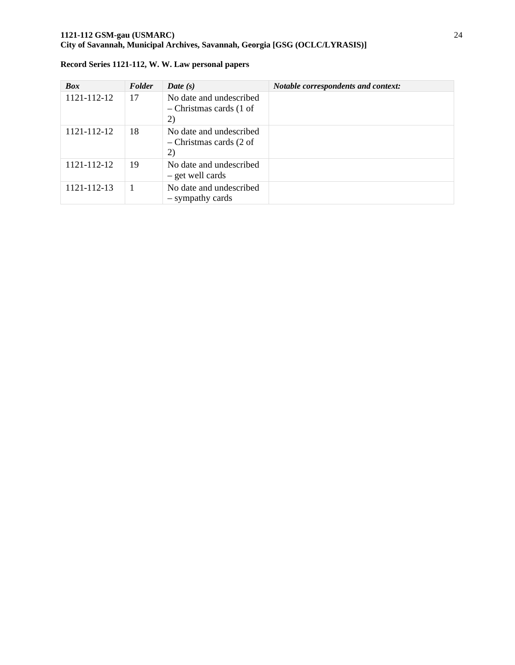### **1121-112 GSM-gau (USMARC)** 24 **City of Savannah, Municipal Archives, Savannah, Georgia [GSG (OCLC/LYRASIS)]**

| <b>Box</b>  | Folder | Date $(s)$                                                 | Notable correspondents and context: |
|-------------|--------|------------------------------------------------------------|-------------------------------------|
| 1121-112-12 | 17     | No date and undescribed<br>$-$ Christmas cards (1 of<br>2) |                                     |
| 1121-112-12 | 18     | No date and undescribed<br>$-$ Christmas cards (2 of<br>2) |                                     |
| 1121-112-12 | 19     | No date and undescribed<br>- get well cards                |                                     |
| 1121-112-13 |        | No date and undescribed<br>- sympathy cards                |                                     |

|  | Record Series 1121-112, W. W. Law personal papers |  |  |  |
|--|---------------------------------------------------|--|--|--|
|  |                                                   |  |  |  |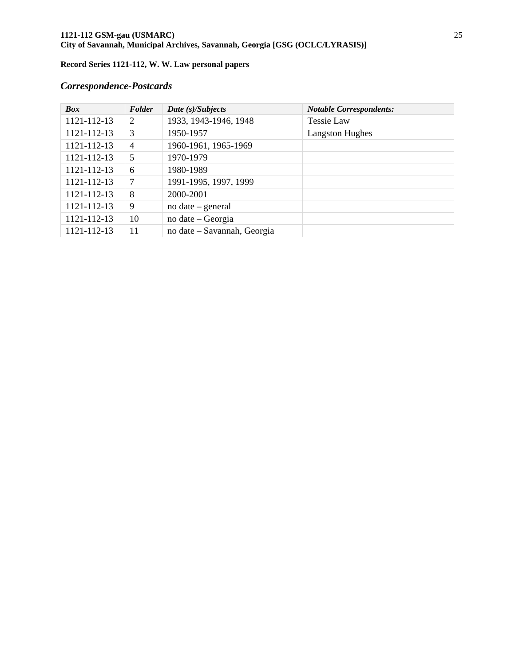### **1121-112 GSM-gau (USMARC)** 25 **City of Savannah, Municipal Archives, Savannah, Georgia [GSG (OCLC/LYRASIS)]**

## **Record Series 1121-112, W. W. Law personal papers**

# *Correspondence-Postcards*

| <b>Box</b>  | Folder         | Date (s)/Subjects           | <b>Notable Correspondents:</b> |
|-------------|----------------|-----------------------------|--------------------------------|
| 1121-112-13 | 2              | 1933, 1943-1946, 1948       | Tessie Law                     |
| 1121-112-13 | 3              | 1950-1957                   | <b>Langston Hughes</b>         |
| 1121-112-13 | $\overline{4}$ | 1960-1961, 1965-1969        |                                |
| 1121-112-13 | 5              | 1970-1979                   |                                |
| 1121-112-13 | 6              | 1980-1989                   |                                |
| 1121-112-13 | 7              | 1991-1995, 1997, 1999       |                                |
| 1121-112-13 | 8              | 2000-2001                   |                                |
| 1121-112-13 | 9              | $no$ date – general         |                                |
| 1121-112-13 | 10             | no date – Georgia           |                                |
| 1121-112-13 | 11             | no date – Savannah, Georgia |                                |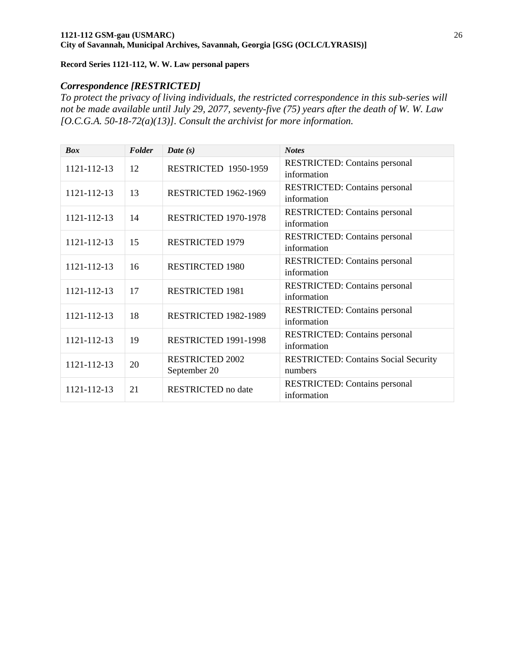### *Correspondence [RESTRICTED]*

*To protect the privacy of living individuals, the restricted correspondence in this sub-series will not be made available until July 29, 2077, seventy-five (75) years after the death of W. W. Law [O.C.G.A. 50-18-72(a)(13)]. Consult the archivist for more information.* 

| <b>Box</b>  | Folder | Date $(s)$                | <b>Notes</b>                                |
|-------------|--------|---------------------------|---------------------------------------------|
| 1121-112-13 | 12     | RESTRICTED 1950-1959      | <b>RESTRICTED:</b> Contains personal        |
|             |        |                           | information                                 |
| 1121-112-13 | 13     | RESTRICTED 1962-1969      | <b>RESTRICTED:</b> Contains personal        |
|             |        |                           | information                                 |
| 1121-112-13 | 14     | RESTRICTED 1970-1978      | <b>RESTRICTED:</b> Contains personal        |
|             |        |                           | information                                 |
|             |        |                           | <b>RESTRICTED:</b> Contains personal        |
| 1121-112-13 | 15     | <b>RESTRICTED 1979</b>    | information                                 |
|             |        |                           | <b>RESTRICTED:</b> Contains personal        |
| 1121-112-13 | 16     | <b>RESTIRCTED 1980</b>    | information                                 |
|             |        |                           | <b>RESTRICTED:</b> Contains personal        |
| 1121-112-13 | 17     | <b>RESTRICTED 1981</b>    | information                                 |
|             |        |                           | <b>RESTRICTED:</b> Contains personal        |
| 1121-112-13 | 18     | RESTRICTED 1982-1989      | information                                 |
|             |        |                           | <b>RESTRICTED:</b> Contains personal        |
| 1121-112-13 | 19     | RESTRICTED 1991-1998      | information                                 |
|             |        | <b>RESTRICTED 2002</b>    | <b>RESTRICTED: Contains Social Security</b> |
| 1121-112-13 | 20     | September 20              | numbers                                     |
|             |        |                           | <b>RESTRICTED:</b> Contains personal        |
| 1121-112-13 | 21     | <b>RESTRICTED</b> no date | information                                 |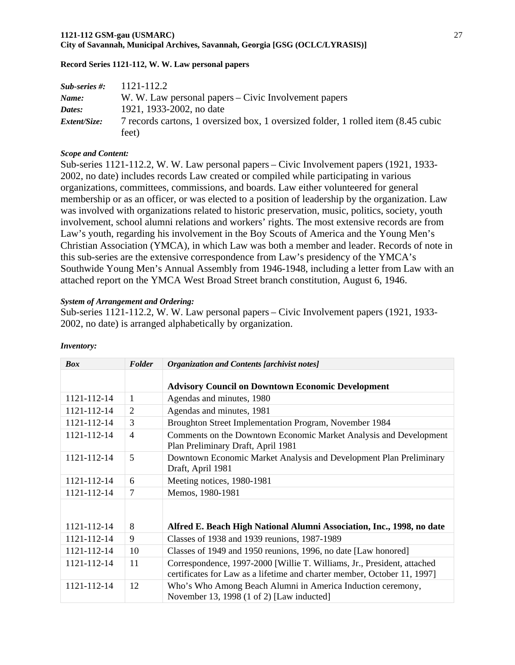### **1121-112 GSM-gau (USMARC)** 27 **City of Savannah, Municipal Archives, Savannah, Georgia [GSG (OCLC/LYRASIS)]**

### **Record Series 1121-112, W. W. Law personal papers**

| $Sub-series$ #: | 1121-112.2                                                                        |
|-----------------|-----------------------------------------------------------------------------------|
| Name:           | W. W. Law personal papers – Civic Involvement papers                              |
| Dates:          | 1921, 1933-2002, no date                                                          |
| Extent/Size:    | 7 records cartons, 1 oversized box, 1 oversized folder, 1 rolled item (8.45 cubic |
|                 | feet)                                                                             |

### *Scope and Content:*

Sub-series 1121-112.2, W. W. Law personal papers – Civic Involvement papers (1921, 1933- 2002, no date) includes records Law created or compiled while participating in various organizations, committees, commissions, and boards. Law either volunteered for general membership or as an officer, or was elected to a position of leadership by the organization. Law was involved with organizations related to historic preservation, music, politics, society, youth involvement, school alumni relations and workers' rights. The most extensive records are from Law's youth, regarding his involvement in the Boy Scouts of America and the Young Men's Christian Association (YMCA), in which Law was both a member and leader. Records of note in this sub-series are the extensive correspondence from Law's presidency of the YMCA's Southwide Young Men's Annual Assembly from 1946-1948, including a letter from Law with an attached report on the YMCA West Broad Street branch constitution, August 6, 1946.

### *System of Arrangement and Ordering:*

Sub-series 1121-112.2, W. W. Law personal papers – Civic Involvement papers (1921, 1933- 2002, no date) is arranged alphabetically by organization.

| <b>Box</b>  | Folder         | <b>Organization and Contents [archivist notes]</b>                                                                                                  |
|-------------|----------------|-----------------------------------------------------------------------------------------------------------------------------------------------------|
|             |                | <b>Advisory Council on Downtown Economic Development</b>                                                                                            |
| 1121-112-14 | 1              | Agendas and minutes, 1980                                                                                                                           |
| 1121-112-14 | 2              | Agendas and minutes, 1981                                                                                                                           |
| 1121-112-14 | 3              | Broughton Street Implementation Program, November 1984                                                                                              |
| 1121-112-14 | $\overline{4}$ | Comments on the Downtown Economic Market Analysis and Development<br>Plan Preliminary Draft, April 1981                                             |
| 1121-112-14 | 5              | Downtown Economic Market Analysis and Development Plan Preliminary<br>Draft, April 1981                                                             |
| 1121-112-14 | 6              | Meeting notices, 1980-1981                                                                                                                          |
| 1121-112-14 | 7              | Memos, 1980-1981                                                                                                                                    |
| 1121-112-14 | 8              | Alfred E. Beach High National Alumni Association, Inc., 1998, no date                                                                               |
| 1121-112-14 | 9              | Classes of 1938 and 1939 reunions, 1987-1989                                                                                                        |
| 1121-112-14 | 10             | Classes of 1949 and 1950 reunions, 1996, no date [Law honored]                                                                                      |
| 1121-112-14 | 11             | Correspondence, 1997-2000 [Willie T. Williams, Jr., President, attached<br>certificates for Law as a lifetime and charter member, October 11, 1997] |
| 1121-112-14 | 12             | Who's Who Among Beach Alumni in America Induction ceremony,<br>November 13, 1998 (1 of 2) [Law inducted]                                            |

### *Inventory:*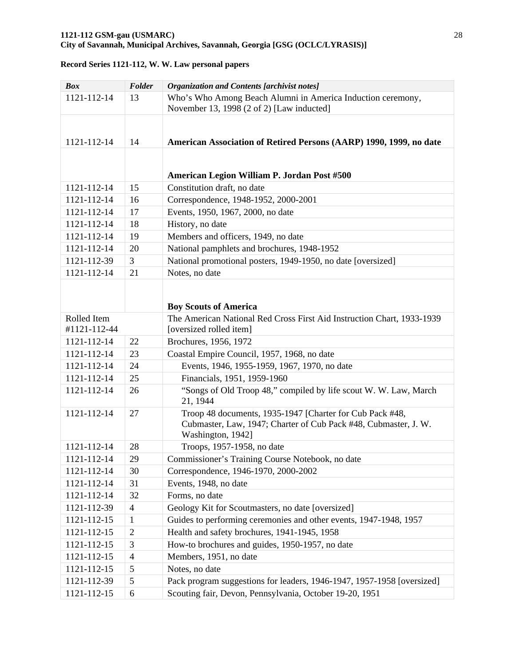| <b>Box</b>   | Folder         | <b>Organization and Contents [archivist notes]</b>                                                                                               |
|--------------|----------------|--------------------------------------------------------------------------------------------------------------------------------------------------|
| 1121-112-14  | 13             | Who's Who Among Beach Alumni in America Induction ceremony,                                                                                      |
|              |                | November 13, 1998 (2 of 2) [Law inducted]                                                                                                        |
|              |                |                                                                                                                                                  |
| 1121-112-14  | 14             | American Association of Retired Persons (AARP) 1990, 1999, no date                                                                               |
|              |                |                                                                                                                                                  |
|              |                | American Legion William P. Jordan Post #500                                                                                                      |
| 1121-112-14  | 15             | Constitution draft, no date                                                                                                                      |
| 1121-112-14  | 16             | Correspondence, 1948-1952, 2000-2001                                                                                                             |
| 1121-112-14  | 17             | Events, 1950, 1967, 2000, no date                                                                                                                |
| 1121-112-14  | 18             | History, no date                                                                                                                                 |
| 1121-112-14  | 19             | Members and officers, 1949, no date                                                                                                              |
| 1121-112-14  | 20             | National pamphlets and brochures, 1948-1952                                                                                                      |
| 1121-112-39  | 3              | National promotional posters, 1949-1950, no date [oversized]                                                                                     |
| 1121-112-14  | 21             | Notes, no date                                                                                                                                   |
|              |                |                                                                                                                                                  |
|              |                |                                                                                                                                                  |
|              |                | <b>Boy Scouts of America</b>                                                                                                                     |
| Rolled Item  |                | The American National Red Cross First Aid Instruction Chart, 1933-1939                                                                           |
| #1121-112-44 |                | [oversized rolled item]                                                                                                                          |
| 1121-112-14  | 22             | Brochures, 1956, 1972                                                                                                                            |
| 1121-112-14  | 23             | Coastal Empire Council, 1957, 1968, no date                                                                                                      |
| 1121-112-14  | 24             | Events, 1946, 1955-1959, 1967, 1970, no date                                                                                                     |
| 1121-112-14  | 25             | Financials, 1951, 1959-1960                                                                                                                      |
| 1121-112-14  | 26             | "Songs of Old Troop 48," compiled by life scout W. W. Law, March<br>21, 1944                                                                     |
| 1121-112-14  | 27             | Troop 48 documents, 1935-1947 [Charter for Cub Pack #48,<br>Cubmaster, Law, 1947; Charter of Cub Pack #48, Cubmaster, J. W.<br>Washington, 1942] |
| 1121-112-14  | 28             | Troops, 1957-1958, no date                                                                                                                       |
| 1121-112-14  | 29             | Commissioner's Training Course Notebook, no date                                                                                                 |
| 1121-112-14  | 30             | Correspondence, 1946-1970, 2000-2002                                                                                                             |
| 1121-112-14  | 31             | Events, 1948, no date                                                                                                                            |
| 1121-112-14  | 32             | Forms, no date                                                                                                                                   |
| 1121-112-39  | $\overline{4}$ | Geology Kit for Scoutmasters, no date [oversized]                                                                                                |
| 1121-112-15  | $\mathbf{1}$   | Guides to performing ceremonies and other events, 1947-1948, 1957                                                                                |
| 1121-112-15  | $\mathbf{2}$   | Health and safety brochures, 1941-1945, 1958                                                                                                     |
| 1121-112-15  | 3              | How-to brochures and guides, 1950-1957, no date                                                                                                  |
| 1121-112-15  | 4              | Members, 1951, no date                                                                                                                           |
| 1121-112-15  | 5              | Notes, no date                                                                                                                                   |
| 1121-112-39  | 5              | Pack program suggestions for leaders, 1946-1947, 1957-1958 [oversized]                                                                           |
| 1121-112-15  | 6              | Scouting fair, Devon, Pennsylvania, October 19-20, 1951                                                                                          |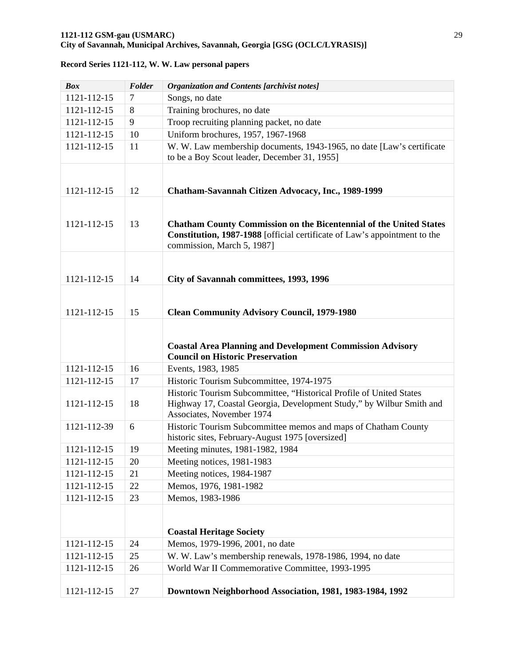| <b>Box</b>  | Folder | <b>Organization and Contents [archivist notes]</b>                                                                                                                                   |
|-------------|--------|--------------------------------------------------------------------------------------------------------------------------------------------------------------------------------------|
| 1121-112-15 | $\tau$ | Songs, no date                                                                                                                                                                       |
| 1121-112-15 | 8      | Training brochures, no date                                                                                                                                                          |
| 1121-112-15 | 9      | Troop recruiting planning packet, no date                                                                                                                                            |
| 1121-112-15 | 10     | Uniform brochures, 1957, 1967-1968                                                                                                                                                   |
| 1121-112-15 | 11     | W. W. Law membership documents, 1943-1965, no date [Law's certificate<br>to be a Boy Scout leader, December 31, 1955]                                                                |
| 1121-112-15 | 12     | Chatham-Savannah Citizen Advocacy, Inc., 1989-1999                                                                                                                                   |
| 1121-112-15 | 13     | <b>Chatham County Commission on the Bicentennial of the United States</b><br>Constitution, 1987-1988 [official certificate of Law's appointment to the<br>commission, March 5, 1987] |
|             |        |                                                                                                                                                                                      |
| 1121-112-15 | 14     | City of Savannah committees, 1993, 1996                                                                                                                                              |
|             |        |                                                                                                                                                                                      |
| 1121-112-15 |        |                                                                                                                                                                                      |
|             | 15     | <b>Clean Community Advisory Council, 1979-1980</b>                                                                                                                                   |
|             |        |                                                                                                                                                                                      |
|             |        | <b>Coastal Area Planning and Development Commission Advisory</b><br><b>Council on Historic Preservation</b>                                                                          |
| 1121-112-15 | 16     | Events, 1983, 1985                                                                                                                                                                   |
| 1121-112-15 | 17     | Historic Tourism Subcommittee, 1974-1975                                                                                                                                             |
| 1121-112-15 | 18     | Historic Tourism Subcommittee, "Historical Profile of United States<br>Highway 17, Coastal Georgia, Development Study," by Wilbur Smith and<br>Associates, November 1974             |
| 1121-112-39 | 6      | Historic Tourism Subcommittee memos and maps of Chatham County<br>historic sites, February-August 1975 [oversized]                                                                   |
| 1121-112-15 | 19     | Meeting minutes, 1981-1982, 1984                                                                                                                                                     |
| 1121-112-15 | 20     | Meeting notices, 1981-1983                                                                                                                                                           |
| 1121-112-15 | 21     | Meeting notices, 1984-1987                                                                                                                                                           |
| 1121-112-15 | 22     | Memos, 1976, 1981-1982                                                                                                                                                               |
| 1121-112-15 | 23     | Memos, 1983-1986                                                                                                                                                                     |
|             |        | <b>Coastal Heritage Society</b>                                                                                                                                                      |
| 1121-112-15 | 24     | Memos, 1979-1996, 2001, no date                                                                                                                                                      |
| 1121-112-15 | 25     | W. W. Law's membership renewals, 1978-1986, 1994, no date                                                                                                                            |
| 1121-112-15 | 26     | World War II Commemorative Committee, 1993-1995                                                                                                                                      |
| 1121-112-15 | 27     | Downtown Neighborhood Association, 1981, 1983-1984, 1992                                                                                                                             |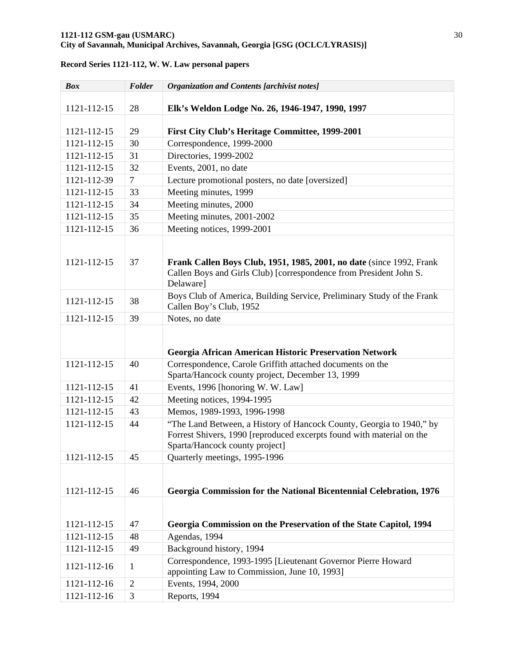# **1121-112 GSM-gau (USMARC)** 30

## **City of Savannah, Municipal Archives, Savannah, Georgia [GSG (OCLC/LYRASIS)]**

| <b>Box</b>  | Folder         | <b>Organization and Contents [archivist notes]</b>                                                                                                                              |
|-------------|----------------|---------------------------------------------------------------------------------------------------------------------------------------------------------------------------------|
| 1121-112-15 | 28             | Elk's Weldon Lodge No. 26, 1946-1947, 1990, 1997                                                                                                                                |
| 1121-112-15 | 29             | First City Club's Heritage Committee, 1999-2001                                                                                                                                 |
| 1121-112-15 | 30             | Correspondence, 1999-2000                                                                                                                                                       |
| 1121-112-15 | 31             | Directories, 1999-2002                                                                                                                                                          |
| 1121-112-15 | 32             | Events, 2001, no date                                                                                                                                                           |
| 1121-112-39 | $\overline{7}$ | Lecture promotional posters, no date [oversized]                                                                                                                                |
| 1121-112-15 | 33             | Meeting minutes, 1999                                                                                                                                                           |
| 1121-112-15 | 34             | Meeting minutes, 2000                                                                                                                                                           |
| 1121-112-15 | 35             | Meeting minutes, 2001-2002                                                                                                                                                      |
| 1121-112-15 | 36             | Meeting notices, 1999-2001                                                                                                                                                      |
| 1121-112-15 | 37             | Frank Callen Boys Club, 1951, 1985, 2001, no date (since 1992, Frank<br>Callen Boys and Girls Club) [correspondence from President John S.<br>Delaware]                         |
| 1121-112-15 | 38             | Boys Club of America, Building Service, Preliminary Study of the Frank<br>Callen Boy's Club, 1952                                                                               |
| 1121-112-15 | 39             | Notes, no date                                                                                                                                                                  |
|             |                | Georgia African American Historic Preservation Network                                                                                                                          |
| 1121-112-15 | 40             | Correspondence, Carole Griffith attached documents on the<br>Sparta/Hancock county project, December 13, 1999                                                                   |
| 1121-112-15 | 41             | Events, 1996 [honoring W. W. Law]                                                                                                                                               |
| 1121-112-15 | 42             | Meeting notices, 1994-1995                                                                                                                                                      |
| 1121-112-15 | 43             | Memos, 1989-1993, 1996-1998                                                                                                                                                     |
| 1121-112-15 | 44             | "The Land Between, a History of Hancock County, Georgia to 1940," by<br>Forrest Shivers, 1990 [reproduced excerpts found with material on the<br>Sparta/Hancock county project] |
| 1121-112-15 | 45             | Quarterly meetings, 1995-1996                                                                                                                                                   |
| 1121-112-15 | 46             | Georgia Commission for the National Bicentennial Celebration, 1976                                                                                                              |
| 1121-112-15 | 47             | Georgia Commission on the Preservation of the State Capitol, 1994                                                                                                               |
| 1121-112-15 | 48             | Agendas, 1994                                                                                                                                                                   |
| 1121-112-15 | 49             | Background history, 1994                                                                                                                                                        |
| 1121-112-16 | $\mathbf{1}$   | Correspondence, 1993-1995 [Lieutenant Governor Pierre Howard<br>appointing Law to Commission, June 10, 1993]                                                                    |
| 1121-112-16 | $\overline{2}$ | Events, 1994, 2000                                                                                                                                                              |
| 1121-112-16 | 3              | Reports, 1994                                                                                                                                                                   |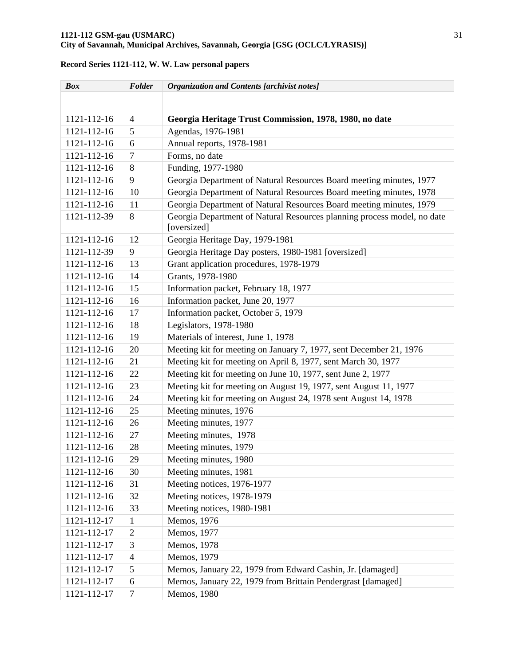### **1121-112 GSM-gau (USMARC)** 31 **City of Savannah, Municipal Archives, Savannah, Georgia [GSG (OCLC/LYRASIS)]**

# *Box Folder Organization and Contents [archivist notes]*  1121-112-16 4 **Georgia Heritage Trust Commission, 1978, 1980, no date**  1121-112-16 5 Agendas, 1976-1981 1121-112-16 6 Annual reports, 1978-1981 1121-112-16 7 Forms, no date 1121-112-16 8 Funding, 1977-1980 1121-112-16 9 Georgia Department of Natural Resources Board meeting minutes, 1977 1121-112-16 10 Georgia Department of Natural Resources Board meeting minutes, 1978 1121-112-16 11 Georgia Department of Natural Resources Board meeting minutes, 1979 1121-112-39 8 Georgia Department of Natural Resources planning process model, no date [oversized] 1121-112-16 12 Georgia Heritage Day, 1979-1981 1121-112-39 9 Georgia Heritage Day posters, 1980-1981 [oversized] 1121-112-16 13 Grant application procedures, 1978-1979 1121-112-16 14 Grants, 1978-1980 1121-112-16 15 Information packet, February 18, 1977 1121-112-16 16 Information packet, June 20, 1977 1121-112-16 17 Information packet, October 5, 1979 1121-112-16 18 Legislators, 1978-1980 1121-112-16 19 Materials of interest, June 1, 1978 1121-112-16 20 Meeting kit for meeting on January 7, 1977, sent December 21, 1976 1121-112-16 21 Meeting kit for meeting on April 8, 1977, sent March 30, 1977 1121-112-16 22 Meeting kit for meeting on June 10, 1977, sent June 2, 1977 1121-112-16 23 Meeting kit for meeting on August 19, 1977, sent August 11, 1977 1121-112-16 24 Meeting kit for meeting on August 24, 1978 sent August 14, 1978 1121-112-16 25 Meeting minutes, 1976 1121-112-16 26 Meeting minutes, 1977 1121-112-16 27 Meeting minutes, 1978 1121-112-16 28 Meeting minutes, 1979 1121-112-16 29 Meeting minutes, 1980 1121-112-16 30 Meeting minutes, 1981 1121-112-16 31 Meeting notices, 1976-1977 1121-112-16 32 Meeting notices, 1978-1979 1121-112-16 33 Meeting notices, 1980-1981 1121-112-17 | 1 | Memos, 1976 1121-112-17 2 Memos, 1977 1121-112-17 3 Memos, 1978 1121-112-17 | 4 | Memos, 1979 1121-112-17 5 Memos, January 22, 1979 from Edward Cashin, Jr. [damaged] 1121-112-17 6 Memos, January 22, 1979 from Brittain Pendergrast [damaged] 1121-112-17 | 7 | Memos, 1980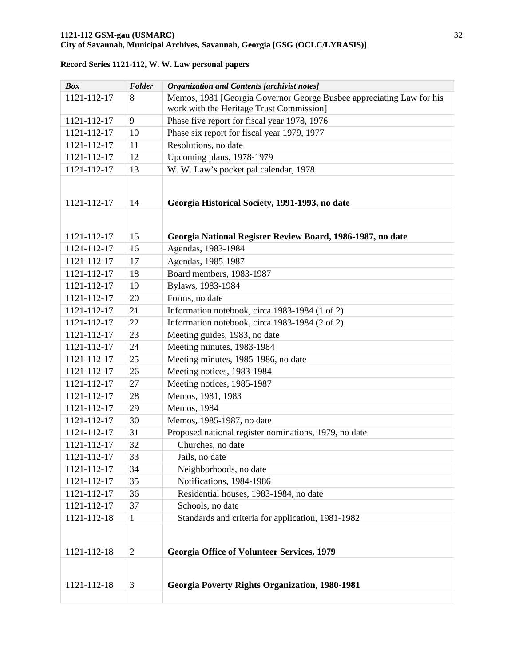| <b>Box</b>  | Folder         | <b>Organization and Contents [archivist notes]</b>                   |
|-------------|----------------|----------------------------------------------------------------------|
| 1121-112-17 | 8              | Memos, 1981 [Georgia Governor George Busbee appreciating Law for his |
|             |                | work with the Heritage Trust Commission]                             |
| 1121-112-17 | 9              | Phase five report for fiscal year 1978, 1976                         |
| 1121-112-17 | 10             | Phase six report for fiscal year 1979, 1977                          |
| 1121-112-17 | 11             | Resolutions, no date                                                 |
| 1121-112-17 | 12             | Upcoming plans, 1978-1979                                            |
| 1121-112-17 | 13             | W. W. Law's pocket pal calendar, 1978                                |
|             |                |                                                                      |
|             |                |                                                                      |
| 1121-112-17 | 14             | Georgia Historical Society, 1991-1993, no date                       |
|             |                |                                                                      |
| 1121-112-17 | 15             | Georgia National Register Review Board, 1986-1987, no date           |
| 1121-112-17 | 16             | Agendas, 1983-1984                                                   |
| 1121-112-17 | 17             | Agendas, 1985-1987                                                   |
| 1121-112-17 | 18             | Board members, 1983-1987                                             |
| 1121-112-17 | 19             | Bylaws, 1983-1984                                                    |
|             |                | Forms, no date                                                       |
| 1121-112-17 | 20             |                                                                      |
| 1121-112-17 | 21             | Information notebook, circa 1983-1984 (1 of 2)                       |
| 1121-112-17 | 22             | Information notebook, circa 1983-1984 (2 of 2)                       |
| 1121-112-17 | 23             | Meeting guides, 1983, no date                                        |
| 1121-112-17 | 24             | Meeting minutes, 1983-1984                                           |
| 1121-112-17 | 25             | Meeting minutes, 1985-1986, no date                                  |
| 1121-112-17 | 26             | Meeting notices, 1983-1984                                           |
| 1121-112-17 | 27             | Meeting notices, 1985-1987                                           |
| 1121-112-17 | 28             | Memos, 1981, 1983                                                    |
| 1121-112-17 | 29             | Memos, 1984                                                          |
| 1121-112-17 | 30             | Memos, 1985-1987, no date                                            |
| 1121-112-17 | 31             | Proposed national register nominations, 1979, no date                |
| 1121-112-17 | 32             | Churches, no date                                                    |
| 1121-112-17 | 33             | Jails, no date                                                       |
| 1121-112-17 | 34             | Neighborhoods, no date                                               |
| 1121-112-17 | 35             | Notifications, 1984-1986                                             |
| 1121-112-17 | 36             | Residential houses, 1983-1984, no date                               |
| 1121-112-17 | 37             | Schools, no date                                                     |
| 1121-112-18 | $\mathbf{1}$   | Standards and criteria for application, 1981-1982                    |
|             |                |                                                                      |
|             |                |                                                                      |
| 1121-112-18 | $\overline{2}$ | <b>Georgia Office of Volunteer Services, 1979</b>                    |
|             |                |                                                                      |
| 1121-112-18 | 3              | <b>Georgia Poverty Rights Organization, 1980-1981</b>                |
|             |                |                                                                      |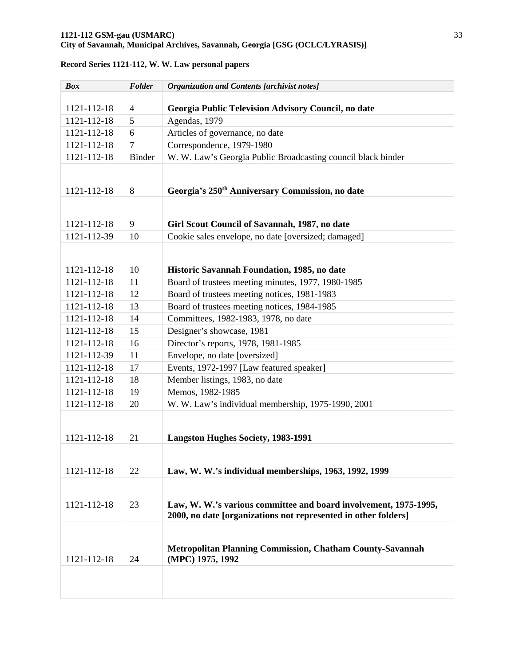| <b>Box</b>  | Folder         | <b>Organization and Contents [archivist notes]</b>               |
|-------------|----------------|------------------------------------------------------------------|
|             |                |                                                                  |
| 1121-112-18 | 4              | Georgia Public Television Advisory Council, no date              |
| 1121-112-18 | 5              | Agendas, 1979                                                    |
| 1121-112-18 | 6              | Articles of governance, no date                                  |
| 1121-112-18 | $\overline{7}$ | Correspondence, 1979-1980                                        |
| 1121-112-18 | <b>Binder</b>  | W. W. Law's Georgia Public Broadcasting council black binder     |
|             |                |                                                                  |
| 1121-112-18 | 8              | Georgia's 250 <sup>th</sup> Anniversary Commission, no date      |
|             |                |                                                                  |
|             |                |                                                                  |
| 1121-112-18 | 9              | Girl Scout Council of Savannah, 1987, no date                    |
| 1121-112-39 | 10             | Cookie sales envelope, no date [oversized; damaged]              |
|             |                |                                                                  |
|             |                |                                                                  |
| 1121-112-18 | 10             | Historic Savannah Foundation, 1985, no date                      |
| 1121-112-18 | 11             | Board of trustees meeting minutes, 1977, 1980-1985               |
| 1121-112-18 | 12             | Board of trustees meeting notices, 1981-1983                     |
| 1121-112-18 | 13             | Board of trustees meeting notices, 1984-1985                     |
| 1121-112-18 | 14             | Committees, 1982-1983, 1978, no date                             |
| 1121-112-18 | 15             | Designer's showcase, 1981                                        |
| 1121-112-18 | 16             | Director's reports, 1978, 1981-1985                              |
| 1121-112-39 | 11             | Envelope, no date [oversized]                                    |
| 1121-112-18 | 17             | Events, 1972-1997 [Law featured speaker]                         |
| 1121-112-18 | 18             | Member listings, 1983, no date                                   |
| 1121-112-18 | 19             | Memos, 1982-1985                                                 |
| 1121-112-18 | 20             | W. W. Law's individual membership, 1975-1990, 2001               |
|             |                |                                                                  |
|             |                |                                                                  |
| 1121-112-18 | 21             | <b>Langston Hughes Society, 1983-1991</b>                        |
|             |                |                                                                  |
| 1121-112-18 | 22             | Law, W. W.'s individual memberships, 1963, 1992, 1999            |
|             |                |                                                                  |
|             |                |                                                                  |
| 1121-112-18 | 23             | Law, W. W.'s various committee and board involvement, 1975-1995, |
|             |                | 2000, no date [organizations not represented in other folders]   |
|             |                |                                                                  |
|             |                |                                                                  |
|             |                | <b>Metropolitan Planning Commission, Chatham County-Savannah</b> |
| 1121-112-18 | 24             | (MPC) 1975, 1992                                                 |
|             |                |                                                                  |
|             |                |                                                                  |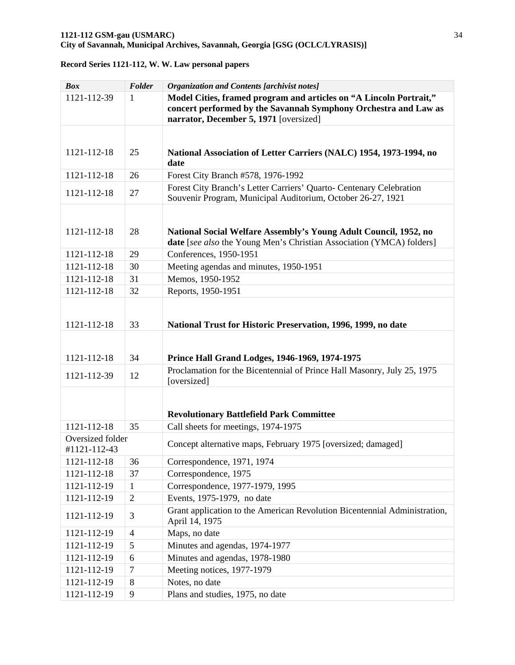| <b>Box</b>                       | Folder         | <b>Organization and Contents [archivist notes]</b>                                                                                                                              |
|----------------------------------|----------------|---------------------------------------------------------------------------------------------------------------------------------------------------------------------------------|
| 1121-112-39                      | 1              | Model Cities, framed program and articles on "A Lincoln Portrait,"<br>concert performed by the Savannah Symphony Orchestra and Law as<br>narrator, December 5, 1971 [oversized] |
|                                  |                |                                                                                                                                                                                 |
| 1121-112-18                      | 25             | National Association of Letter Carriers (NALC) 1954, 1973-1994, no<br>date                                                                                                      |
| 1121-112-18                      | 26             | Forest City Branch #578, 1976-1992                                                                                                                                              |
| 1121-112-18                      | 27             | Forest City Branch's Letter Carriers' Quarto- Centenary Celebration<br>Souvenir Program, Municipal Auditorium, October 26-27, 1921                                              |
| 1121-112-18                      | 28             | National Social Welfare Assembly's Young Adult Council, 1952, no<br>date [see also the Young Men's Christian Association (YMCA) folders]                                        |
| 1121-112-18                      | 29             | Conferences, 1950-1951                                                                                                                                                          |
| 1121-112-18                      | 30             | Meeting agendas and minutes, 1950-1951                                                                                                                                          |
| 1121-112-18                      | 31             | Memos, 1950-1952                                                                                                                                                                |
| 1121-112-18                      | 32             | Reports, 1950-1951                                                                                                                                                              |
| 1121-112-18                      | 33             | National Trust for Historic Preservation, 1996, 1999, no date                                                                                                                   |
|                                  |                |                                                                                                                                                                                 |
| 1121-112-18                      | 34             | Prince Hall Grand Lodges, 1946-1969, 1974-1975                                                                                                                                  |
| 1121-112-39                      | 12             | Proclamation for the Bicentennial of Prince Hall Masonry, July 25, 1975<br>[oversized]                                                                                          |
|                                  |                | <b>Revolutionary Battlefield Park Committee</b>                                                                                                                                 |
| 1121-112-18                      | 35             | Call sheets for meetings, 1974-1975                                                                                                                                             |
| Oversized folder<br>#1121-112-43 |                | Concept alternative maps, February 1975 [oversized; damaged]                                                                                                                    |
| 1121-112-18                      | 36             | Correspondence, 1971, 1974                                                                                                                                                      |
| 1121-112-18                      | 37             | Correspondence, 1975                                                                                                                                                            |
| 1121-112-19                      | $\mathbf{1}$   | Correspondence, 1977-1979, 1995                                                                                                                                                 |
| 1121-112-19                      | $\mathfrak{2}$ | Events, 1975-1979, no date                                                                                                                                                      |
| 1121-112-19                      | 3              | Grant application to the American Revolution Bicentennial Administration,<br>April 14, 1975                                                                                     |
| 1121-112-19                      | $\overline{4}$ | Maps, no date                                                                                                                                                                   |
| 1121-112-19                      | 5              | Minutes and agendas, 1974-1977                                                                                                                                                  |
| 1121-112-19                      | 6              | Minutes and agendas, 1978-1980                                                                                                                                                  |
| 1121-112-19                      | $\tau$         | Meeting notices, 1977-1979                                                                                                                                                      |
| 1121-112-19                      | 8              | Notes, no date                                                                                                                                                                  |
| 1121-112-19                      | 9              | Plans and studies, 1975, no date                                                                                                                                                |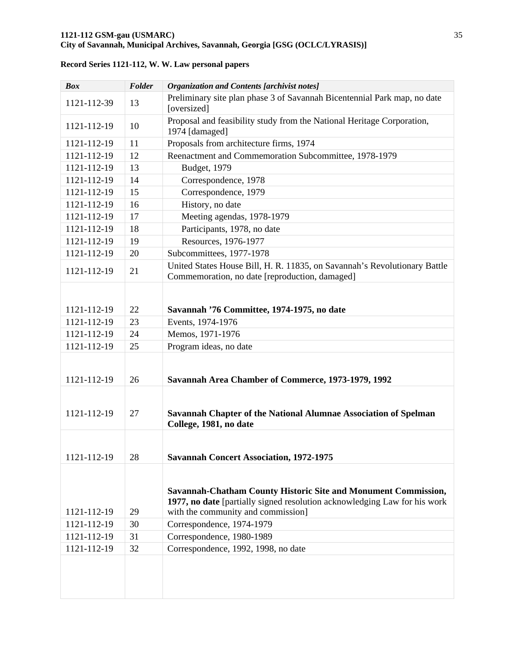| <b>Box</b>  | Folder | <b>Organization and Contents [archivist notes]</b>                                                                                                                                |
|-------------|--------|-----------------------------------------------------------------------------------------------------------------------------------------------------------------------------------|
| 1121-112-39 | 13     | Preliminary site plan phase 3 of Savannah Bicentennial Park map, no date<br>[oversized]                                                                                           |
| 1121-112-19 | 10     | Proposal and feasibility study from the National Heritage Corporation,<br>1974 [damaged]                                                                                          |
| 1121-112-19 | 11     | Proposals from architecture firms, 1974                                                                                                                                           |
| 1121-112-19 | 12     | Reenactment and Commemoration Subcommittee, 1978-1979                                                                                                                             |
| 1121-112-19 | 13     | <b>Budget</b> , 1979                                                                                                                                                              |
| 1121-112-19 | 14     | Correspondence, 1978                                                                                                                                                              |
| 1121-112-19 | 15     | Correspondence, 1979                                                                                                                                                              |
| 1121-112-19 | 16     | History, no date                                                                                                                                                                  |
| 1121-112-19 | 17     | Meeting agendas, 1978-1979                                                                                                                                                        |
| 1121-112-19 | 18     | Participants, 1978, no date                                                                                                                                                       |
| 1121-112-19 | 19     | Resources, 1976-1977                                                                                                                                                              |
| 1121-112-19 | 20     | Subcommittees, 1977-1978                                                                                                                                                          |
| 1121-112-19 | 21     | United States House Bill, H. R. 11835, on Savannah's Revolutionary Battle<br>Commemoration, no date [reproduction, damaged]                                                       |
|             |        |                                                                                                                                                                                   |
| 1121-112-19 | 22     | Savannah '76 Committee, 1974-1975, no date                                                                                                                                        |
| 1121-112-19 | 23     | Events, 1974-1976                                                                                                                                                                 |
| 1121-112-19 | 24     | Memos, 1971-1976                                                                                                                                                                  |
| 1121-112-19 | 25     | Program ideas, no date                                                                                                                                                            |
| 1121-112-19 | 26     | Savannah Area Chamber of Commerce, 1973-1979, 1992                                                                                                                                |
| 1121-112-19 | 27     | Savannah Chapter of the National Alumnae Association of Spelman<br>College, 1981, no date                                                                                         |
| 1121-112-19 | 28     | <b>Savannah Concert Association, 1972-1975</b>                                                                                                                                    |
| 1121-112-19 | 29     | Savannah-Chatham County Historic Site and Monument Commission,<br>1977, no date [partially signed resolution acknowledging Law for his work<br>with the community and commission] |
| 1121-112-19 | 30     | Correspondence, 1974-1979                                                                                                                                                         |
| 1121-112-19 | 31     | Correspondence, 1980-1989                                                                                                                                                         |
| 1121-112-19 | 32     | Correspondence, 1992, 1998, no date                                                                                                                                               |
|             |        |                                                                                                                                                                                   |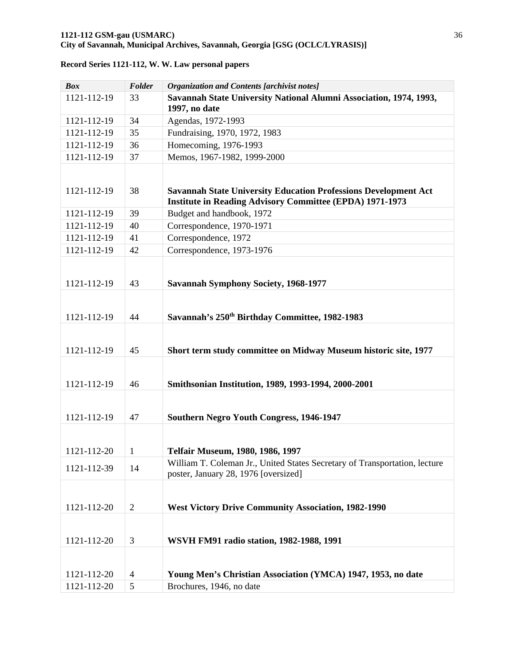| <b>Box</b>                 | Folder                           | <b>Organization and Contents [archivist notes]</b>                                                                                        |
|----------------------------|----------------------------------|-------------------------------------------------------------------------------------------------------------------------------------------|
| 1121-112-19                | 33                               | Savannah State University National Alumni Association, 1974, 1993,<br>1997, no date                                                       |
| 1121-112-19                | 34                               | Agendas, 1972-1993                                                                                                                        |
| 1121-112-19                | 35                               | Fundraising, 1970, 1972, 1983                                                                                                             |
| 1121-112-19                | 36                               | Homecoming, 1976-1993                                                                                                                     |
| 1121-112-19                | 37                               | Memos, 1967-1982, 1999-2000                                                                                                               |
| 1121-112-19                | 38                               | <b>Savannah State University Education Professions Development Act</b><br><b>Institute in Reading Advisory Committee (EPDA) 1971-1973</b> |
| 1121-112-19                | 39                               | Budget and handbook, 1972                                                                                                                 |
| 1121-112-19                | 40                               | Correspondence, 1970-1971                                                                                                                 |
| 1121-112-19                | 41                               | Correspondence, 1972                                                                                                                      |
| 1121-112-19                | 42                               | Correspondence, 1973-1976                                                                                                                 |
| 1121-112-19                | 43                               | <b>Savannah Symphony Society, 1968-1977</b>                                                                                               |
| 1121-112-19                | 44                               | Savannah's 250 <sup>th</sup> Birthday Committee, 1982-1983                                                                                |
| 1121-112-19                | 45                               | Short term study committee on Midway Museum historic site, 1977                                                                           |
| 1121-112-19                | 46                               | Smithsonian Institution, 1989, 1993-1994, 2000-2001                                                                                       |
| 1121-112-19                | 47                               | <b>Southern Negro Youth Congress, 1946-1947</b>                                                                                           |
| 1121-112-20                | 1                                | Telfair Museum, 1980, 1986, 1997                                                                                                          |
| 1121-112-39                | 14                               | William T. Coleman Jr., United States Secretary of Transportation, lecture<br>poster, January 28, 1976 [oversized]                        |
| 1121-112-20                | $\overline{2}$                   | <b>West Victory Drive Community Association, 1982-1990</b>                                                                                |
| 1121-112-20                | 3                                | WSVH FM91 radio station, 1982-1988, 1991                                                                                                  |
| 1121-112-20<br>1121-112-20 | $\overline{4}$<br>$\mathfrak{S}$ | Young Men's Christian Association (YMCA) 1947, 1953, no date<br>Brochures, 1946, no date                                                  |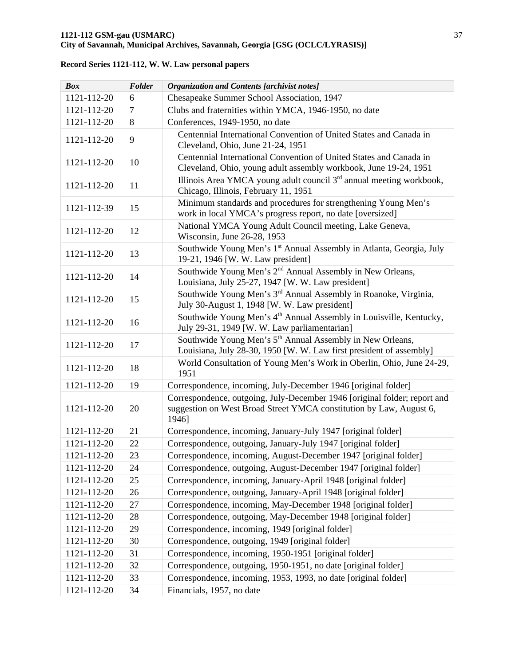| <b>Box</b>  | Folder | <b>Organization and Contents [archivist notes]</b>                                                                                                        |
|-------------|--------|-----------------------------------------------------------------------------------------------------------------------------------------------------------|
| 1121-112-20 | 6      | Chesapeake Summer School Association, 1947                                                                                                                |
| 1121-112-20 | $\tau$ | Clubs and fraternities within YMCA, 1946-1950, no date                                                                                                    |
| 1121-112-20 | 8      | Conferences, 1949-1950, no date                                                                                                                           |
| 1121-112-20 | 9      | Centennial International Convention of United States and Canada in<br>Cleveland, Ohio, June 21-24, 1951                                                   |
| 1121-112-20 | 10     | Centennial International Convention of United States and Canada in<br>Cleveland, Ohio, young adult assembly workbook, June 19-24, 1951                    |
| 1121-112-20 | 11     | Illinois Area YMCA young adult council $3rd$ annual meeting workbook,<br>Chicago, Illinois, February 11, 1951                                             |
| 1121-112-39 | 15     | Minimum standards and procedures for strengthening Young Men's<br>work in local YMCA's progress report, no date [oversized]                               |
| 1121-112-20 | 12     | National YMCA Young Adult Council meeting, Lake Geneva,<br>Wisconsin, June 26-28, 1953                                                                    |
| 1121-112-20 | 13     | Southwide Young Men's 1 <sup>st</sup> Annual Assembly in Atlanta, Georgia, July<br>19-21, 1946 [W. W. Law president]                                      |
| 1121-112-20 | 14     | Southwide Young Men's 2 <sup>nd</sup> Annual Assembly in New Orleans,<br>Louisiana, July 25-27, 1947 [W. W. Law president]                                |
| 1121-112-20 | 15     | Southwide Young Men's 3 <sup>rd</sup> Annual Assembly in Roanoke, Virginia,<br>July 30-August 1, 1948 [W. W. Law president]                               |
| 1121-112-20 | 16     | Southwide Young Men's 4 <sup>th</sup> Annual Assembly in Louisville, Kentucky,<br>July 29-31, 1949 [W. W. Law parliamentarian]                            |
| 1121-112-20 | 17     | Southwide Young Men's 5 <sup>th</sup> Annual Assembly in New Orleans,<br>Louisiana, July 28-30, 1950 [W. W. Law first president of assembly]              |
| 1121-112-20 | 18     | World Consultation of Young Men's Work in Oberlin, Ohio, June 24-29,<br>1951                                                                              |
| 1121-112-20 | 19     | Correspondence, incoming, July-December 1946 [original folder]                                                                                            |
| 1121-112-20 | 20     | Correspondence, outgoing, July-December 1946 [original folder; report and<br>suggestion on West Broad Street YMCA constitution by Law, August 6,<br>1946] |
| 1121-112-20 | 21     | Correspondence, incoming, January-July 1947 [original folder]                                                                                             |
| 1121-112-20 | 22     | Correspondence, outgoing, January-July 1947 [original folder]                                                                                             |
| 1121-112-20 | 23     | Correspondence, incoming, August-December 1947 [original folder]                                                                                          |
| 1121-112-20 | 24     | Correspondence, outgoing, August-December 1947 [original folder]                                                                                          |
| 1121-112-20 | 25     | Correspondence, incoming, January-April 1948 [original folder]                                                                                            |
| 1121-112-20 | 26     | Correspondence, outgoing, January-April 1948 [original folder]                                                                                            |
| 1121-112-20 | 27     | Correspondence, incoming, May-December 1948 [original folder]                                                                                             |
| 1121-112-20 | 28     | Correspondence, outgoing, May-December 1948 [original folder]                                                                                             |
| 1121-112-20 | 29     | Correspondence, incoming, 1949 [original folder]                                                                                                          |
| 1121-112-20 | 30     | Correspondence, outgoing, 1949 [original folder]                                                                                                          |
| 1121-112-20 | 31     | Correspondence, incoming, 1950-1951 [original folder]                                                                                                     |
| 1121-112-20 | 32     | Correspondence, outgoing, 1950-1951, no date [original folder]                                                                                            |
| 1121-112-20 | 33     | Correspondence, incoming, 1953, 1993, no date [original folder]                                                                                           |
| 1121-112-20 | 34     | Financials, 1957, no date                                                                                                                                 |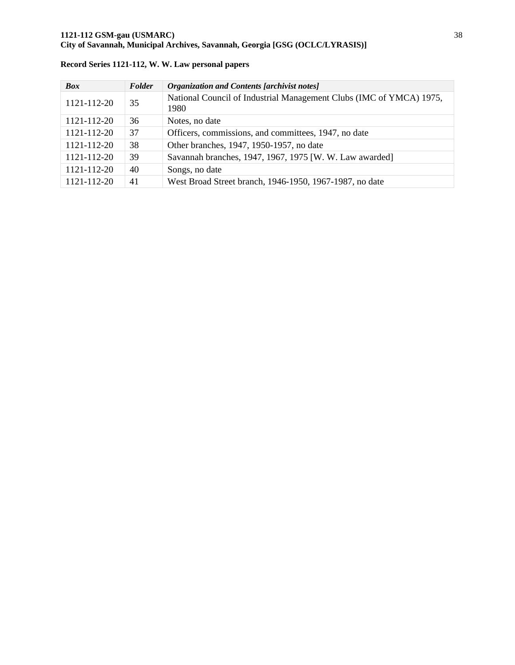| <b>Box</b>  | Folder | <b>Organization and Contents [archivist notes]</b>                          |
|-------------|--------|-----------------------------------------------------------------------------|
| 1121-112-20 | 35     | National Council of Industrial Management Clubs (IMC of YMCA) 1975,<br>1980 |
| 1121-112-20 | 36     | Notes, no date                                                              |
| 1121-112-20 | 37     | Officers, commissions, and committees, 1947, no date                        |
| 1121-112-20 | 38     | Other branches, 1947, 1950-1957, no date                                    |
| 1121-112-20 | 39     | Savannah branches, 1947, 1967, 1975 [W. W. Law awarded]                     |
| 1121-112-20 | 40     | Songs, no date                                                              |
| 1121-112-20 | 41     | West Broad Street branch, 1946-1950, 1967-1987, no date                     |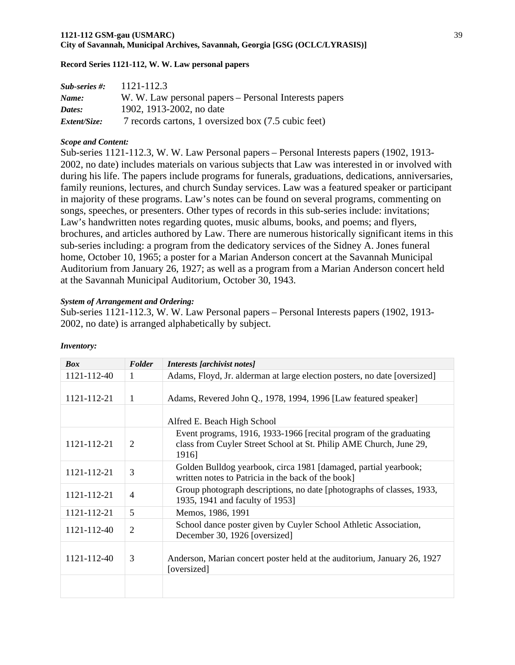#### **1121-112 GSM-gau (USMARC)** 39 **City of Savannah, Municipal Archives, Savannah, Georgia [GSG (OCLC/LYRASIS)]**

#### **Record Series 1121-112, W. W. Law personal papers**

| $Sub-series$ #: | 1121-112.3                                            |
|-----------------|-------------------------------------------------------|
| Name:           | W. W. Law personal papers – Personal Interests papers |
| Dates:          | 1902, 1913-2002, no date                              |
| Extent/Size:    | 7 records cartons, 1 oversized box (7.5 cubic feet)   |

#### *Scope and Content:*

Sub-series 1121-112.3, W. W. Law Personal papers – Personal Interests papers (1902, 1913- 2002, no date) includes materials on various subjects that Law was interested in or involved with during his life. The papers include programs for funerals, graduations, dedications, anniversaries, family reunions, lectures, and church Sunday services. Law was a featured speaker or participant in majority of these programs. Law's notes can be found on several programs, commenting on songs, speeches, or presenters. Other types of records in this sub-series include: invitations; Law's handwritten notes regarding quotes, music albums, books, and poems; and flyers, brochures, and articles authored by Law. There are numerous historically significant items in this sub-series including: a program from the dedicatory services of the Sidney A. Jones funeral home, October 10, 1965; a poster for a Marian Anderson concert at the Savannah Municipal Auditorium from January 26, 1927; as well as a program from a Marian Anderson concert held at the Savannah Municipal Auditorium, October 30, 1943.

#### *System of Arrangement and Ordering:*

Sub-series 1121-112.3, W. W. Law Personal papers – Personal Interests papers (1902, 1913- 2002, no date) is arranged alphabetically by subject.

| <b>Box</b>  | Folder         | Interests [archivist notes]                                                                                                                       |
|-------------|----------------|---------------------------------------------------------------------------------------------------------------------------------------------------|
| 1121-112-40 | $\mathbf{1}$   | Adams, Floyd, Jr. alderman at large election posters, no date [oversized]                                                                         |
| 1121-112-21 | 1              | Adams, Revered John Q., 1978, 1994, 1996 [Law featured speaker]                                                                                   |
|             |                | Alfred E. Beach High School                                                                                                                       |
| 1121-112-21 | 2              | Event programs, 1916, 1933-1966 [recital program of the graduating<br>class from Cuyler Street School at St. Philip AME Church, June 29,<br>1916] |
| 1121-112-21 | 3              | Golden Bulldog yearbook, circa 1981 [damaged, partial yearbook;<br>written notes to Patricia in the back of the book]                             |
| 1121-112-21 | $\overline{4}$ | Group photograph descriptions, no date [photographs of classes, 1933,<br>1935, 1941 and faculty of 1953]                                          |
| 1121-112-21 | 5              | Memos, 1986, 1991                                                                                                                                 |
| 1121-112-40 | $\overline{2}$ | School dance poster given by Cuyler School Athletic Association,<br>December 30, 1926 [oversized]                                                 |
| 1121-112-40 | 3              | Anderson, Marian concert poster held at the auditorium, January 26, 1927<br>[oversized]                                                           |
|             |                |                                                                                                                                                   |

#### *Inventory:*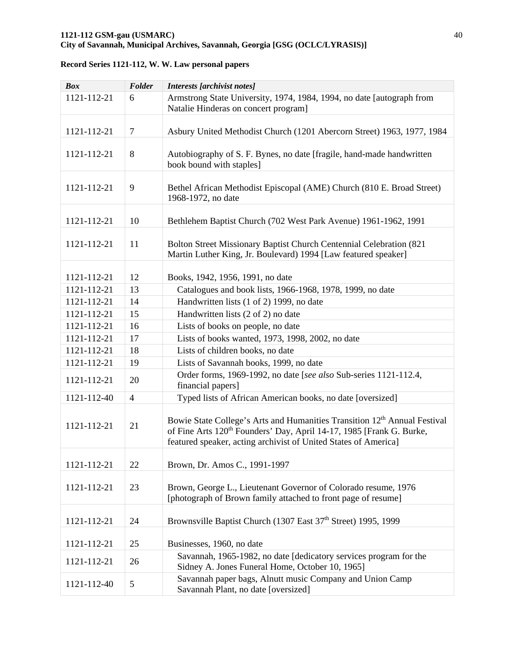| <b>Box</b>  | Folder         | <b>Interests</b> [archivist notes]                                                                                                                                                                                                           |
|-------------|----------------|----------------------------------------------------------------------------------------------------------------------------------------------------------------------------------------------------------------------------------------------|
| 1121-112-21 | 6              | Armstrong State University, 1974, 1984, 1994, no date [autograph from<br>Natalie Hinderas on concert program]                                                                                                                                |
| 1121-112-21 | $\overline{7}$ | Asbury United Methodist Church (1201 Abercorn Street) 1963, 1977, 1984                                                                                                                                                                       |
| 1121-112-21 | 8              | Autobiography of S. F. Bynes, no date [fragile, hand-made handwritten]<br>book bound with staples]                                                                                                                                           |
| 1121-112-21 | 9              | Bethel African Methodist Episcopal (AME) Church (810 E. Broad Street)<br>1968-1972, no date                                                                                                                                                  |
| 1121-112-21 | 10             | Bethlehem Baptist Church (702 West Park Avenue) 1961-1962, 1991                                                                                                                                                                              |
| 1121-112-21 | 11             | Bolton Street Missionary Baptist Church Centennial Celebration (821<br>Martin Luther King, Jr. Boulevard) 1994 [Law featured speaker]                                                                                                        |
|             |                |                                                                                                                                                                                                                                              |
| 1121-112-21 | 12             | Books, 1942, 1956, 1991, no date                                                                                                                                                                                                             |
| 1121-112-21 | 13             | Catalogues and book lists, 1966-1968, 1978, 1999, no date                                                                                                                                                                                    |
| 1121-112-21 | 14             | Handwritten lists (1 of 2) 1999, no date                                                                                                                                                                                                     |
| 1121-112-21 | 15             | Handwritten lists (2 of 2) no date                                                                                                                                                                                                           |
| 1121-112-21 | 16             | Lists of books on people, no date                                                                                                                                                                                                            |
| 1121-112-21 | 17             | Lists of books wanted, 1973, 1998, 2002, no date                                                                                                                                                                                             |
| 1121-112-21 | 18             | Lists of children books, no date                                                                                                                                                                                                             |
| 1121-112-21 | 19             | Lists of Savannah books, 1999, no date                                                                                                                                                                                                       |
| 1121-112-21 | 20             | Order forms, 1969-1992, no date [see also Sub-series 1121-112.4,<br>financial papers]                                                                                                                                                        |
| 1121-112-40 | $\overline{4}$ | Typed lists of African American books, no date [oversized]                                                                                                                                                                                   |
| 1121-112-21 | 21             | Bowie State College's Arts and Humanities Transition 12 <sup>th</sup> Annual Festival<br>of Fine Arts 120 <sup>th</sup> Founders' Day, April 14-17, 1985 [Frank G. Burke,<br>featured speaker, acting archivist of United States of America] |
| 1121-112-21 | 22             | Brown, Dr. Amos C., 1991-1997                                                                                                                                                                                                                |
| 1121-112-21 | 23             | Brown, George L., Lieutenant Governor of Colorado resume, 1976<br>[photograph of Brown family attached to front page of resume]                                                                                                              |
| 1121-112-21 | 24             | Brownsville Baptist Church (1307 East 37 <sup>th</sup> Street) 1995, 1999                                                                                                                                                                    |
| 1121-112-21 | 25             | Businesses, 1960, no date                                                                                                                                                                                                                    |
| 1121-112-21 | 26             | Savannah, 1965-1982, no date [dedicatory services program for the<br>Sidney A. Jones Funeral Home, October 10, 1965]                                                                                                                         |
| 1121-112-40 | 5              | Savannah paper bags, Alnutt music Company and Union Camp<br>Savannah Plant, no date [oversized]                                                                                                                                              |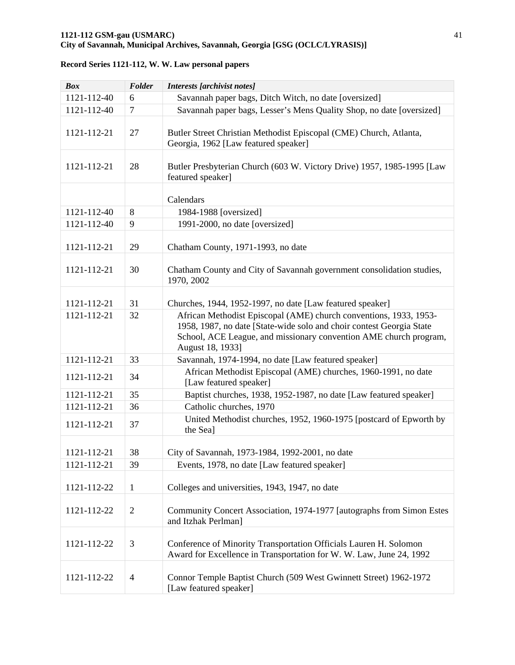| <b>Box</b>  | Folder         | <b>Interests [archivist notes]</b>                                                                                                                                                                                                 |
|-------------|----------------|------------------------------------------------------------------------------------------------------------------------------------------------------------------------------------------------------------------------------------|
| 1121-112-40 | 6              | Savannah paper bags, Ditch Witch, no date [oversized]                                                                                                                                                                              |
| 1121-112-40 | $\overline{7}$ | Savannah paper bags, Lesser's Mens Quality Shop, no date [oversized]                                                                                                                                                               |
| 1121-112-21 | 27             | Butler Street Christian Methodist Episcopal (CME) Church, Atlanta,<br>Georgia, 1962 [Law featured speaker]                                                                                                                         |
| 1121-112-21 | 28             | Butler Presbyterian Church (603 W. Victory Drive) 1957, 1985-1995 [Law<br>featured speaker]                                                                                                                                        |
|             |                | Calendars                                                                                                                                                                                                                          |
| 1121-112-40 | 8              | 1984-1988 [oversized]                                                                                                                                                                                                              |
| 1121-112-40 | 9              | 1991-2000, no date [oversized]                                                                                                                                                                                                     |
| 1121-112-21 | 29             | Chatham County, 1971-1993, no date                                                                                                                                                                                                 |
| 1121-112-21 | 30             | Chatham County and City of Savannah government consolidation studies,<br>1970, 2002                                                                                                                                                |
| 1121-112-21 | 31             | Churches, 1944, 1952-1997, no date [Law featured speaker]                                                                                                                                                                          |
| 1121-112-21 | 32             | African Methodist Episcopal (AME) church conventions, 1933, 1953-<br>1958, 1987, no date [State-wide solo and choir contest Georgia State<br>School, ACE League, and missionary convention AME church program,<br>August 18, 1933] |
| 1121-112-21 | 33             | Savannah, 1974-1994, no date [Law featured speaker]                                                                                                                                                                                |
| 1121-112-21 | 34             | African Methodist Episcopal (AME) churches, 1960-1991, no date<br>[Law featured speaker]                                                                                                                                           |
| 1121-112-21 | 35             | Baptist churches, 1938, 1952-1987, no date [Law featured speaker]                                                                                                                                                                  |
| 1121-112-21 | 36             | Catholic churches, 1970                                                                                                                                                                                                            |
| 1121-112-21 | 37             | United Methodist churches, 1952, 1960-1975 [postcard of Epworth by<br>the Sea]                                                                                                                                                     |
| 1121-112-21 | 38             | City of Savannah, 1973-1984, 1992-2001, no date                                                                                                                                                                                    |
| 1121-112-21 | 39             | Events, 1978, no date [Law featured speaker]                                                                                                                                                                                       |
| 1121-112-22 | $\mathbf{1}$   | Colleges and universities, 1943, 1947, no date                                                                                                                                                                                     |
| 1121-112-22 | $\overline{2}$ | Community Concert Association, 1974-1977 [autographs from Simon Estes<br>and Itzhak Perlman]                                                                                                                                       |
| 1121-112-22 | 3              | Conference of Minority Transportation Officials Lauren H. Solomon<br>Award for Excellence in Transportation for W. W. Law, June 24, 1992                                                                                           |
| 1121-112-22 | $\overline{4}$ | Connor Temple Baptist Church (509 West Gwinnett Street) 1962-1972<br>[Law featured speaker]                                                                                                                                        |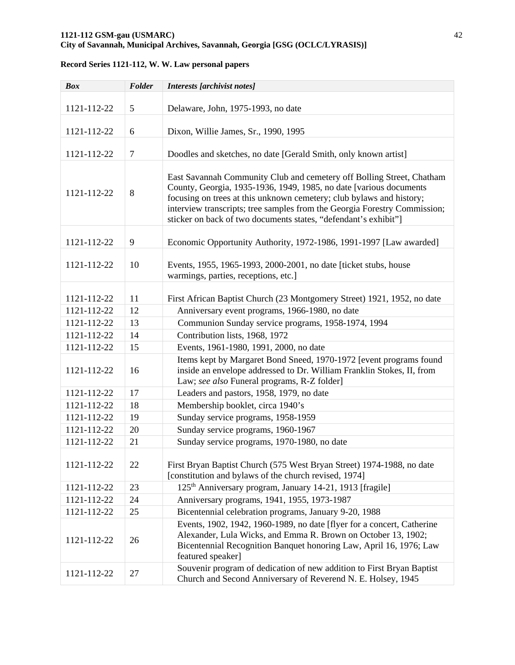# **1121-112 GSM-gau (USMARC)** 42

# **City of Savannah, Municipal Archives, Savannah, Georgia [GSG (OCLC/LYRASIS)]**

| <b>Box</b>  | Folder         | Interests [archivist notes]                                                                                                                                                                                                                                                                                                                                         |
|-------------|----------------|---------------------------------------------------------------------------------------------------------------------------------------------------------------------------------------------------------------------------------------------------------------------------------------------------------------------------------------------------------------------|
| 1121-112-22 | 5              | Delaware, John, 1975-1993, no date                                                                                                                                                                                                                                                                                                                                  |
| 1121-112-22 | 6              | Dixon, Willie James, Sr., 1990, 1995                                                                                                                                                                                                                                                                                                                                |
| 1121-112-22 | $\overline{7}$ | Doodles and sketches, no date [Gerald Smith, only known artist]                                                                                                                                                                                                                                                                                                     |
| 1121-112-22 | 8              | East Savannah Community Club and cemetery off Bolling Street, Chatham<br>County, Georgia, 1935-1936, 1949, 1985, no date [various documents<br>focusing on trees at this unknown cemetery; club bylaws and history;<br>interview transcripts; tree samples from the Georgia Forestry Commission;<br>sticker on back of two documents states, "defendant's exhibit"] |
| 1121-112-22 | 9              | Economic Opportunity Authority, 1972-1986, 1991-1997 [Law awarded]                                                                                                                                                                                                                                                                                                  |
| 1121-112-22 | 10             | Events, 1955, 1965-1993, 2000-2001, no date [ticket stubs, house<br>warmings, parties, receptions, etc.]                                                                                                                                                                                                                                                            |
|             |                |                                                                                                                                                                                                                                                                                                                                                                     |
| 1121-112-22 | 11             | First African Baptist Church (23 Montgomery Street) 1921, 1952, no date                                                                                                                                                                                                                                                                                             |
| 1121-112-22 | 12             | Anniversary event programs, 1966-1980, no date                                                                                                                                                                                                                                                                                                                      |
| 1121-112-22 | 13             | Communion Sunday service programs, 1958-1974, 1994                                                                                                                                                                                                                                                                                                                  |
| 1121-112-22 | 14             | Contribution lists, 1968, 1972                                                                                                                                                                                                                                                                                                                                      |
| 1121-112-22 | 15             | Events, 1961-1980, 1991, 2000, no date                                                                                                                                                                                                                                                                                                                              |
| 1121-112-22 | 16             | Items kept by Margaret Bond Sneed, 1970-1972 [event programs found<br>inside an envelope addressed to Dr. William Franklin Stokes, II, from<br>Law; see also Funeral programs, R-Z folder]                                                                                                                                                                          |
| 1121-112-22 | 17             | Leaders and pastors, 1958, 1979, no date                                                                                                                                                                                                                                                                                                                            |
| 1121-112-22 | 18             | Membership booklet, circa 1940's                                                                                                                                                                                                                                                                                                                                    |
| 1121-112-22 | 19             | Sunday service programs, 1958-1959                                                                                                                                                                                                                                                                                                                                  |
| 1121-112-22 | 20             | Sunday service programs, 1960-1967                                                                                                                                                                                                                                                                                                                                  |
| 1121-112-22 | 21             | Sunday service programs, 1970-1980, no date                                                                                                                                                                                                                                                                                                                         |
| 1121-112-22 | 22             | First Bryan Baptist Church (575 West Bryan Street) 1974-1988, no date<br>[constitution and bylaws of the church revised, 1974]                                                                                                                                                                                                                                      |
| 1121-112-22 | 23             | 125 <sup>th</sup> Anniversary program, January 14-21, 1913 [fragile]                                                                                                                                                                                                                                                                                                |
| 1121-112-22 | 24             | Anniversary programs, 1941, 1955, 1973-1987                                                                                                                                                                                                                                                                                                                         |
| 1121-112-22 | 25             | Bicentennial celebration programs, January 9-20, 1988                                                                                                                                                                                                                                                                                                               |
| 1121-112-22 | 26             | Events, 1902, 1942, 1960-1989, no date [flyer for a concert, Catherine<br>Alexander, Lula Wicks, and Emma R. Brown on October 13, 1902;<br>Bicentennial Recognition Banquet honoring Law, April 16, 1976; Law<br>featured speaker]                                                                                                                                  |
| 1121-112-22 | 27             | Souvenir program of dedication of new addition to First Bryan Baptist<br>Church and Second Anniversary of Reverend N. E. Holsey, 1945                                                                                                                                                                                                                               |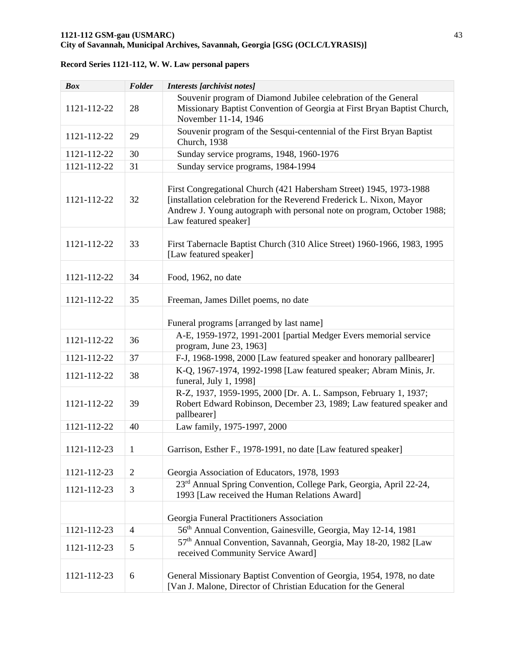| <b>Box</b>  | Folder         | Interests [archivist notes]                                                                                                                                                                                                                   |
|-------------|----------------|-----------------------------------------------------------------------------------------------------------------------------------------------------------------------------------------------------------------------------------------------|
| 1121-112-22 | 28             | Souvenir program of Diamond Jubilee celebration of the General<br>Missionary Baptist Convention of Georgia at First Bryan Baptist Church,<br>November 11-14, 1946                                                                             |
| 1121-112-22 | 29             | Souvenir program of the Sesqui-centennial of the First Bryan Baptist<br>Church, 1938                                                                                                                                                          |
| 1121-112-22 | 30             | Sunday service programs, 1948, 1960-1976                                                                                                                                                                                                      |
| 1121-112-22 | 31             | Sunday service programs, 1984-1994                                                                                                                                                                                                            |
| 1121-112-22 | 32             | First Congregational Church (421 Habersham Street) 1945, 1973-1988<br>[installation celebration for the Reverend Frederick L. Nixon, Mayor<br>Andrew J. Young autograph with personal note on program, October 1988;<br>Law featured speaker] |
| 1121-112-22 | 33             | First Tabernacle Baptist Church (310 Alice Street) 1960-1966, 1983, 1995<br>[Law featured speaker]                                                                                                                                            |
| 1121-112-22 | 34             | Food, 1962, no date                                                                                                                                                                                                                           |
| 1121-112-22 | 35             | Freeman, James Dillet poems, no date                                                                                                                                                                                                          |
|             |                | Funeral programs [arranged by last name]                                                                                                                                                                                                      |
| 1121-112-22 | 36             | A-E, 1959-1972, 1991-2001 [partial Medger Evers memorial service<br>program, June 23, 1963]                                                                                                                                                   |
| 1121-112-22 | 37             | F-J, 1968-1998, 2000 [Law featured speaker and honorary pallbearer]                                                                                                                                                                           |
| 1121-112-22 | 38             | K-O, 1967-1974, 1992-1998 [Law featured speaker; Abram Minis, Jr.<br>funeral, July 1, 1998]                                                                                                                                                   |
| 1121-112-22 | 39             | R-Z, 1937, 1959-1995, 2000 [Dr. A. L. Sampson, February 1, 1937;<br>Robert Edward Robinson, December 23, 1989; Law featured speaker and<br>pallbearer]                                                                                        |
| 1121-112-22 | 40             | Law family, 1975-1997, 2000                                                                                                                                                                                                                   |
| 1121-112-23 | 1              | Garrison, Esther F., 1978-1991, no date [Law featured speaker]                                                                                                                                                                                |
| 1121-112-23 | $\overline{2}$ | Georgia Association of Educators, 1978, 1993                                                                                                                                                                                                  |
| 1121-112-23 | 3              | 23 <sup>rd</sup> Annual Spring Convention, College Park, Georgia, April 22-24,<br>1993 [Law received the Human Relations Award]                                                                                                               |
|             |                | Georgia Funeral Practitioners Association                                                                                                                                                                                                     |
| 1121-112-23 | $\overline{4}$ | 56 <sup>th</sup> Annual Convention, Gainesville, Georgia, May 12-14, 1981                                                                                                                                                                     |
| 1121-112-23 | 5              | 57 <sup>th</sup> Annual Convention, Savannah, Georgia, May 18-20, 1982 [Law<br>received Community Service Award]                                                                                                                              |
| 1121-112-23 | 6              | General Missionary Baptist Convention of Georgia, 1954, 1978, no date<br>[Van J. Malone, Director of Christian Education for the General                                                                                                      |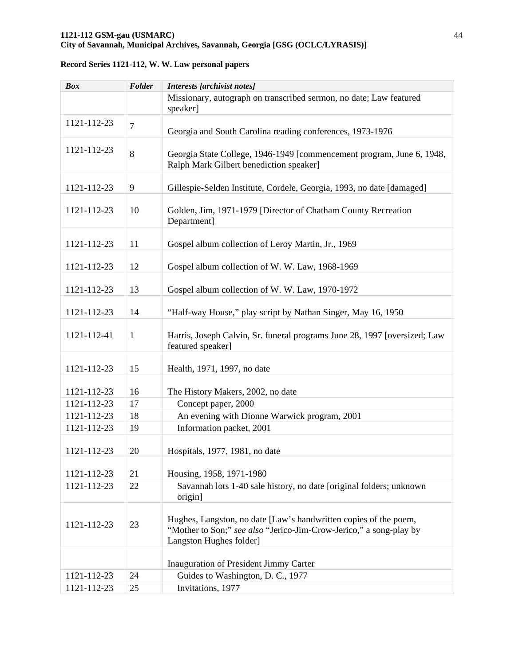| <b>Box</b>  | Folder         | Interests [archivist notes]                                                                                                                                       |
|-------------|----------------|-------------------------------------------------------------------------------------------------------------------------------------------------------------------|
|             |                | Missionary, autograph on transcribed sermon, no date; Law featured<br>speaker]                                                                                    |
| 1121-112-23 | $\overline{7}$ | Georgia and South Carolina reading conferences, 1973-1976                                                                                                         |
| 1121-112-23 | 8              | Georgia State College, 1946-1949 [commencement program, June 6, 1948,<br>Ralph Mark Gilbert benediction speaker]                                                  |
| 1121-112-23 | 9              | Gillespie-Selden Institute, Cordele, Georgia, 1993, no date [damaged]                                                                                             |
| 1121-112-23 | 10             | Golden, Jim, 1971-1979 [Director of Chatham County Recreation<br>Department]                                                                                      |
| 1121-112-23 | 11             | Gospel album collection of Leroy Martin, Jr., 1969                                                                                                                |
| 1121-112-23 | 12             | Gospel album collection of W. W. Law, 1968-1969                                                                                                                   |
| 1121-112-23 | 13             | Gospel album collection of W. W. Law, 1970-1972                                                                                                                   |
| 1121-112-23 | 14             | "Half-way House," play script by Nathan Singer, May 16, 1950                                                                                                      |
| 1121-112-41 | $\mathbf{1}$   | Harris, Joseph Calvin, Sr. funeral programs June 28, 1997 [oversized; Law<br>featured speaker]                                                                    |
| 1121-112-23 | 15             | Health, 1971, 1997, no date                                                                                                                                       |
| 1121-112-23 | 16             | The History Makers, 2002, no date                                                                                                                                 |
| 1121-112-23 | 17             | Concept paper, 2000                                                                                                                                               |
| 1121-112-23 | 18             | An evening with Dionne Warwick program, 2001                                                                                                                      |
| 1121-112-23 | 19             | Information packet, 2001                                                                                                                                          |
| 1121-112-23 | 20             | Hospitals, 1977, 1981, no date                                                                                                                                    |
| 1121-112-23 | 21             | Housing, 1958, 1971-1980                                                                                                                                          |
| 1121-112-23 | 22             | Savannah lots 1-40 sale history, no date [original folders; unknown<br>origin]                                                                                    |
| 1121-112-23 | 23             | Hughes, Langston, no date [Law's handwritten copies of the poem,<br>"Mother to Son;" see also "Jerico-Jim-Crow-Jerico," a song-play by<br>Langston Hughes folder] |
|             |                |                                                                                                                                                                   |
|             |                | Inauguration of President Jimmy Carter                                                                                                                            |
| 1121-112-23 | 24             | Guides to Washington, D. C., 1977                                                                                                                                 |
| 1121-112-23 | 25             | Invitations, 1977                                                                                                                                                 |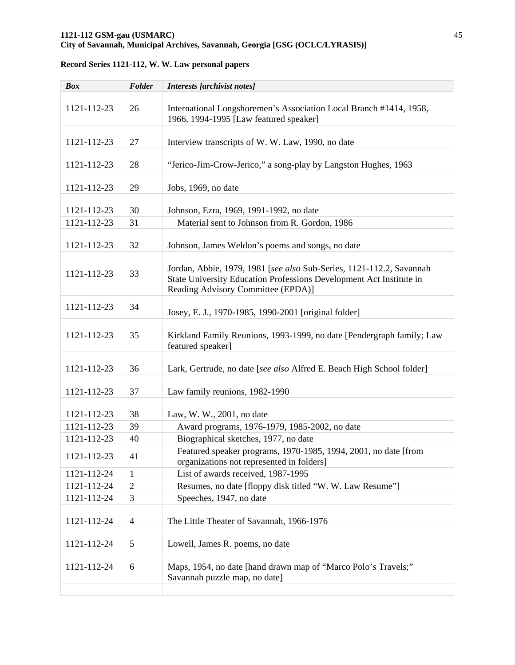| <b>Box</b>  | Folder         | <b>Interests</b> [archivist notes]                                                                                                                                                |
|-------------|----------------|-----------------------------------------------------------------------------------------------------------------------------------------------------------------------------------|
| 1121-112-23 | 26             | International Longshoremen's Association Local Branch #1414, 1958,<br>1966, 1994-1995 [Law featured speaker]                                                                      |
| 1121-112-23 | 27             | Interview transcripts of W. W. Law, 1990, no date                                                                                                                                 |
| 1121-112-23 | 28             | "Jerico-Jim-Crow-Jerico," a song-play by Langston Hughes, 1963                                                                                                                    |
| 1121-112-23 | 29             | Jobs, 1969, no date                                                                                                                                                               |
| 1121-112-23 | 30             | Johnson, Ezra, 1969, 1991-1992, no date                                                                                                                                           |
| 1121-112-23 | 31             | Material sent to Johnson from R. Gordon, 1986                                                                                                                                     |
| 1121-112-23 | 32             | Johnson, James Weldon's poems and songs, no date                                                                                                                                  |
| 1121-112-23 | 33             | Jordan, Abbie, 1979, 1981 [see also Sub-Series, 1121-112.2, Savannah<br>State University Education Professions Development Act Institute in<br>Reading Advisory Committee (EPDA)] |
| 1121-112-23 | 34             | Josey, E. J., 1970-1985, 1990-2001 [original folder]                                                                                                                              |
| 1121-112-23 | 35             | Kirkland Family Reunions, 1993-1999, no date [Pendergraph family; Law<br>featured speaker]                                                                                        |
| 1121-112-23 | 36             | Lark, Gertrude, no date [see also Alfred E. Beach High School folder]                                                                                                             |
| 1121-112-23 | 37             | Law family reunions, 1982-1990                                                                                                                                                    |
| 1121-112-23 | 38             | Law, W. W., 2001, no date                                                                                                                                                         |
| 1121-112-23 | 39             | Award programs, 1976-1979, 1985-2002, no date                                                                                                                                     |
| 1121-112-23 | 40             | Biographical sketches, 1977, no date                                                                                                                                              |
| 1121-112-23 | 41             | Featured speaker programs, 1970-1985, 1994, 2001, no date [from<br>organizations not represented in folders]                                                                      |
| 1121-112-24 | 1              | List of awards received, 1987-1995                                                                                                                                                |
| 1121-112-24 | $\overline{2}$ | Resumes, no date [floppy disk titled "W. W. Law Resume"]                                                                                                                          |
| 1121-112-24 | 3              | Speeches, 1947, no date                                                                                                                                                           |
| 1121-112-24 | $\overline{4}$ | The Little Theater of Savannah, 1966-1976                                                                                                                                         |
| 1121-112-24 | 5              | Lowell, James R. poems, no date                                                                                                                                                   |
| 1121-112-24 | 6              | Maps, 1954, no date [hand drawn map of "Marco Polo's Travels;"<br>Savannah puzzle map, no date]                                                                                   |
|             |                |                                                                                                                                                                                   |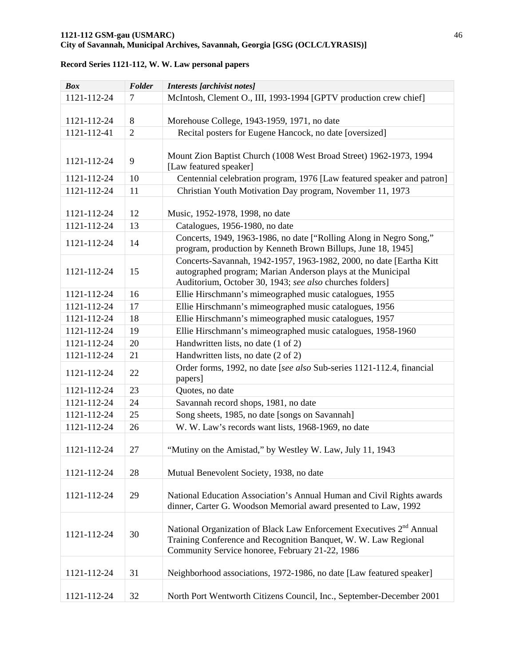| <b>Box</b>  | Folder         | Interests [archivist notes]                                                                                                                                                                            |
|-------------|----------------|--------------------------------------------------------------------------------------------------------------------------------------------------------------------------------------------------------|
| 1121-112-24 | 7              | McIntosh, Clement O., III, 1993-1994 [GPTV production crew chief]                                                                                                                                      |
|             |                |                                                                                                                                                                                                        |
| 1121-112-24 | 8              | Morehouse College, 1943-1959, 1971, no date                                                                                                                                                            |
| 1121-112-41 | $\overline{2}$ | Recital posters for Eugene Hancock, no date [oversized]                                                                                                                                                |
|             |                |                                                                                                                                                                                                        |
| 1121-112-24 | 9              | Mount Zion Baptist Church (1008 West Broad Street) 1962-1973, 1994<br>[Law featured speaker]                                                                                                           |
| 1121-112-24 | 10             | Centennial celebration program, 1976 [Law featured speaker and patron]                                                                                                                                 |
| 1121-112-24 | 11             | Christian Youth Motivation Day program, November 11, 1973                                                                                                                                              |
| 1121-112-24 | 12             | Music, 1952-1978, 1998, no date                                                                                                                                                                        |
| 1121-112-24 | 13             | Catalogues, 1956-1980, no date                                                                                                                                                                         |
| 1121-112-24 | 14             | Concerts, 1949, 1963-1986, no date ["Rolling Along in Negro Song,"<br>program, production by Kenneth Brown Billups, June 18, 1945]                                                                     |
| 1121-112-24 | 15             | Concerts-Savannah, 1942-1957, 1963-1982, 2000, no date [Eartha Kitt<br>autographed program; Marian Anderson plays at the Municipal<br>Auditorium, October 30, 1943; see also churches folders]         |
| 1121-112-24 | 16             | Ellie Hirschmann's mimeographed music catalogues, 1955                                                                                                                                                 |
| 1121-112-24 | 17             | Ellie Hirschmann's mimeographed music catalogues, 1956                                                                                                                                                 |
| 1121-112-24 | 18             | Ellie Hirschmann's mimeographed music catalogues, 1957                                                                                                                                                 |
| 1121-112-24 | 19             | Ellie Hirschmann's mimeographed music catalogues, 1958-1960                                                                                                                                            |
| 1121-112-24 | 20             | Handwritten lists, no date (1 of 2)                                                                                                                                                                    |
| 1121-112-24 | 21             | Handwritten lists, no date (2 of 2)                                                                                                                                                                    |
| 1121-112-24 | 22             | Order forms, 1992, no date [see also Sub-series 1121-112.4, financial<br>papers]                                                                                                                       |
| 1121-112-24 | 23             | Quotes, no date                                                                                                                                                                                        |
| 1121-112-24 | 24             | Savannah record shops, 1981, no date                                                                                                                                                                   |
| 1121-112-24 | 25             | Song sheets, 1985, no date [songs on Savannah]                                                                                                                                                         |
| 1121-112-24 | 26             | W. W. Law's records want lists, 1968-1969, no date                                                                                                                                                     |
| 1121-112-24 | 27             | "Mutiny on the Amistad," by Westley W. Law, July 11, 1943                                                                                                                                              |
| 1121-112-24 | 28             | Mutual Benevolent Society, 1938, no date                                                                                                                                                               |
| 1121-112-24 | 29             | National Education Association's Annual Human and Civil Rights awards<br>dinner, Carter G. Woodson Memorial award presented to Law, 1992                                                               |
| 1121-112-24 | 30             | National Organization of Black Law Enforcement Executives 2 <sup>nd</sup> Annual<br>Training Conference and Recognition Banquet, W. W. Law Regional<br>Community Service honoree, February 21-22, 1986 |
| 1121-112-24 | 31             | Neighborhood associations, 1972-1986, no date [Law featured speaker]                                                                                                                                   |
| 1121-112-24 | 32             | North Port Wentworth Citizens Council, Inc., September-December 2001                                                                                                                                   |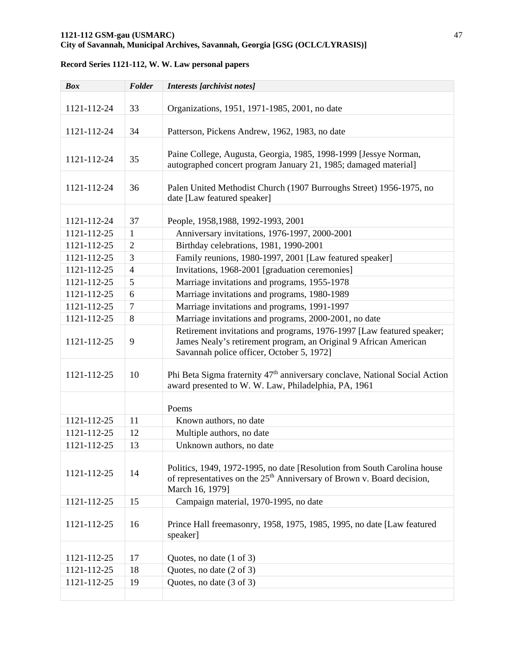# **1121-112 GSM-gau (USMARC)** 47

# **City of Savannah, Municipal Archives, Savannah, Georgia [GSG (OCLC/LYRASIS)]**

| <b>Box</b>  | Folder         | <b>Interests</b> [archivist notes]                                                                                                                                                     |
|-------------|----------------|----------------------------------------------------------------------------------------------------------------------------------------------------------------------------------------|
|             |                |                                                                                                                                                                                        |
| 1121-112-24 | 33             | Organizations, 1951, 1971-1985, 2001, no date                                                                                                                                          |
| 1121-112-24 | 34             | Patterson, Pickens Andrew, 1962, 1983, no date                                                                                                                                         |
|             |                |                                                                                                                                                                                        |
| 1121-112-24 | 35             | Paine College, Augusta, Georgia, 1985, 1998-1999 [Jessye Norman,<br>autographed concert program January 21, 1985; damaged material]                                                    |
| 1121-112-24 | 36             | Palen United Methodist Church (1907 Burroughs Street) 1956-1975, no<br>date [Law featured speaker]                                                                                     |
| 1121-112-24 | 37             |                                                                                                                                                                                        |
| 1121-112-25 | $\mathbf{1}$   | People, 1958, 1988, 1992-1993, 2001                                                                                                                                                    |
| 1121-112-25 | $\overline{2}$ | Anniversary invitations, 1976-1997, 2000-2001<br>Birthday celebrations, 1981, 1990-2001                                                                                                |
|             |                |                                                                                                                                                                                        |
| 1121-112-25 | 3              | Family reunions, 1980-1997, 2001 [Law featured speaker]                                                                                                                                |
| 1121-112-25 | $\overline{4}$ | Invitations, 1968-2001 [graduation ceremonies]                                                                                                                                         |
| 1121-112-25 | 5              | Marriage invitations and programs, 1955-1978                                                                                                                                           |
| 1121-112-25 | 6              | Marriage invitations and programs, 1980-1989                                                                                                                                           |
| 1121-112-25 | $\overline{7}$ | Marriage invitations and programs, 1991-1997                                                                                                                                           |
| 1121-112-25 | 8              | Marriage invitations and programs, 2000-2001, no date                                                                                                                                  |
| 1121-112-25 | 9              | Retirement invitations and programs, 1976-1997 [Law featured speaker;<br>James Nealy's retirement program, an Original 9 African American<br>Savannah police officer, October 5, 1972] |
| 1121-112-25 | 10             | Phi Beta Sigma fraternity 47 <sup>th</sup> anniversary conclave, National Social Action<br>award presented to W. W. Law, Philadelphia, PA, 1961                                        |
|             |                | Poems                                                                                                                                                                                  |
| 1121-112-25 | 11             | Known authors, no date                                                                                                                                                                 |
| 1121-112-25 | 12             | Multiple authors, no date                                                                                                                                                              |
| 1121-112-25 | 13             | Unknown authors, no date                                                                                                                                                               |
| 1121-112-25 | 14             | Politics, 1949, 1972-1995, no date [Resolution from South Carolina house]<br>of representatives on the $25th$ Anniversary of Brown v. Board decision,<br>March 16, 1979]               |
| 1121-112-25 | 15             | Campaign material, 1970-1995, no date                                                                                                                                                  |
| 1121-112-25 | 16             | Prince Hall freemasonry, 1958, 1975, 1985, 1995, no date [Law featured]<br>speaker]                                                                                                    |
| 1121-112-25 | 17             | Quotes, no date (1 of 3)                                                                                                                                                               |
| 1121-112-25 | 18             | Quotes, no date (2 of 3)                                                                                                                                                               |
| 1121-112-25 | 19             | Quotes, no date (3 of 3)                                                                                                                                                               |
|             |                |                                                                                                                                                                                        |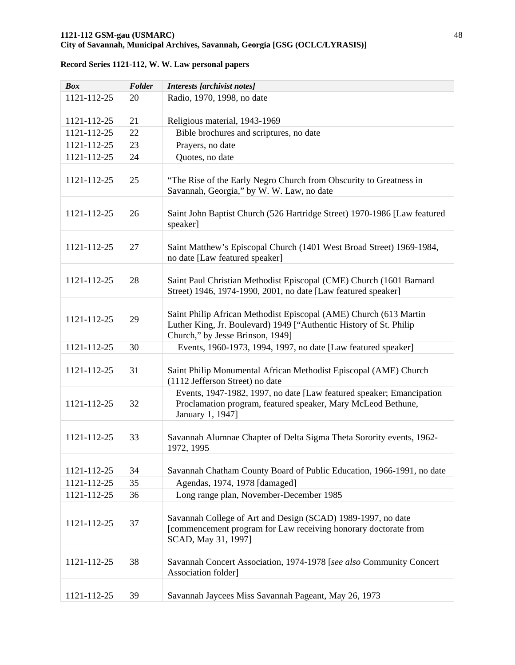| <b>Box</b>  | Folder | <b>Interests</b> [archivist notes]                                                                                                                                          |
|-------------|--------|-----------------------------------------------------------------------------------------------------------------------------------------------------------------------------|
| 1121-112-25 | 20     | Radio, 1970, 1998, no date                                                                                                                                                  |
|             |        |                                                                                                                                                                             |
| 1121-112-25 | 21     | Religious material, 1943-1969                                                                                                                                               |
| 1121-112-25 | 22     | Bible brochures and scriptures, no date                                                                                                                                     |
| 1121-112-25 | 23     | Prayers, no date                                                                                                                                                            |
| 1121-112-25 | 24     | Quotes, no date                                                                                                                                                             |
| 1121-112-25 | 25     | "The Rise of the Early Negro Church from Obscurity to Greatness in<br>Savannah, Georgia," by W. W. Law, no date                                                             |
| 1121-112-25 | 26     | Saint John Baptist Church (526 Hartridge Street) 1970-1986 [Law featured<br>speaker]                                                                                        |
| 1121-112-25 | 27     | Saint Matthew's Episcopal Church (1401 West Broad Street) 1969-1984,<br>no date [Law featured speaker]                                                                      |
| 1121-112-25 | 28     | Saint Paul Christian Methodist Episcopal (CME) Church (1601 Barnard<br>Street) 1946, 1974-1990, 2001, no date [Law featured speaker]                                        |
| 1121-112-25 | 29     | Saint Philip African Methodist Episcopal (AME) Church (613 Martin<br>Luther King, Jr. Boulevard) 1949 ["Authentic History of St. Philip<br>Church," by Jesse Brinson, 1949] |
| 1121-112-25 | 30     | Events, 1960-1973, 1994, 1997, no date [Law featured speaker]                                                                                                               |
| 1121-112-25 | 31     | Saint Philip Monumental African Methodist Episcopal (AME) Church<br>(1112 Jefferson Street) no date                                                                         |
| 1121-112-25 | 32     | Events, 1947-1982, 1997, no date [Law featured speaker; Emancipation<br>Proclamation program, featured speaker, Mary McLeod Bethune,<br>January 1, 1947]                    |
| 1121-112-25 | 33     | Savannah Alumnae Chapter of Delta Sigma Theta Sorority events, 1962-<br>1972, 1995                                                                                          |
| 1121-112-25 | 34     | Savannah Chatham County Board of Public Education, 1966-1991, no date                                                                                                       |
| 1121-112-25 | 35     | Agendas, 1974, 1978 [damaged]                                                                                                                                               |
| 1121-112-25 | 36     | Long range plan, November-December 1985                                                                                                                                     |
| 1121-112-25 | 37     | Savannah College of Art and Design (SCAD) 1989-1997, no date<br>[commencement program for Law receiving honorary doctorate from<br>SCAD, May 31, 1997]                      |
| 1121-112-25 | 38     | Savannah Concert Association, 1974-1978 [see also Community Concert<br>Association folder]                                                                                  |
| 1121-112-25 | 39     | Savannah Jaycees Miss Savannah Pageant, May 26, 1973                                                                                                                        |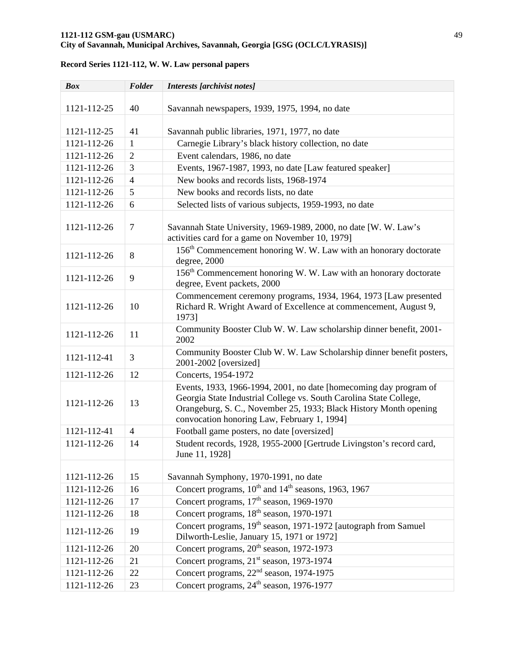### **1121-112 GSM-gau (USMARC)** 49 **City of Savannah, Municipal Archives, Savannah, Georgia [GSG (OCLC/LYRASIS)]**

| <b>Box</b>  | Folder         | Interests [archivist notes]                                                                                                                                                                                                                                 |
|-------------|----------------|-------------------------------------------------------------------------------------------------------------------------------------------------------------------------------------------------------------------------------------------------------------|
| 1121-112-25 | 40             | Savannah newspapers, 1939, 1975, 1994, no date                                                                                                                                                                                                              |
| 1121-112-25 | 41             | Savannah public libraries, 1971, 1977, no date                                                                                                                                                                                                              |
| 1121-112-26 | $\mathbf{1}$   | Carnegie Library's black history collection, no date                                                                                                                                                                                                        |
| 1121-112-26 | $\overline{2}$ | Event calendars, 1986, no date                                                                                                                                                                                                                              |
| 1121-112-26 | 3              | Events, 1967-1987, 1993, no date [Law featured speaker]                                                                                                                                                                                                     |
| 1121-112-26 | $\overline{4}$ | New books and records lists, 1968-1974                                                                                                                                                                                                                      |
| 1121-112-26 | 5              | New books and records lists, no date                                                                                                                                                                                                                        |
| 1121-112-26 | 6              | Selected lists of various subjects, 1959-1993, no date                                                                                                                                                                                                      |
| 1121-112-26 | 7              | Savannah State University, 1969-1989, 2000, no date [W. W. Law's<br>activities card for a game on November 10, 1979]                                                                                                                                        |
| 1121-112-26 | 8              | 156 <sup>th</sup> Commencement honoring W. W. Law with an honorary doctorate<br>degree, 2000                                                                                                                                                                |
| 1121-112-26 | 9              | 156 <sup>th</sup> Commencement honoring W. W. Law with an honorary doctorate<br>degree, Event packets, 2000                                                                                                                                                 |
| 1121-112-26 | 10             | Commencement ceremony programs, 1934, 1964, 1973 [Law presented<br>Richard R. Wright Award of Excellence at commencement, August 9,<br>1973]                                                                                                                |
| 1121-112-26 | 11             | Community Booster Club W. W. Law scholarship dinner benefit, 2001-<br>2002                                                                                                                                                                                  |
| 1121-112-41 | 3              | Community Booster Club W. W. Law Scholarship dinner benefit posters,<br>2001-2002 [oversized]                                                                                                                                                               |
| 1121-112-26 | 12             | Concerts, 1954-1972                                                                                                                                                                                                                                         |
| 1121-112-26 | 13             | Events, 1933, 1966-1994, 2001, no date [homecoming day program of<br>Georgia State Industrial College vs. South Carolina State College,<br>Orangeburg, S. C., November 25, 1933; Black History Month opening<br>convocation honoring Law, February 1, 1994] |
| 1121-112-41 | $\overline{4}$ | Football game posters, no date [oversized]                                                                                                                                                                                                                  |
| 1121-112-26 | 14             | Student records, 1928, 1955-2000 [Gertrude Livingston's record card,<br>June 11, 1928]                                                                                                                                                                      |
|             |                |                                                                                                                                                                                                                                                             |
| 1121-112-26 | 15             | Savannah Symphony, 1970-1991, no date                                                                                                                                                                                                                       |
| 1121-112-26 | 16             | Concert programs, 10 <sup>th</sup> and 14 <sup>th</sup> seasons, 1963, 1967                                                                                                                                                                                 |
| 1121-112-26 | 17             | Concert programs, 17 <sup>th</sup> season, 1969-1970                                                                                                                                                                                                        |
| 1121-112-26 | 18             | Concert programs, 18 <sup>th</sup> season, 1970-1971                                                                                                                                                                                                        |
| 1121-112-26 | 19             | Concert programs, 19 <sup>th</sup> season, 1971-1972 [autograph from Samuel]<br>Dilworth-Leslie, January 15, 1971 or 1972]                                                                                                                                  |
| 1121-112-26 | 20             | Concert programs, 20 <sup>th</sup> season, 1972-1973                                                                                                                                                                                                        |
| 1121-112-26 | 21             | Concert programs, 21 <sup>st</sup> season, 1973-1974                                                                                                                                                                                                        |
| 1121-112-26 | 22             | Concert programs, 22 <sup>nd</sup> season, 1974-1975                                                                                                                                                                                                        |
| 1121-112-26 | 23             | Concert programs, 24 <sup>th</sup> season, 1976-1977                                                                                                                                                                                                        |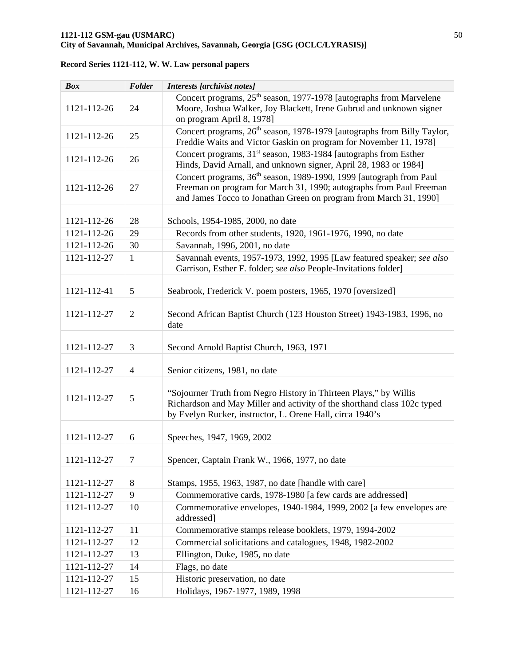| <b>Box</b>  | Folder         | Interests [archivist notes]                                                                                                                                                                                                 |
|-------------|----------------|-----------------------------------------------------------------------------------------------------------------------------------------------------------------------------------------------------------------------------|
| 1121-112-26 | 24             | Concert programs, 25 <sup>th</sup> season, 1977-1978 [autographs from Marvelene<br>Moore, Joshua Walker, Joy Blackett, Irene Gubrud and unknown signer<br>on program April 8, 1978]                                         |
| 1121-112-26 | 25             | Concert programs, 26 <sup>th</sup> season, 1978-1979 [autographs from Billy Taylor,<br>Freddie Waits and Victor Gaskin on program for November 11, 1978]                                                                    |
| 1121-112-26 | 26             | Concert programs, 31 <sup>st</sup> season, 1983-1984 [autographs from Esther<br>Hinds, David Arnall, and unknown signer, April 28, 1983 or 1984]                                                                            |
| 1121-112-26 | 27             | Concert programs, 36 <sup>th</sup> season, 1989-1990, 1999 [autograph from Paul<br>Freeman on program for March 31, 1990; autographs from Paul Freeman<br>and James Tocco to Jonathan Green on program from March 31, 1990] |
| 1121-112-26 | 28             | Schools, 1954-1985, 2000, no date                                                                                                                                                                                           |
| 1121-112-26 | 29             | Records from other students, 1920, 1961-1976, 1990, no date                                                                                                                                                                 |
| 1121-112-26 | 30             | Savannah, 1996, 2001, no date                                                                                                                                                                                               |
| 1121-112-27 | $\mathbf{1}$   | Savannah events, 1957-1973, 1992, 1995 [Law featured speaker; see also<br>Garrison, Esther F. folder; see also People-Invitations folder]                                                                                   |
| 1121-112-41 | 5              | Seabrook, Frederick V. poem posters, 1965, 1970 [oversized]                                                                                                                                                                 |
| 1121-112-27 | $\overline{2}$ | Second African Baptist Church (123 Houston Street) 1943-1983, 1996, no<br>date                                                                                                                                              |
| 1121-112-27 | 3              | Second Arnold Baptist Church, 1963, 1971                                                                                                                                                                                    |
| 1121-112-27 | $\overline{4}$ | Senior citizens, 1981, no date                                                                                                                                                                                              |
| 1121-112-27 | 5              | "Sojourner Truth from Negro History in Thirteen Plays," by Willis<br>Richardson and May Miller and activity of the shorthand class 102c typed<br>by Evelyn Rucker, instructor, L. Orene Hall, circa 1940's                  |
| 1121-112-27 | 6              | Speeches, 1947, 1969, 2002                                                                                                                                                                                                  |
| 1121-112-27 | 7              | Spencer, Captain Frank W., 1966, 1977, no date                                                                                                                                                                              |
| 1121-112-27 | 8              | Stamps, 1955, 1963, 1987, no date [handle with care]                                                                                                                                                                        |
| 1121-112-27 | 9              | Commemorative cards, 1978-1980 [a few cards are addressed]                                                                                                                                                                  |
| 1121-112-27 | 10             | Commemorative envelopes, 1940-1984, 1999, 2002 [a few envelopes are<br>addressed]                                                                                                                                           |
| 1121-112-27 | 11             | Commemorative stamps release booklets, 1979, 1994-2002                                                                                                                                                                      |
| 1121-112-27 | 12             | Commercial solicitations and catalogues, 1948, 1982-2002                                                                                                                                                                    |
| 1121-112-27 | 13             | Ellington, Duke, 1985, no date                                                                                                                                                                                              |
| 1121-112-27 | 14             | Flags, no date                                                                                                                                                                                                              |
| 1121-112-27 | 15             | Historic preservation, no date                                                                                                                                                                                              |
| 1121-112-27 | 16             | Holidays, 1967-1977, 1989, 1998                                                                                                                                                                                             |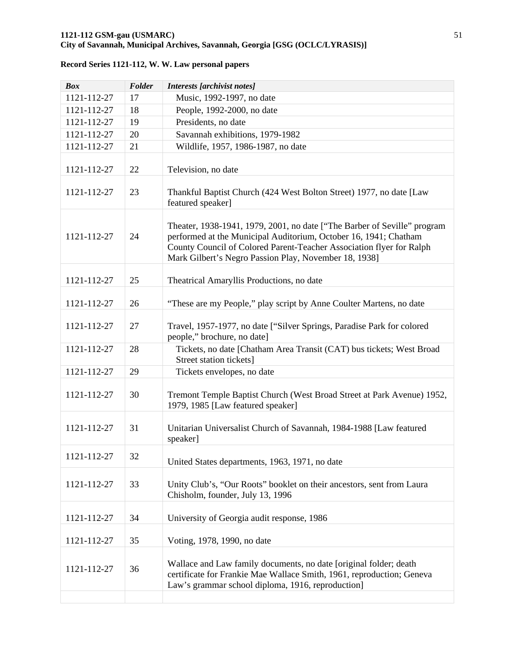| <b>Box</b>  | Folder | Interests [archivist notes]                                                                                                                                                                                                                                                   |
|-------------|--------|-------------------------------------------------------------------------------------------------------------------------------------------------------------------------------------------------------------------------------------------------------------------------------|
| 1121-112-27 | 17     | Music, 1992-1997, no date                                                                                                                                                                                                                                                     |
| 1121-112-27 | 18     | People, 1992-2000, no date                                                                                                                                                                                                                                                    |
| 1121-112-27 | 19     | Presidents, no date                                                                                                                                                                                                                                                           |
| 1121-112-27 | 20     | Savannah exhibitions, 1979-1982                                                                                                                                                                                                                                               |
| 1121-112-27 | 21     | Wildlife, 1957, 1986-1987, no date                                                                                                                                                                                                                                            |
|             |        |                                                                                                                                                                                                                                                                               |
| 1121-112-27 | 22     | Television, no date                                                                                                                                                                                                                                                           |
| 1121-112-27 | 23     | Thankful Baptist Church (424 West Bolton Street) 1977, no date [Law<br>featured speaker]                                                                                                                                                                                      |
| 1121-112-27 | 24     | Theater, 1938-1941, 1979, 2001, no date ["The Barber of Seville" program<br>performed at the Municipal Auditorium, October 16, 1941; Chatham<br>County Council of Colored Parent-Teacher Association flyer for Ralph<br>Mark Gilbert's Negro Passion Play, November 18, 1938] |
| 1121-112-27 | 25     | Theatrical Amaryllis Productions, no date                                                                                                                                                                                                                                     |
| 1121-112-27 | 26     | "These are my People," play script by Anne Coulter Martens, no date                                                                                                                                                                                                           |
| 1121-112-27 | 27     | Travel, 1957-1977, no date ["Silver Springs, Paradise Park for colored<br>people," brochure, no date]                                                                                                                                                                         |
| 1121-112-27 | 28     | Tickets, no date [Chatham Area Transit (CAT) bus tickets; West Broad<br>Street station tickets]                                                                                                                                                                               |
| 1121-112-27 | 29     | Tickets envelopes, no date                                                                                                                                                                                                                                                    |
| 1121-112-27 | 30     | Tremont Temple Baptist Church (West Broad Street at Park Avenue) 1952,<br>1979, 1985 [Law featured speaker]                                                                                                                                                                   |
| 1121-112-27 | 31     | Unitarian Universalist Church of Savannah, 1984-1988 [Law featured<br>speaker]                                                                                                                                                                                                |
| 1121-112-27 | 32     | United States departments, 1963, 1971, no date                                                                                                                                                                                                                                |
| 1121-112-27 | 33     | Unity Club's, "Our Roots" booklet on their ancestors, sent from Laura<br>Chisholm, founder, July 13, 1996                                                                                                                                                                     |
| 1121-112-27 | 34     | University of Georgia audit response, 1986                                                                                                                                                                                                                                    |
| 1121-112-27 | 35     | Voting, 1978, 1990, no date                                                                                                                                                                                                                                                   |
| 1121-112-27 | 36     | Wallace and Law family documents, no date [original folder; death<br>certificate for Frankie Mae Wallace Smith, 1961, reproduction; Geneva<br>Law's grammar school diploma, 1916, reproduction]                                                                               |
|             |        |                                                                                                                                                                                                                                                                               |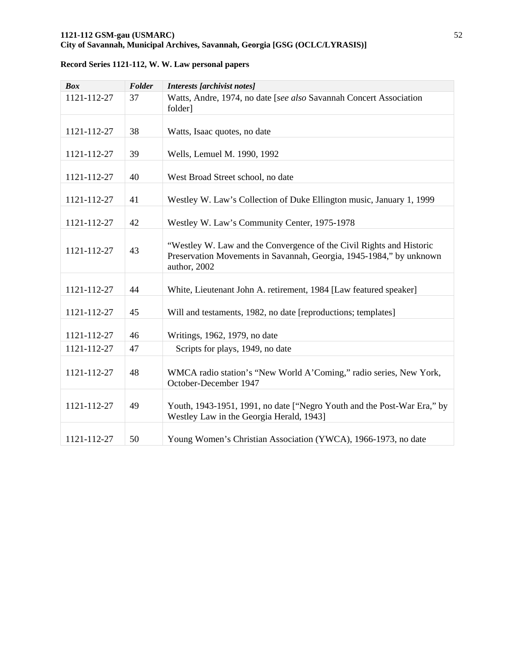| <b>Box</b>  | Folder | <b>Interests</b> [archivist notes]                                                                                                                          |
|-------------|--------|-------------------------------------------------------------------------------------------------------------------------------------------------------------|
| 1121-112-27 | 37     | Watts, Andre, 1974, no date [see also Savannah Concert Association<br>folder]                                                                               |
|             |        |                                                                                                                                                             |
| 1121-112-27 | 38     | Watts, Isaac quotes, no date                                                                                                                                |
| 1121-112-27 | 39     | Wells, Lemuel M. 1990, 1992                                                                                                                                 |
| 1121-112-27 | 40     | West Broad Street school, no date                                                                                                                           |
| 1121-112-27 | 41     | Westley W. Law's Collection of Duke Ellington music, January 1, 1999                                                                                        |
| 1121-112-27 | 42     | Westley W. Law's Community Center, 1975-1978                                                                                                                |
| 1121-112-27 | 43     | "Westley W. Law and the Convergence of the Civil Rights and Historic<br>Preservation Movements in Savannah, Georgia, 1945-1984," by unknown<br>author, 2002 |
| 1121-112-27 | 44     | White, Lieutenant John A. retirement, 1984 [Law featured speaker]                                                                                           |
| 1121-112-27 | 45     | Will and testaments, 1982, no date [reproductions; templates]                                                                                               |
| 1121-112-27 | 46     | Writings, 1962, 1979, no date                                                                                                                               |
| 1121-112-27 | 47     | Scripts for plays, 1949, no date                                                                                                                            |
| 1121-112-27 | 48     | WMCA radio station's "New World A'Coming," radio series, New York,<br>October-December 1947                                                                 |
| 1121-112-27 | 49     | Youth, 1943-1951, 1991, no date ["Negro Youth and the Post-War Era," by<br>Westley Law in the Georgia Herald, 1943]                                         |
| 1121-112-27 | 50     | Young Women's Christian Association (YWCA), 1966-1973, no date                                                                                              |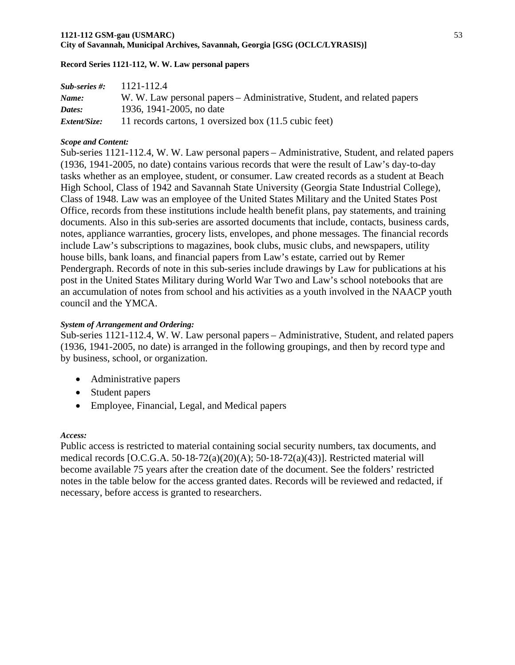#### **1121-112 GSM-gau (USMARC)** 53 **City of Savannah, Municipal Archives, Savannah, Georgia [GSG (OCLC/LYRASIS)]**

### **Record Series 1121-112, W. W. Law personal papers**

| $Sub-series \#$ :   | 1121-112.4                                                              |
|---------------------|-------------------------------------------------------------------------|
| Name:               | W. W. Law personal papers – Administrative, Student, and related papers |
| Dates:              | 1936, 1941-2005, no date                                                |
| <i>Extent/Size:</i> | 11 records cartons, 1 oversized box (11.5 cubic feet)                   |

### *Scope and Content:*

Sub-series 1121-112.4, W. W. Law personal papers – Administrative, Student, and related papers (1936, 1941-2005, no date) contains various records that were the result of Law's day-to-day tasks whether as an employee, student, or consumer. Law created records as a student at Beach High School, Class of 1942 and Savannah State University (Georgia State Industrial College), Class of 1948. Law was an employee of the United States Military and the United States Post Office, records from these institutions include health benefit plans, pay statements, and training documents. Also in this sub-series are assorted documents that include, contacts, business cards, notes, appliance warranties, grocery lists, envelopes, and phone messages. The financial records include Law's subscriptions to magazines, book clubs, music clubs, and newspapers, utility house bills, bank loans, and financial papers from Law's estate, carried out by Remer Pendergraph. Records of note in this sub-series include drawings by Law for publications at his post in the United States Military during World War Two and Law's school notebooks that are an accumulation of notes from school and his activities as a youth involved in the NAACP youth council and the YMCA.

### *System of Arrangement and Ordering:*

Sub-series 1121-112.4, W. W. Law personal papers – Administrative, Student, and related papers (1936, 1941-2005, no date) is arranged in the following groupings, and then by record type and by business, school, or organization.

- Administrative papers
- Student papers
- Employee, Financial, Legal, and Medical papers

### *Access:*

Public access is restricted to material containing social security numbers, tax documents, and medical records [O.C.G.A. 50‐18‐72(a)(20)(A); 50‐18‐72(a)(43)]. Restricted material will become available 75 years after the creation date of the document. See the folders' restricted notes in the table below for the access granted dates. Records will be reviewed and redacted, if necessary, before access is granted to researchers.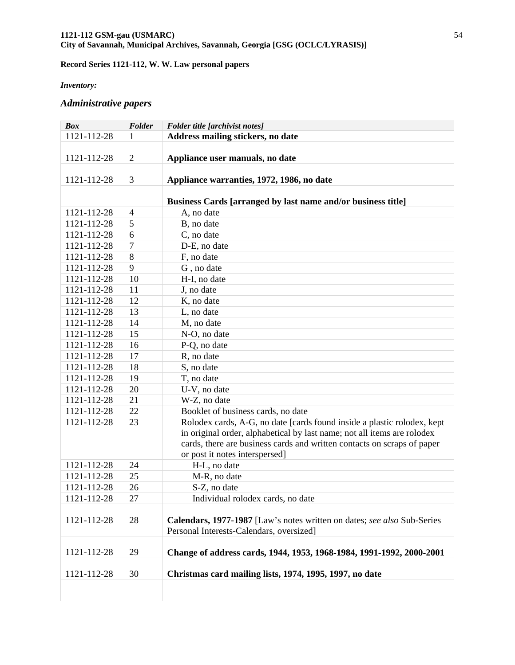#### *Inventory:*

# *Administrative papers*

| <b>Box</b>  | Folder         | Folder title [archivist notes]                                                                                                                                                                                                                                  |
|-------------|----------------|-----------------------------------------------------------------------------------------------------------------------------------------------------------------------------------------------------------------------------------------------------------------|
| 1121-112-28 | 1              | Address mailing stickers, no date                                                                                                                                                                                                                               |
| 1121-112-28 | $\overline{2}$ | Appliance user manuals, no date                                                                                                                                                                                                                                 |
| 1121-112-28 | 3              | Appliance warranties, 1972, 1986, no date                                                                                                                                                                                                                       |
|             |                | Business Cards [arranged by last name and/or business title]                                                                                                                                                                                                    |
| 1121-112-28 | $\overline{4}$ | A, no date                                                                                                                                                                                                                                                      |
| 1121-112-28 | 5              | B, no date                                                                                                                                                                                                                                                      |
| 1121-112-28 | 6              | C, no date                                                                                                                                                                                                                                                      |
| 1121-112-28 | $\overline{7}$ | D-E, no date                                                                                                                                                                                                                                                    |
| 1121-112-28 | 8              | F, no date                                                                                                                                                                                                                                                      |
| 1121-112-28 | 9              | G, no date                                                                                                                                                                                                                                                      |
| 1121-112-28 | 10             | H-I, no date                                                                                                                                                                                                                                                    |
| 1121-112-28 | 11             | J, no date                                                                                                                                                                                                                                                      |
| 1121-112-28 | 12             | K, no date                                                                                                                                                                                                                                                      |
| 1121-112-28 | 13             | L, no date                                                                                                                                                                                                                                                      |
| 1121-112-28 | 14             | M, no date                                                                                                                                                                                                                                                      |
| 1121-112-28 | 15             | N-O, no date                                                                                                                                                                                                                                                    |
| 1121-112-28 | 16             | P-Q, no date                                                                                                                                                                                                                                                    |
| 1121-112-28 | 17             | R, no date                                                                                                                                                                                                                                                      |
| 1121-112-28 | 18             | S, no date                                                                                                                                                                                                                                                      |
| 1121-112-28 | 19             | T, no date                                                                                                                                                                                                                                                      |
| 1121-112-28 | 20             | U-V, no date                                                                                                                                                                                                                                                    |
| 1121-112-28 | 21             | W-Z, no date                                                                                                                                                                                                                                                    |
| 1121-112-28 | 22             | Booklet of business cards, no date                                                                                                                                                                                                                              |
| 1121-112-28 | 23             | Rolodex cards, A-G, no date [cards found inside a plastic rolodex, kept<br>in original order, alphabetical by last name; not all items are rolodex<br>cards, there are business cards and written contacts on scraps of paper<br>or post it notes interspersed] |
| 1121-112-28 | 24             | H-L, no date                                                                                                                                                                                                                                                    |
| 1121-112-28 | 25             | M-R, no date                                                                                                                                                                                                                                                    |
| 1121-112-28 | 26             | S-Z, no date                                                                                                                                                                                                                                                    |
| 1121-112-28 | 27             | Individual rolodex cards, no date                                                                                                                                                                                                                               |
| 1121-112-28 | 28             | Calendars, 1977-1987 [Law's notes written on dates; see also Sub-Series<br>Personal Interests-Calendars, oversized]                                                                                                                                             |
| 1121-112-28 | 29             | Change of address cards, 1944, 1953, 1968-1984, 1991-1992, 2000-2001                                                                                                                                                                                            |
| 1121-112-28 | 30             | Christmas card mailing lists, 1974, 1995, 1997, no date                                                                                                                                                                                                         |
|             |                |                                                                                                                                                                                                                                                                 |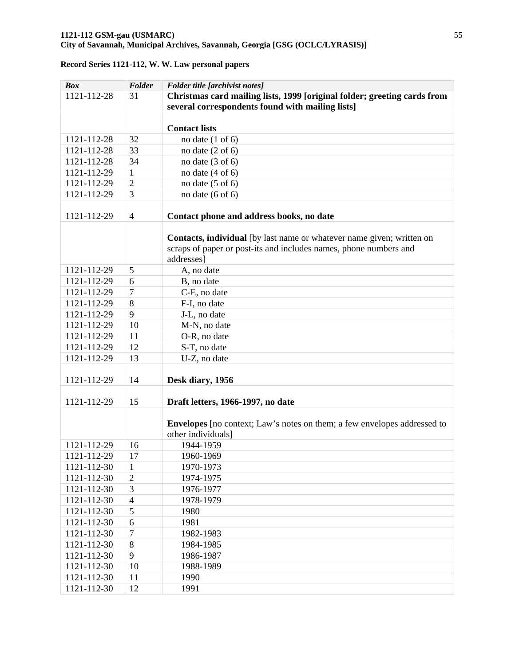| <b>Box</b>  | Folder         | Folder title [archivist notes]                                                                                                                           |
|-------------|----------------|----------------------------------------------------------------------------------------------------------------------------------------------------------|
| 1121-112-28 | 31             | Christmas card mailing lists, 1999 [original folder; greeting cards from                                                                                 |
|             |                | several correspondents found with mailing lists]                                                                                                         |
|             |                |                                                                                                                                                          |
|             |                | <b>Contact lists</b>                                                                                                                                     |
| 1121-112-28 | 32             | no date $(1 \text{ of } 6)$                                                                                                                              |
| 1121-112-28 | 33             | no date $(2 \text{ of } 6)$                                                                                                                              |
| 1121-112-28 | 34             | no date $(3 \text{ of } 6)$                                                                                                                              |
| 1121-112-29 | $\mathbf{1}$   | no date $(4 \text{ of } 6)$                                                                                                                              |
| 1121-112-29 | $\overline{2}$ | no date $(5 \text{ of } 6)$                                                                                                                              |
| 1121-112-29 | 3              | no date $(6 \text{ of } 6)$                                                                                                                              |
| 1121-112-29 | $\overline{4}$ | Contact phone and address books, no date                                                                                                                 |
|             |                | Contacts, individual [by last name or whatever name given; written on<br>scraps of paper or post-its and includes names, phone numbers and<br>addresses] |
| 1121-112-29 | 5              | A, no date                                                                                                                                               |
| 1121-112-29 | 6              | B, no date                                                                                                                                               |
| 1121-112-29 | $\overline{7}$ | C-E, no date                                                                                                                                             |
| 1121-112-29 | 8              | F-I, no date                                                                                                                                             |
| 1121-112-29 | 9              | J-L, no date                                                                                                                                             |
| 1121-112-29 | 10             | M-N, no date                                                                                                                                             |
| 1121-112-29 | 11             | O-R, no date                                                                                                                                             |
| 1121-112-29 | 12             | S-T, no date                                                                                                                                             |
| 1121-112-29 | 13             | U-Z, no date                                                                                                                                             |
| 1121-112-29 | 14             | Desk diary, 1956                                                                                                                                         |
| 1121-112-29 | 15             | Draft letters, 1966-1997, no date                                                                                                                        |
|             |                | <b>Envelopes</b> [no context; Law's notes on them; a few envelopes addressed to<br>other individuals]                                                    |
| 1121-112-29 | 16             | 1944-1959                                                                                                                                                |
| 1121-112-29 | 17             | 1960-1969                                                                                                                                                |
| 1121-112-30 | 1              | 1970-1973                                                                                                                                                |
| 1121-112-30 | $\mathbf 2$    | 1974-1975                                                                                                                                                |
| 1121-112-30 | 3              | 1976-1977                                                                                                                                                |
| 1121-112-30 | $\overline{4}$ | 1978-1979                                                                                                                                                |
| 1121-112-30 | 5              | 1980                                                                                                                                                     |
| 1121-112-30 | 6              | 1981                                                                                                                                                     |
| 1121-112-30 | 7              | 1982-1983                                                                                                                                                |
| 1121-112-30 | 8              | 1984-1985                                                                                                                                                |
| 1121-112-30 | 9              | 1986-1987                                                                                                                                                |
| 1121-112-30 | 10             | 1988-1989                                                                                                                                                |
| 1121-112-30 | 11             | 1990                                                                                                                                                     |
| 1121-112-30 | 12             | 1991                                                                                                                                                     |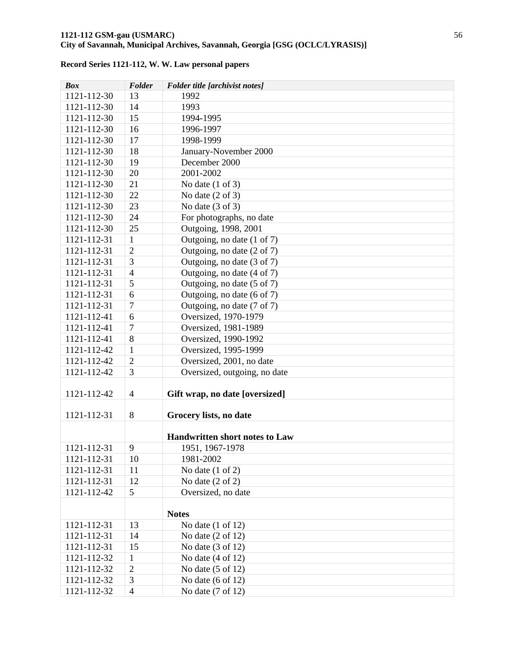| <b>Box</b>  | Folder                   | Folder title [archivist notes]        |
|-------------|--------------------------|---------------------------------------|
| 1121-112-30 | 13                       | 1992                                  |
| 1121-112-30 | 14                       | 1993                                  |
| 1121-112-30 | 15                       | 1994-1995                             |
| 1121-112-30 | 16                       | 1996-1997                             |
| 1121-112-30 | 17                       | 1998-1999                             |
| 1121-112-30 | 18                       | January-November 2000                 |
| 1121-112-30 | 19                       | December 2000                         |
| 1121-112-30 | 20                       | 2001-2002                             |
| 1121-112-30 | 21                       | No date $(1 \text{ of } 3)$           |
| 1121-112-30 | 22                       | No date $(2 \text{ of } 3)$           |
| 1121-112-30 | 23                       | No date $(3 \text{ of } 3)$           |
| 1121-112-30 | 24                       | For photographs, no date              |
| 1121-112-30 | 25                       | Outgoing, 1998, 2001                  |
| 1121-112-31 | 1                        | Outgoing, no date (1 of 7)            |
| 1121-112-31 | $\overline{2}$           | Outgoing, no date (2 of 7)            |
| 1121-112-31 | 3                        | Outgoing, no date (3 of 7)            |
| 1121-112-31 | $\overline{4}$           | Outgoing, no date (4 of 7)            |
| 1121-112-31 | 5                        | Outgoing, no date (5 of 7)            |
| 1121-112-31 | 6                        | Outgoing, no date (6 of 7)            |
| 1121-112-31 | 7                        | Outgoing, no date (7 of 7)            |
| 1121-112-41 | 6                        | Oversized, 1970-1979                  |
| 1121-112-41 | $\overline{7}$           | Oversized, 1981-1989                  |
| 1121-112-41 | 8                        | Oversized, 1990-1992                  |
| 1121-112-42 | $\mathbf{1}$             | Oversized, 1995-1999                  |
| 1121-112-42 | $\overline{2}$           | Oversized, 2001, no date              |
| 1121-112-42 | 3                        | Oversized, outgoing, no date          |
|             |                          |                                       |
| 1121-112-42 | $\overline{4}$           | Gift wrap, no date [oversized]        |
|             |                          |                                       |
| 1121-112-31 | 8                        | Grocery lists, no date                |
|             |                          |                                       |
|             |                          | <b>Handwritten short notes to Law</b> |
| 1121-112-31 | 9                        | 1951, 1967-1978                       |
| 1121-112-31 | $10\,$                   | 1981-2002                             |
| 1121-112-31 | 11                       | No date $(1 \text{ of } 2)$           |
| 1121-112-31 | 12                       | No date $(2 \text{ of } 2)$           |
| 1121-112-42 | 5                        | Oversized, no date                    |
|             |                          |                                       |
|             |                          | <b>Notes</b>                          |
| 1121-112-31 | 13                       | No date $(1 \text{ of } 12)$          |
| 1121-112-31 | 14                       | No date $(2 \text{ of } 12)$          |
| 1121-112-31 | 15                       | No date $(3 \text{ of } 12)$          |
| 1121-112-32 | 1                        | No date $(4 \text{ of } 12)$          |
| 1121-112-32 | $\mathfrak{2}$           | No date $(5 \text{ of } 12)$          |
| 1121-112-32 | 3                        | No date $(6 \text{ of } 12)$          |
| 1121-112-32 | $\overline{\mathcal{L}}$ | No date (7 of 12)                     |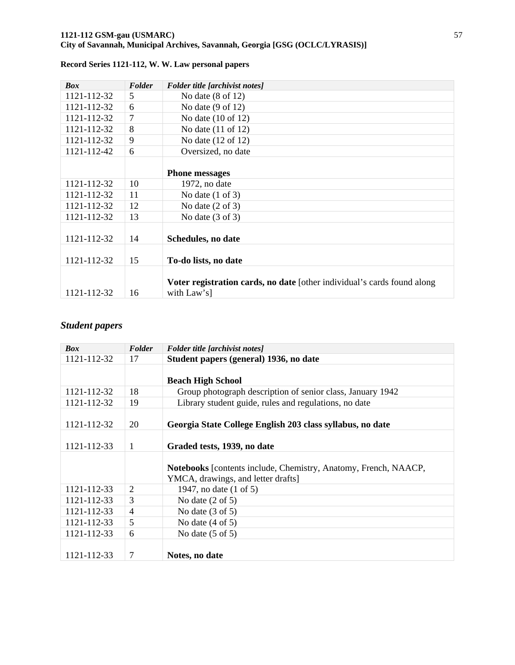| <b>Box</b>  | Folder | Folder title [archivist notes]                                          |
|-------------|--------|-------------------------------------------------------------------------|
| 1121-112-32 | 5      | No date $(8 \text{ of } 12)$                                            |
| 1121-112-32 | 6      | No date $(9 \text{ of } 12)$                                            |
| 1121-112-32 | 7      | No date $(10 \text{ of } 12)$                                           |
| 1121-112-32 | 8      | No date $(11$ of $12)$                                                  |
| 1121-112-32 | 9      | No date (12 of 12)                                                      |
| 1121-112-42 | 6      | Oversized, no date                                                      |
|             |        |                                                                         |
|             |        | <b>Phone messages</b>                                                   |
| 1121-112-32 | 10     | $1972$ , no date                                                        |
| 1121-112-32 | 11     | No date $(1 \text{ of } 3)$                                             |
| 1121-112-32 | 12     | No date $(2 \text{ of } 3)$                                             |
| 1121-112-32 | 13     | No date $(3 \text{ of } 3)$                                             |
|             |        |                                                                         |
| 1121-112-32 | 14     | Schedules, no date                                                      |
|             |        |                                                                         |
| 1121-112-32 | 15     | To-do lists, no date                                                    |
|             |        |                                                                         |
|             |        | Voter registration cards, no date [other individual's cards found along |
| 1121-112-32 | 16     | with Law's]                                                             |

# *Student papers*

| <b>Box</b>  | Folder         | <b>Folder title [archivist notes]</b>                           |
|-------------|----------------|-----------------------------------------------------------------|
| 1121-112-32 | 17             | Student papers (general) 1936, no date                          |
|             |                |                                                                 |
|             |                | <b>Beach High School</b>                                        |
| 1121-112-32 | 18             | Group photograph description of senior class, January 1942      |
| 1121-112-32 | 19             | Library student guide, rules and regulations, no date           |
|             |                |                                                                 |
| 1121-112-32 | 20             | Georgia State College English 203 class syllabus, no date       |
|             |                |                                                                 |
| 1121-112-33 | 1              | Graded tests, 1939, no date                                     |
|             |                |                                                                 |
|             |                | Notebooks [contents include, Chemistry, Anatomy, French, NAACP, |
|             |                | YMCA, drawings, and letter drafts                               |
| 1121-112-33 | $\overline{2}$ | 1947, no date (1 of 5)                                          |
| 1121-112-33 | 3              | No date $(2 \text{ of } 5)$                                     |
| 1121-112-33 | $\overline{4}$ | No date $(3 \text{ of } 5)$                                     |
| 1121-112-33 | 5              | No date $(4 \text{ of } 5)$                                     |
| 1121-112-33 | 6              | No date $(5 \text{ of } 5)$                                     |
|             |                |                                                                 |
| 1121-112-33 | 7              | Notes, no date                                                  |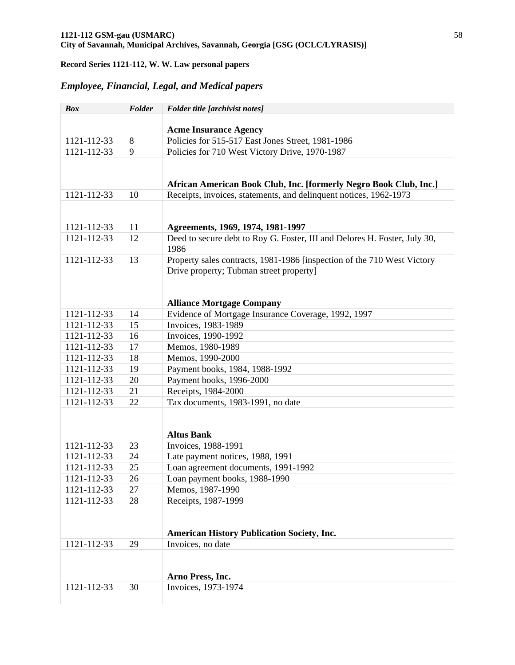# *Employee, Financial, Legal, and Medical papers*

| <b>Box</b>  | Folder | Folder title [archivist notes]                                            |
|-------------|--------|---------------------------------------------------------------------------|
|             |        |                                                                           |
|             |        | <b>Acme Insurance Agency</b>                                              |
| 1121-112-33 | 8      | Policies for 515-517 East Jones Street, 1981-1986                         |
| 1121-112-33 | 9      | Policies for 710 West Victory Drive, 1970-1987                            |
|             |        |                                                                           |
|             |        | African American Book Club, Inc. [formerly Negro Book Club, Inc.]         |
| 1121-112-33 | 10     | Receipts, invoices, statements, and delinquent notices, 1962-1973         |
|             |        |                                                                           |
|             |        |                                                                           |
| 1121-112-33 | 11     | Agreements, 1969, 1974, 1981-1997                                         |
| 1121-112-33 | 12     | Deed to secure debt to Roy G. Foster, III and Delores H. Foster, July 30, |
|             |        | 1986                                                                      |
| 1121-112-33 | 13     | Property sales contracts, 1981-1986 [inspection of the 710 West Victory   |
|             |        | Drive property; Tubman street property]                                   |
|             |        |                                                                           |
|             |        |                                                                           |
|             |        | <b>Alliance Mortgage Company</b>                                          |
| 1121-112-33 | 14     | Evidence of Mortgage Insurance Coverage, 1992, 1997                       |
| 1121-112-33 | 15     | Invoices, 1983-1989                                                       |
| 1121-112-33 | 16     | Invoices, 1990-1992                                                       |
| 1121-112-33 | 17     | Memos, 1980-1989                                                          |
| 1121-112-33 | 18     | Memos, 1990-2000                                                          |
| 1121-112-33 | 19     | Payment books, 1984, 1988-1992                                            |
| 1121-112-33 | 20     | Payment books, 1996-2000                                                  |
| 1121-112-33 | 21     | Receipts, 1984-2000                                                       |
| 1121-112-33 | 22     | Tax documents, 1983-1991, no date                                         |
|             |        |                                                                           |
|             |        |                                                                           |
|             |        | <b>Altus Bank</b>                                                         |
| 1121-112-33 | 23     | Invoices, 1988-1991                                                       |
| 1121-112-33 | 24     | Late payment notices, 1988, 1991                                          |
| 1121-112-33 | 25     | Loan agreement documents, 1991-1992                                       |
| 1121-112-33 | 26     | Loan payment books, 1988-1990                                             |
| 1121-112-33 | 27     | Memos, 1987-1990                                                          |
| 1121-112-33 | 28     | Receipts, 1987-1999                                                       |
|             |        |                                                                           |
|             |        |                                                                           |
|             |        | <b>American History Publication Society, Inc.</b>                         |
| 1121-112-33 | 29     | Invoices, no date                                                         |
|             |        |                                                                           |
|             |        | Arno Press, Inc.                                                          |
| 1121-112-33 | 30     | Invoices, 1973-1974                                                       |
|             |        |                                                                           |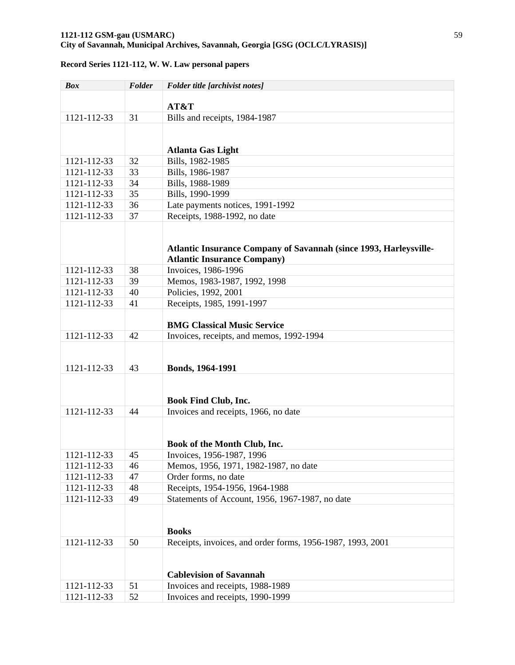### **1121-112 GSM-gau (USMARC)** 59 **City of Savannah, Municipal Archives, Savannah, Georgia [GSG (OCLC/LYRASIS)]**

| <b>Box</b>  | Folder | Folder title [archivist notes]                                    |
|-------------|--------|-------------------------------------------------------------------|
|             |        |                                                                   |
|             |        | AT&T                                                              |
| 1121-112-33 | 31     | Bills and receipts, 1984-1987                                     |
|             |        |                                                                   |
|             |        |                                                                   |
|             |        | <b>Atlanta Gas Light</b>                                          |
| 1121-112-33 | 32     | Bills, 1982-1985                                                  |
| 1121-112-33 | 33     | Bills, 1986-1987                                                  |
| 1121-112-33 | 34     | Bills, 1988-1989                                                  |
| 1121-112-33 | 35     | Bills, 1990-1999                                                  |
| 1121-112-33 | 36     | Late payments notices, 1991-1992                                  |
| 1121-112-33 | 37     | Receipts, 1988-1992, no date                                      |
|             |        |                                                                   |
|             |        |                                                                   |
|             |        | Atlantic Insurance Company of Savannah (since 1993, Harleysville- |
| 1121-112-33 | 38     | <b>Atlantic Insurance Company)</b><br>Invoices, 1986-1996         |
| 1121-112-33 | 39     | Memos, 1983-1987, 1992, 1998                                      |
|             | 40     |                                                                   |
| 1121-112-33 |        | Policies, 1992, 2001                                              |
| 1121-112-33 | 41     | Receipts, 1985, 1991-1997                                         |
|             |        | <b>BMG Classical Music Service</b>                                |
| 1121-112-33 | 42     | Invoices, receipts, and memos, 1992-1994                          |
|             |        |                                                                   |
|             |        |                                                                   |
| 1121-112-33 | 43     | Bonds, 1964-1991                                                  |
|             |        |                                                                   |
|             |        |                                                                   |
|             |        | <b>Book Find Club, Inc.</b>                                       |
| 1121-112-33 | 44     | Invoices and receipts, 1966, no date                              |
|             |        |                                                                   |
|             |        |                                                                   |
|             |        | Book of the Month Club, Inc.                                      |
| 1121-112-33 | 45     | Invoices, 1956-1987, 1996                                         |
| 1121-112-33 | 46     | Memos, 1956, 1971, 1982-1987, no date                             |
| 1121-112-33 | 47     | Order forms, no date                                              |
| 1121-112-33 | 48     | Receipts, 1954-1956, 1964-1988                                    |
| 1121-112-33 | 49     | Statements of Account, 1956, 1967-1987, no date                   |
|             |        |                                                                   |
|             |        |                                                                   |
|             |        | <b>Books</b>                                                      |
| 1121-112-33 | 50     | Receipts, invoices, and order forms, 1956-1987, 1993, 2001        |
|             |        |                                                                   |
|             |        |                                                                   |
|             |        | <b>Cablevision of Savannah</b>                                    |
| 1121-112-33 | 51     | Invoices and receipts, 1988-1989                                  |
| 1121-112-33 | 52     | Invoices and receipts, 1990-1999                                  |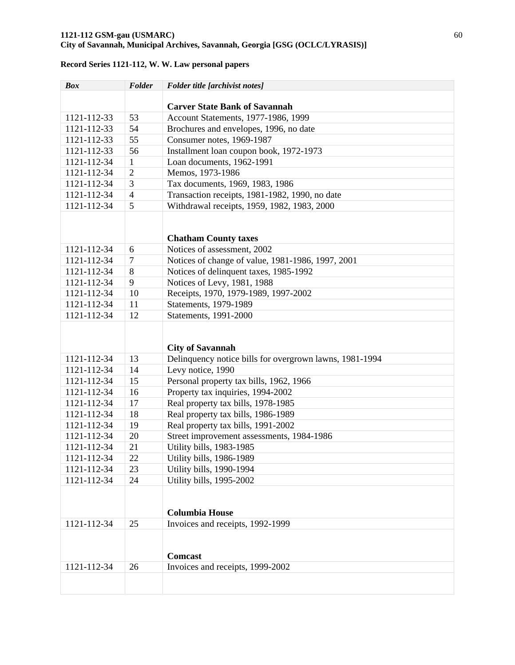# *Box Folder Folder title [archivist notes]*  **Carver State Bank of Savannah**  1121-112-33 53 Account Statements, 1977-1986, 1999 1121-112-33  $\vert$  54 Brochures and envelopes, 1996, no date 1121-112-33 55 Consumer notes, 1969-1987 1121-112-33 56 Installment loan coupon book, 1972-1973 1121-112-34 1 Loan documents, 1962-1991 1121-112-34 2 Memos, 1973-1986 1121-112-34 3 Tax documents, 1969, 1983, 1986 1121-112-34 4 Transaction receipts, 1981-1982, 1990, no date 1121-112-34 5 Withdrawal receipts, 1959, 1982, 1983, 2000 **Chatham County taxes**  1121-112-34 6 Notices of assessment, 2002 1121-112-34 7 Notices of change of value, 1981-1986, 1997, 2001 1121-112-34 8 Notices of delinquent taxes, 1985-1992 1121-112-34 9 Notices of Levy, 1981, 1988 1121-112-34 10 Receipts, 1970, 1979-1989, 1997-2002 1121-112-34 11 Statements, 1979-1989 1121-112-34 12 Statements, 1991-2000 **City of Savannah**  1121-112-34 13 Delinquency notice bills for overgrown lawns, 1981-1994 1121-112-34 14 Levy notice, 1990 1121-112-34 15 Personal property tax bills, 1962, 1966 1121-112-34 16 Property tax inquiries, 1994-2002 1121-112-34 17 Real property tax bills, 1978-1985 1121-112-34 18 Real property tax bills, 1986-1989 1121-112-34 19 Real property tax bills, 1991-2002 1121-112-34 20 Street improvement assessments, 1984-1986 1121-112-34 21 Utility bills, 1983-1985 1121-112-34 22 Utility bills, 1986-1989 1121-112-34 23 Utility bills, 1990-1994 1121-112-34 24 Utility bills, 1995-2002 **Columbia House**  1121-112-34 25 Invoices and receipts, 1992-1999 **Comcast**  1121-112-34 26 Invoices and receipts, 1999-2002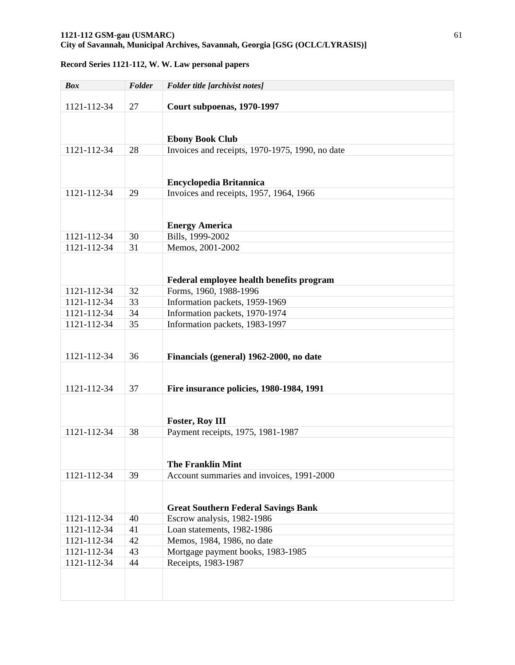| <b>Box</b>  | Folder | Folder title [archivist notes]                  |
|-------------|--------|-------------------------------------------------|
| 1121-112-34 | 27     | Court subpoenas, 1970-1997                      |
|             |        |                                                 |
|             |        |                                                 |
|             |        | <b>Ebony Book Club</b>                          |
| 1121-112-34 | 28     | Invoices and receipts, 1970-1975, 1990, no date |
|             |        |                                                 |
|             |        | <b>Encyclopedia Britannica</b>                  |
| 1121-112-34 | 29     | Invoices and receipts, 1957, 1964, 1966         |
|             |        |                                                 |
|             |        |                                                 |
|             |        | <b>Energy America</b>                           |
| 1121-112-34 | 30     | Bills, 1999-2002                                |
| 1121-112-34 | 31     | Memos, 2001-2002                                |
|             |        |                                                 |
|             |        | Federal employee health benefits program        |
| 1121-112-34 | 32     | Forms, 1960, 1988-1996                          |
| 1121-112-34 | 33     | Information packets, 1959-1969                  |
| 1121-112-34 | 34     | Information packets, 1970-1974                  |
| 1121-112-34 | 35     | Information packets, 1983-1997                  |
|             |        |                                                 |
|             |        |                                                 |
| 1121-112-34 | 36     | Financials (general) 1962-2000, no date         |
|             |        |                                                 |
| 1121-112-34 | 37     | Fire insurance policies, 1980-1984, 1991        |
|             |        |                                                 |
|             |        |                                                 |
|             |        | <b>Foster, Roy III</b>                          |
| 1121-112-34 | 38     | Payment receipts, 1975, 1981-1987               |
|             |        |                                                 |
|             |        | <b>The Franklin Mint</b>                        |
| 1121-112-34 | 39     | Account summaries and invoices, 1991-2000       |
|             |        |                                                 |
|             |        |                                                 |
|             |        | <b>Great Southern Federal Savings Bank</b>      |
| 1121-112-34 | 40     | Escrow analysis, 1982-1986                      |
| 1121-112-34 | 41     | Loan statements, 1982-1986                      |
| 1121-112-34 | 42     | Memos, 1984, 1986, no date                      |
| 1121-112-34 | 43     | Mortgage payment books, 1983-1985               |
| 1121-112-34 | 44     | Receipts, 1983-1987                             |
|             |        |                                                 |
|             |        |                                                 |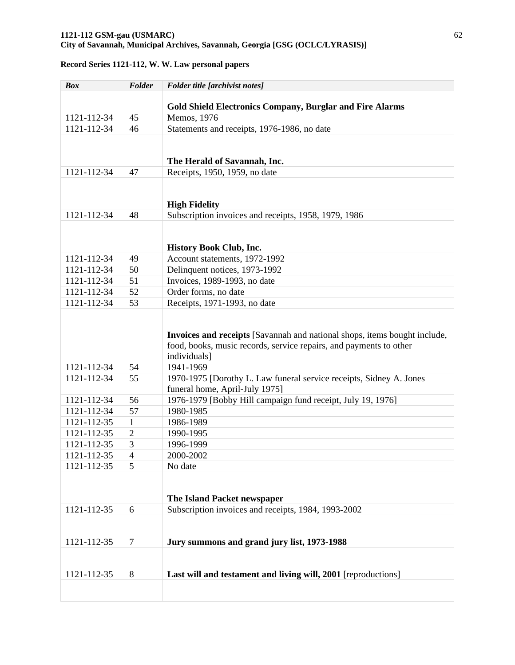| <b>Box</b>                 | Folder         | Folder title [archivist notes]                                                                |
|----------------------------|----------------|-----------------------------------------------------------------------------------------------|
|                            |                |                                                                                               |
|                            |                | <b>Gold Shield Electronics Company, Burglar and Fire Alarms</b>                               |
| 1121-112-34                | 45             | Memos, 1976                                                                                   |
| 1121-112-34                | 46             | Statements and receipts, 1976-1986, no date                                                   |
|                            |                |                                                                                               |
|                            |                |                                                                                               |
|                            |                | The Herald of Savannah, Inc.                                                                  |
| 1121-112-34                | 47             | Receipts, 1950, 1959, no date                                                                 |
|                            |                |                                                                                               |
|                            |                |                                                                                               |
|                            |                | <b>High Fidelity</b>                                                                          |
| 1121-112-34                | 48             | Subscription invoices and receipts, 1958, 1979, 1986                                          |
|                            |                |                                                                                               |
|                            |                |                                                                                               |
|                            |                | History Book Club, Inc.                                                                       |
| 1121-112-34                | 49             | Account statements, 1972-1992                                                                 |
| 1121-112-34                | 50             | Delinquent notices, 1973-1992                                                                 |
| 1121-112-34                | 51             | Invoices, 1989-1993, no date                                                                  |
| 1121-112-34                | 52             | Order forms, no date                                                                          |
| 1121-112-34                | 53             | Receipts, 1971-1993, no date                                                                  |
|                            |                |                                                                                               |
|                            |                |                                                                                               |
|                            |                | Invoices and receipts [Savannah and national shops, items bought include,                     |
|                            |                | food, books, music records, service repairs, and payments to other                            |
|                            | 54             | individuals]                                                                                  |
| 1121-112-34                |                | 1941-1969                                                                                     |
| 1121-112-34                | 55             | 1970-1975 [Dorothy L. Law funeral service receipts, Sidney A. Jones                           |
| 1121-112-34                | 56             | funeral home, April-July 1975]<br>1976-1979 [Bobby Hill campaign fund receipt, July 19, 1976] |
| 1121-112-34                | 57             | 1980-1985                                                                                     |
| 1121-112-35                | $\mathbf{1}$   | 1986-1989                                                                                     |
|                            | $\overline{2}$ |                                                                                               |
| 1121-112-35<br>1121-112-35 | 3              | 1990-1995                                                                                     |
|                            | $\overline{4}$ | 1996-1999<br>2000-2002                                                                        |
| 1121-112-35                |                |                                                                                               |
| 1121-112-35                | 5              | No date                                                                                       |
|                            |                |                                                                                               |
|                            |                | The Island Packet newspaper                                                                   |
| 1121-112-35                | 6              | Subscription invoices and receipts, 1984, 1993-2002                                           |
|                            |                |                                                                                               |
|                            |                |                                                                                               |
| 1121-112-35                | 7              | Jury summons and grand jury list, 1973-1988                                                   |
|                            |                |                                                                                               |
|                            |                |                                                                                               |
| 1121-112-35                | 8              | Last will and testament and living will, 2001 [reproductions]                                 |
|                            |                |                                                                                               |
|                            |                |                                                                                               |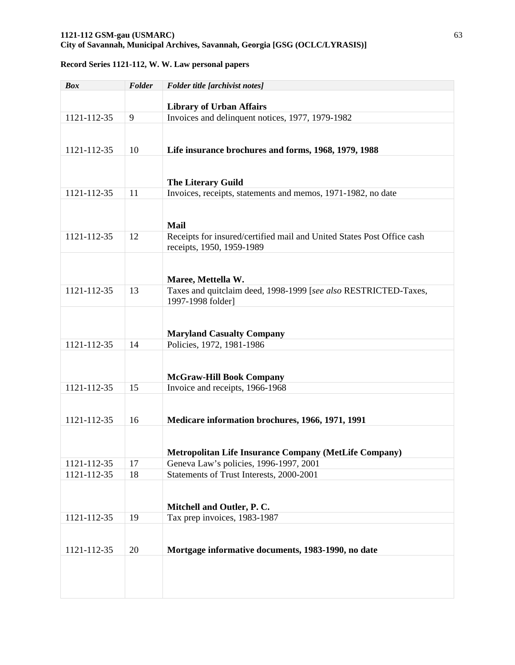| <b>Box</b>  | Folder | Folder title [archivist notes]                                                      |
|-------------|--------|-------------------------------------------------------------------------------------|
|             |        |                                                                                     |
| 1121-112-35 | 9      | <b>Library of Urban Affairs</b><br>Invoices and delinquent notices, 1977, 1979-1982 |
|             |        |                                                                                     |
|             |        |                                                                                     |
| 1121-112-35 | 10     | Life insurance brochures and forms, 1968, 1979, 1988                                |
|             |        |                                                                                     |
|             |        |                                                                                     |
| 1121-112-35 | 11     | The Literary Guild<br>Invoices, receipts, statements and memos, 1971-1982, no date  |
|             |        |                                                                                     |
|             |        |                                                                                     |
|             |        | <b>Mail</b>                                                                         |
| 1121-112-35 | 12     | Receipts for insured/certified mail and United States Post Office cash              |
|             |        | receipts, 1950, 1959-1989                                                           |
|             |        |                                                                                     |
|             |        | Maree, Mettella W.                                                                  |
| 1121-112-35 | 13     | Taxes and quitclaim deed, 1998-1999 [see also RESTRICTED-Taxes,                     |
|             |        | 1997-1998 folder]                                                                   |
|             |        |                                                                                     |
|             |        |                                                                                     |
|             |        | <b>Maryland Casualty Company</b>                                                    |
| 1121-112-35 | 14     | Policies, 1972, 1981-1986                                                           |
|             |        |                                                                                     |
|             |        | <b>McGraw-Hill Book Company</b>                                                     |
| 1121-112-35 | 15     | Invoice and receipts, 1966-1968                                                     |
|             |        |                                                                                     |
|             |        |                                                                                     |
| 1121-112-35 | 16     | Medicare information brochures, 1966, 1971, 1991                                    |
|             |        |                                                                                     |
|             |        | <b>Metropolitan Life Insurance Company (MetLife Company)</b>                        |
| 1121-112-35 | 17     | Geneva Law's policies, 1996-1997, 2001                                              |
| 1121-112-35 | 18     | Statements of Trust Interests, 2000-2001                                            |
|             |        |                                                                                     |
|             |        |                                                                                     |
| 1121-112-35 | 19     | Mitchell and Outler, P. C.<br>Tax prep invoices, 1983-1987                          |
|             |        |                                                                                     |
|             |        |                                                                                     |
| 1121-112-35 | 20     | Mortgage informative documents, 1983-1990, no date                                  |
|             |        |                                                                                     |
|             |        |                                                                                     |
|             |        |                                                                                     |
|             |        |                                                                                     |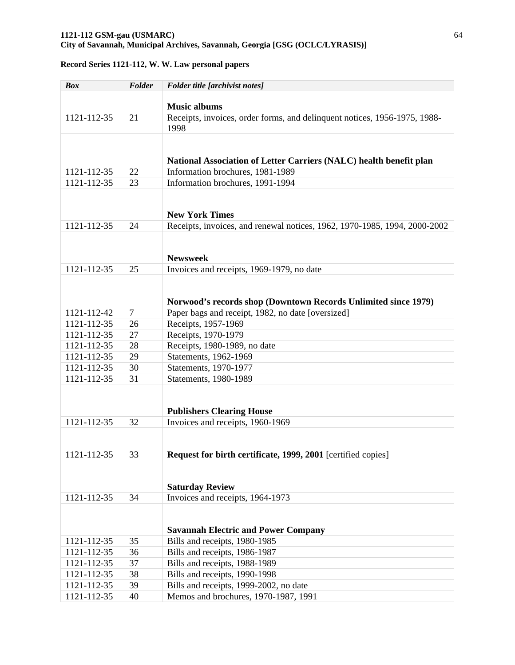| <b>Box</b>  | Folder         | Folder title [archivist notes]                                                    |
|-------------|----------------|-----------------------------------------------------------------------------------|
|             |                |                                                                                   |
|             |                | <b>Music albums</b>                                                               |
| 1121-112-35 | 21             | Receipts, invoices, order forms, and delinquent notices, 1956-1975, 1988-<br>1998 |
|             |                |                                                                                   |
|             |                | National Association of Letter Carriers (NALC) health benefit plan                |
| 1121-112-35 | 22             | Information brochures, 1981-1989                                                  |
| 1121-112-35 | 23             | Information brochures, 1991-1994                                                  |
|             |                |                                                                                   |
|             |                |                                                                                   |
|             |                | <b>New York Times</b>                                                             |
| 1121-112-35 | 24             | Receipts, invoices, and renewal notices, 1962, 1970-1985, 1994, 2000-2002         |
|             |                |                                                                                   |
|             |                |                                                                                   |
|             |                | <b>Newsweek</b>                                                                   |
| 1121-112-35 | 25             | Invoices and receipts, 1969-1979, no date                                         |
|             |                |                                                                                   |
|             |                | Norwood's records shop (Downtown Records Unlimited since 1979)                    |
| 1121-112-42 | $\overline{7}$ | Paper bags and receipt, 1982, no date [oversized]                                 |
| 1121-112-35 | 26             | Receipts, 1957-1969                                                               |
| 1121-112-35 | 27             | Receipts, 1970-1979                                                               |
| 1121-112-35 | 28             | Receipts, 1980-1989, no date                                                      |
| 1121-112-35 | 29             | Statements, 1962-1969                                                             |
| 1121-112-35 | 30             | Statements, 1970-1977                                                             |
| 1121-112-35 | 31             | Statements, 1980-1989                                                             |
|             |                |                                                                                   |
|             |                |                                                                                   |
|             |                | <b>Publishers Clearing House</b>                                                  |
| 1121-112-35 | 32             | Invoices and receipts, 1960-1969                                                  |
|             |                |                                                                                   |
|             |                |                                                                                   |
| 1121-112-35 | 33             | Request for birth certificate, 1999, 2001 [certified copies]                      |
|             |                |                                                                                   |
|             |                |                                                                                   |
|             |                | <b>Saturday Review</b>                                                            |
| 1121-112-35 | 34             | Invoices and receipts, 1964-1973                                                  |
|             |                |                                                                                   |
|             |                | <b>Savannah Electric and Power Company</b>                                        |
| 1121-112-35 | 35             | Bills and receipts, 1980-1985                                                     |
| 1121-112-35 | 36             | Bills and receipts, 1986-1987                                                     |
| 1121-112-35 | 37             | Bills and receipts, 1988-1989                                                     |
| 1121-112-35 | 38             | Bills and receipts, 1990-1998                                                     |
| 1121-112-35 | 39             | Bills and receipts, 1999-2002, no date                                            |
| 1121-112-35 | 40             | Memos and brochures, 1970-1987, 1991                                              |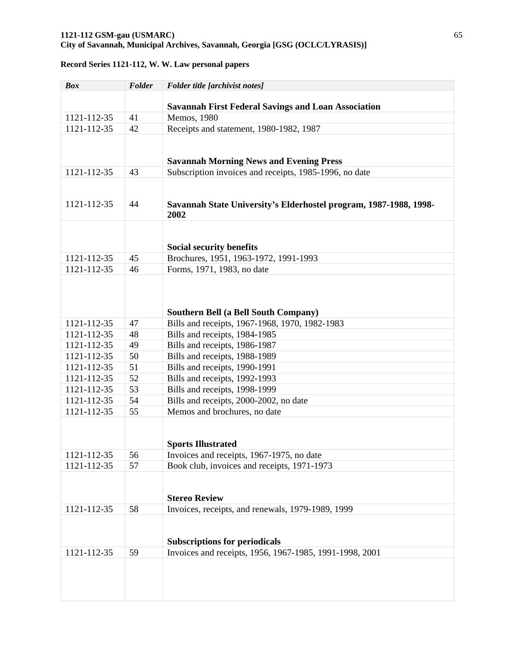| <b>Box</b>  | Folder | Folder title [archivist notes]                                    |
|-------------|--------|-------------------------------------------------------------------|
|             |        |                                                                   |
|             |        | <b>Savannah First Federal Savings and Loan Association</b>        |
| 1121-112-35 | 41     | Memos, 1980                                                       |
| 1121-112-35 | 42     | Receipts and statement, 1980-1982, 1987                           |
|             |        |                                                                   |
|             |        |                                                                   |
|             |        | <b>Savannah Morning News and Evening Press</b>                    |
| 1121-112-35 | 43     | Subscription invoices and receipts, 1985-1996, no date            |
|             |        |                                                                   |
|             |        |                                                                   |
| 1121-112-35 | 44     | Savannah State University's Elderhostel program, 1987-1988, 1998- |
|             |        | 2002                                                              |
|             |        |                                                                   |
|             |        |                                                                   |
|             |        | <b>Social security benefits</b>                                   |
| 1121-112-35 | 45     | Brochures, 1951, 1963-1972, 1991-1993                             |
| 1121-112-35 | 46     | Forms, 1971, 1983, no date                                        |
|             |        |                                                                   |
|             |        |                                                                   |
|             |        | <b>Southern Bell (a Bell South Company)</b>                       |
| 1121-112-35 | 47     | Bills and receipts, 1967-1968, 1970, 1982-1983                    |
| 1121-112-35 | 48     | Bills and receipts, 1984-1985                                     |
| 1121-112-35 | 49     | Bills and receipts, 1986-1987                                     |
| 1121-112-35 | 50     | Bills and receipts, 1988-1989                                     |
| 1121-112-35 | 51     | Bills and receipts, 1990-1991                                     |
| 1121-112-35 | 52     | Bills and receipts, 1992-1993                                     |
| 1121-112-35 | 53     | Bills and receipts, 1998-1999                                     |
| 1121-112-35 | 54     | Bills and receipts, 2000-2002, no date                            |
| 1121-112-35 | 55     | Memos and brochures, no date                                      |
|             |        |                                                                   |
|             |        |                                                                   |
|             |        | <b>Sports Illustrated</b>                                         |
| 1121-112-35 | 56     | Invoices and receipts, 1967-1975, no date                         |
| 1121-112-35 | 57     | Book club, invoices and receipts, 1971-1973                       |
|             |        |                                                                   |
|             |        |                                                                   |
|             |        | <b>Stereo Review</b>                                              |
| 1121-112-35 | 58     | Invoices, receipts, and renewals, 1979-1989, 1999                 |
|             |        |                                                                   |
|             |        |                                                                   |
|             |        | <b>Subscriptions for periodicals</b>                              |
| 1121-112-35 | 59     | Invoices and receipts, 1956, 1967-1985, 1991-1998, 2001           |
|             |        |                                                                   |
|             |        |                                                                   |
|             |        |                                                                   |
|             |        |                                                                   |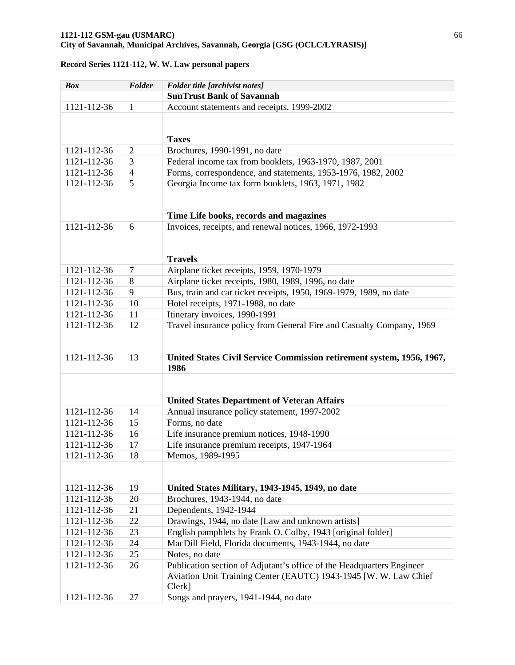# *Box Folder Folder title [archivist notes]*  **SunTrust Bank of Savannah**  1121-112-36  $\vert$  1 Account statements and receipts, 1999-2002 **Taxes**  1121-112-36 2 Brochures, 1990-1991, no date 1121-112-36 3 Federal income tax from booklets, 1963-1970, 1987, 2001 1121-112-36 4 Forms, correspondence, and statements, 1953-1976, 1982, 2002 1121-112-36 5 Georgia Income tax form booklets, 1963, 1971, 1982 **Time Life books, records and magazines**  1121-112-36 6 Invoices, receipts, and renewal notices, 1966, 1972-1993 **Travels**  1121-112-36 7 Airplane ticket receipts, 1959, 1970-1979 1121-112-36 8 Airplane ticket receipts, 1980, 1989, 1996, no date 1121-112-36 9 Bus, train and car ticket receipts, 1950, 1969-1979, 1989, no date 1121-112-36 10 Hotel receipts, 1971-1988, no date 1121-112-36 11 Itinerary invoices, 1990-1991 1121-112-36 12 Travel insurance policy from General Fire and Casualty Company, 1969 1121-112-36 13 **United States Civil Service Commission retirement system, 1956, 1967, 1986 United States Department of Veteran Affairs**  1121-112-36 14 Annual insurance policy statement, 1997-2002 1121-112-36 15 Forms, no date 1121-112-36  $\vert$  16 Life insurance premium notices, 1948-1990 1121-112-36 17 Life insurance premium receipts, 1947-1964 1121-112-36 18 Memos, 1989-1995 1121-112-36 19 **United States Military, 1943-1945, 1949, no date**  1121-112-36 20 Brochures, 1943-1944, no date 1121-112-36 21 Dependents, 1942-1944 1121-112-36  $\big| 22 \big|$  Drawings, 1944, no date [Law and unknown artists] 1121-112-36 23 English pamphlets by Frank O. Colby, 1943 [original folder] 1121-112-36 24 MacDill Field, Florida documents, 1943-1944, no date 1121-112-36 25 Notes, no date 1121-112-36 26 Publication section of Adjutant's office of the Headquarters Engineer Aviation Unit Training Center (EAUTC) 1943-1945 [W. W. Law Chief Clerk]

1121-112-36 27 Songs and prayers, 1941-1944, no date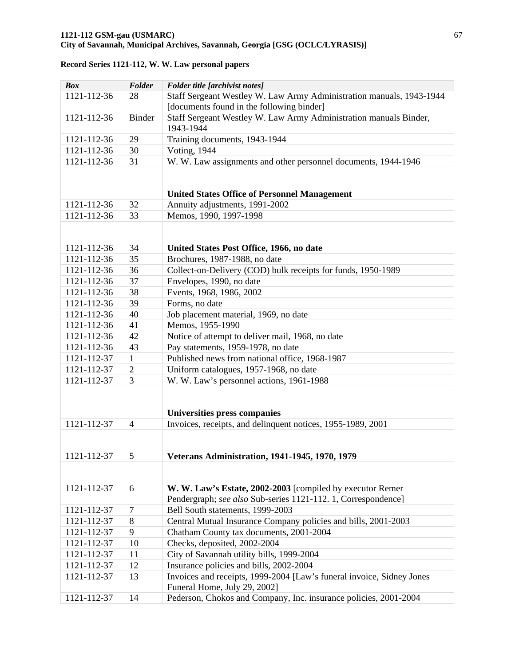| <b>Box</b>  | Folder         | Folder title [archivist notes]                                                                        |
|-------------|----------------|-------------------------------------------------------------------------------------------------------|
| 1121-112-36 | 28             | Staff Sergeant Westley W. Law Army Administration manuals, 1943-1944                                  |
|             |                | [documents found in the following binder]                                                             |
| 1121-112-36 | <b>Binder</b>  | Staff Sergeant Westley W. Law Army Administration manuals Binder,                                     |
|             |                | 1943-1944                                                                                             |
| 1121-112-36 | 29             | Training documents, 1943-1944                                                                         |
| 1121-112-36 | 30             | <b>Voting</b> , 1944                                                                                  |
| 1121-112-36 | 31             | W. W. Law assignments and other personnel documents, 1944-1946                                        |
|             |                |                                                                                                       |
|             |                |                                                                                                       |
|             |                | <b>United States Office of Personnel Management</b>                                                   |
| 1121-112-36 | 32             | Annuity adjustments, 1991-2002                                                                        |
| 1121-112-36 | 33             | Memos, 1990, 1997-1998                                                                                |
|             |                |                                                                                                       |
|             |                |                                                                                                       |
| 1121-112-36 | 34             | United States Post Office, 1966, no date                                                              |
| 1121-112-36 | 35             | Brochures, 1987-1988, no date                                                                         |
| 1121-112-36 | 36             | Collect-on-Delivery (COD) bulk receipts for funds, 1950-1989                                          |
| 1121-112-36 | 37             | Envelopes, 1990, no date                                                                              |
| 1121-112-36 | 38             | Events, 1968, 1986, 2002                                                                              |
| 1121-112-36 | 39             | Forms, no date                                                                                        |
| 1121-112-36 | 40             | Job placement material, 1969, no date                                                                 |
| 1121-112-36 | 41             | Memos, 1955-1990                                                                                      |
| 1121-112-36 | 42             | Notice of attempt to deliver mail, 1968, no date                                                      |
| 1121-112-36 | 43             | Pay statements, 1959-1978, no date                                                                    |
| 1121-112-37 | $\mathbf{1}$   | Published news from national office, 1968-1987                                                        |
| 1121-112-37 | $\overline{2}$ | Uniform catalogues, 1957-1968, no date                                                                |
| 1121-112-37 | 3              | W. W. Law's personnel actions, 1961-1988                                                              |
|             |                |                                                                                                       |
|             |                |                                                                                                       |
|             |                | Universities press companies                                                                          |
| 1121-112-37 | $\overline{4}$ | Invoices, receipts, and delinquent notices, 1955-1989, 2001                                           |
|             |                |                                                                                                       |
|             |                |                                                                                                       |
| 1121-112-37 | 5              | <b>Veterans Administration, 1941-1945, 1970, 1979</b>                                                 |
|             |                |                                                                                                       |
|             |                |                                                                                                       |
| 1121-112-37 | 6              | W. W. Law's Estate, 2002-2003 [compiled by executor Remer                                             |
|             |                | Pendergraph; see also Sub-series 1121-112. 1, Correspondence]                                         |
| 1121-112-37 | $\overline{7}$ | Bell South statements, 1999-2003                                                                      |
| 1121-112-37 | 8              | Central Mutual Insurance Company policies and bills, 2001-2003                                        |
| 1121-112-37 | 9              | Chatham County tax documents, 2001-2004                                                               |
| 1121-112-37 | 10             | Checks, deposited, 2002-2004                                                                          |
| 1121-112-37 | 11             | City of Savannah utility bills, 1999-2004                                                             |
| 1121-112-37 | 12             | Insurance policies and bills, 2002-2004                                                               |
| 1121-112-37 | 13             | Invoices and receipts, 1999-2004 [Law's funeral invoice, Sidney Jones<br>Funeral Home, July 29, 2002] |
| 1121-112-37 | 14             | Pederson, Chokos and Company, Inc. insurance policies, 2001-2004                                      |
|             |                |                                                                                                       |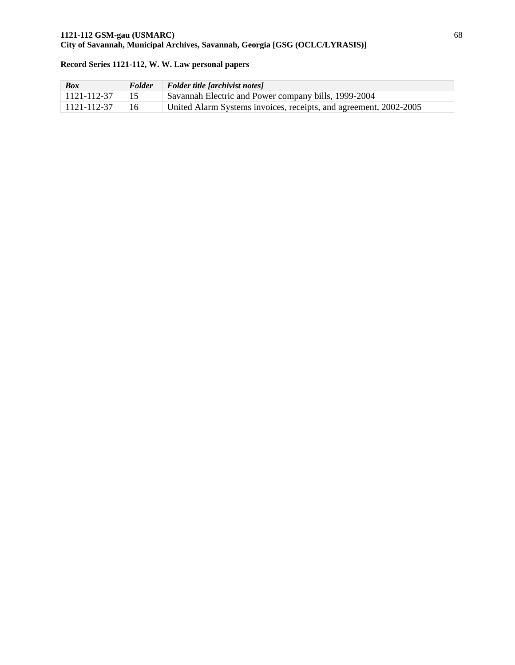| <b>Box</b>  | <b>Folder</b> | $\mid$ Folder title [archivist notes]                             |
|-------------|---------------|-------------------------------------------------------------------|
| 1121-112-37 |               | Savannah Electric and Power company bills, 1999-2004              |
| 1121-112-37 | 16            | United Alarm Systems invoices, receipts, and agreement, 2002-2005 |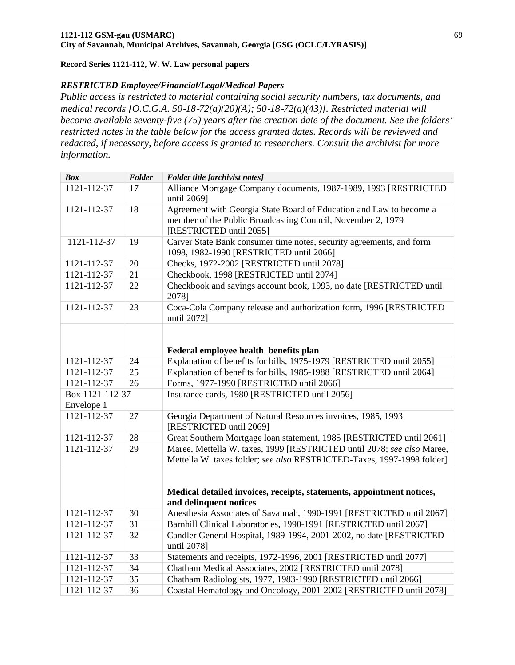#### *RESTRICTED Employee/Financial/Legal/Medical Papers*

*Public access is restricted to material containing social security numbers, tax documents, and medical records [O.C.G.A. 50*‐*18*‐*72(a)(20)(A); 50*‐*18*‐*72(a)(43)]. Restricted material will become available seventy-five (75) years after the creation date of the document. See the folders' restricted notes in the table below for the access granted dates. Records will be reviewed and redacted, if necessary, before access is granted to researchers. Consult the archivist for more information.* 

| <b>Box</b>                    | Folder | Folder title [archivist notes]                                                                                                                                |
|-------------------------------|--------|---------------------------------------------------------------------------------------------------------------------------------------------------------------|
| 1121-112-37                   | 17     | Alliance Mortgage Company documents, 1987-1989, 1993 [RESTRICTED<br>until 2069]                                                                               |
| 1121-112-37                   | 18     | Agreement with Georgia State Board of Education and Law to become a<br>member of the Public Broadcasting Council, November 2, 1979<br>[RESTRICTED until 2055] |
| 1121-112-37                   | 19     | Carver State Bank consumer time notes, security agreements, and form<br>1098, 1982-1990 [RESTRICTED until 2066]                                               |
| 1121-112-37                   | 20     | Checks, 1972-2002 [RESTRICTED until 2078]                                                                                                                     |
| 1121-112-37                   | 21     | Checkbook, 1998 [RESTRICTED until 2074]                                                                                                                       |
| 1121-112-37                   | 22     | Checkbook and savings account book, 1993, no date [RESTRICTED until<br>2078]                                                                                  |
| 1121-112-37                   | 23     | Coca-Cola Company release and authorization form, 1996 [RESTRICTED<br>until 2072]                                                                             |
|                               |        | Federal employee health benefits plan                                                                                                                         |
| 1121-112-37                   | 24     | Explanation of benefits for bills, 1975-1979 [RESTRICTED until 2055]                                                                                          |
| 1121-112-37                   | 25     | Explanation of benefits for bills, 1985-1988 [RESTRICTED until 2064]                                                                                          |
| 1121-112-37                   | 26     | Forms, 1977-1990 [RESTRICTED until 2066]                                                                                                                      |
| Box 1121-112-37<br>Envelope 1 |        | Insurance cards, 1980 [RESTRICTED until 2056]                                                                                                                 |
| 1121-112-37                   | 27     | Georgia Department of Natural Resources invoices, 1985, 1993<br>[RESTRICTED until 2069]                                                                       |
| 1121-112-37                   | 28     | Great Southern Mortgage loan statement, 1985 [RESTRICTED until 2061]                                                                                          |
| 1121-112-37                   | 29     | Maree, Mettella W. taxes, 1999 [RESTRICTED until 2078; see also Maree,<br>Mettella W. taxes folder; see also RESTRICTED-Taxes, 1997-1998 folder]              |
|                               |        | Medical detailed invoices, receipts, statements, appointment notices,<br>and delinquent notices                                                               |
| 1121-112-37                   | 30     | Anesthesia Associates of Savannah, 1990-1991 [RESTRICTED until 2067]                                                                                          |
| 1121-112-37                   | 31     | Barnhill Clinical Laboratories, 1990-1991 [RESTRICTED until 2067]                                                                                             |
| 1121-112-37                   | 32     | Candler General Hospital, 1989-1994, 2001-2002, no date [RESTRICTED]<br>until 2078]                                                                           |
| 1121-112-37                   | 33     | Statements and receipts, 1972-1996, 2001 [RESTRICTED until 2077]                                                                                              |
| 1121-112-37                   | 34     | Chatham Medical Associates, 2002 [RESTRICTED until 2078]                                                                                                      |
| 1121-112-37                   | 35     | Chatham Radiologists, 1977, 1983-1990 [RESTRICTED until 2066]                                                                                                 |
| 1121-112-37                   | 36     | Coastal Hematology and Oncology, 2001-2002 [RESTRICTED until 2078]                                                                                            |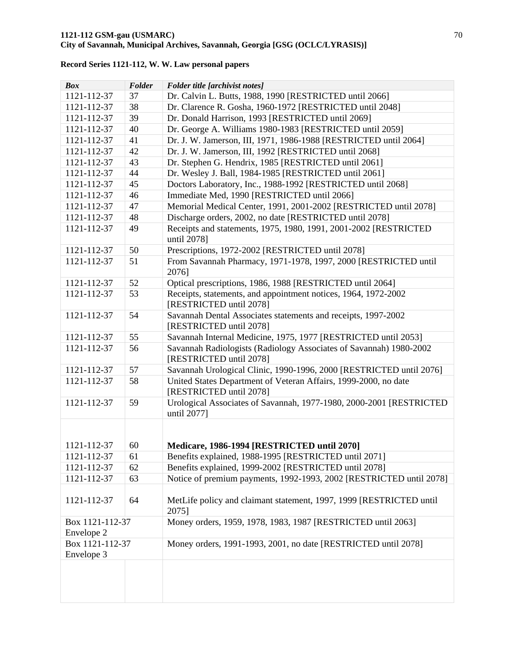| <b>Box</b>                    | Folder | Folder title [archivist notes]                                                                |
|-------------------------------|--------|-----------------------------------------------------------------------------------------------|
| 1121-112-37                   | 37     | Dr. Calvin L. Butts, 1988, 1990 [RESTRICTED until 2066]                                       |
| 1121-112-37                   | 38     | Dr. Clarence R. Gosha, 1960-1972 [RESTRICTED until 2048]                                      |
| 1121-112-37                   | 39     | Dr. Donald Harrison, 1993 [RESTRICTED until 2069]                                             |
| 1121-112-37                   | 40     | Dr. George A. Williams 1980-1983 [RESTRICTED until 2059]                                      |
| 1121-112-37                   | 41     | Dr. J. W. Jamerson, III, 1971, 1986-1988 [RESTRICTED until 2064]                              |
| 1121-112-37                   | 42     | Dr. J. W. Jamerson, III, 1992 [RESTRICTED until 2068]                                         |
| 1121-112-37                   | 43     | Dr. Stephen G. Hendrix, 1985 [RESTRICTED until 2061]                                          |
| 1121-112-37                   | 44     | Dr. Wesley J. Ball, 1984-1985 [RESTRICTED until 2061]                                         |
| 1121-112-37                   | 45     | Doctors Laboratory, Inc., 1988-1992 [RESTRICTED until 2068]                                   |
| 1121-112-37                   | 46     | Immediate Med, 1990 [RESTRICTED until 2066]                                                   |
| 1121-112-37                   | 47     | Memorial Medical Center, 1991, 2001-2002 [RESTRICTED until 2078]                              |
| 1121-112-37                   | 48     | Discharge orders, 2002, no date [RESTRICTED until 2078]                                       |
| 1121-112-37                   | 49     | Receipts and statements, 1975, 1980, 1991, 2001-2002 [RESTRICTED<br>until 2078]               |
| 1121-112-37                   | 50     | Prescriptions, 1972-2002 [RESTRICTED until 2078]                                              |
| 1121-112-37                   | 51     | From Savannah Pharmacy, 1971-1978, 1997, 2000 [RESTRICTED until<br>2076]                      |
| 1121-112-37                   | 52     | Optical prescriptions, 1986, 1988 [RESTRICTED until 2064]                                     |
| 1121-112-37                   | 53     | Receipts, statements, and appointment notices, 1964, 1972-2002<br>[RESTRICTED until 2078]     |
| 1121-112-37                   | 54     | Savannah Dental Associates statements and receipts, 1997-2002<br>[RESTRICTED until 2078]      |
| 1121-112-37                   | 55     | Savannah Internal Medicine, 1975, 1977 [RESTRICTED until 2053]                                |
| 1121-112-37                   | 56     | Savannah Radiologists (Radiology Associates of Savannah) 1980-2002<br>[RESTRICTED until 2078] |
| 1121-112-37                   | 57     | Savannah Urological Clinic, 1990-1996, 2000 [RESTRICTED until 2076]                           |
| 1121-112-37                   | 58     | United States Department of Veteran Affairs, 1999-2000, no date<br>[RESTRICTED until 2078]    |
| 1121-112-37                   | 59     | Urological Associates of Savannah, 1977-1980, 2000-2001 [RESTRICTED<br>until 2077]            |
| 1121-112-37                   | 60     | Medicare, 1986-1994 [RESTRICTED until 2070]                                                   |
| 1121-112-37                   | 61     | Benefits explained, 1988-1995 [RESTRICTED until 2071]                                         |
| 1121-112-37                   | 62     | Benefits explained, 1999-2002 [RESTRICTED until 2078]                                         |
| 1121-112-37                   | 63     | Notice of premium payments, 1992-1993, 2002 [RESTRICTED until 2078]                           |
|                               |        |                                                                                               |
| 1121-112-37                   | 64     | MetLife policy and claimant statement, 1997, 1999 [RESTRICTED until<br>2075]                  |
| Box 1121-112-37<br>Envelope 2 |        | Money orders, 1959, 1978, 1983, 1987 [RESTRICTED until 2063]                                  |
| Box 1121-112-37               |        | Money orders, 1991-1993, 2001, no date [RESTRICTED until 2078]                                |
| Envelope 3                    |        |                                                                                               |
|                               |        |                                                                                               |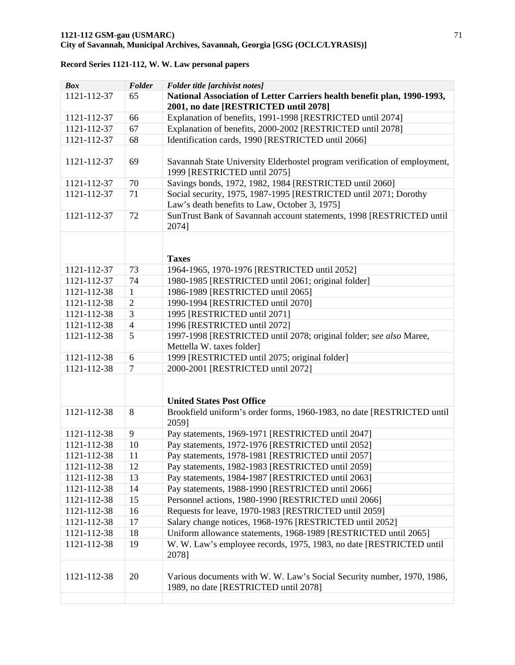| <b>Box</b>  | Folder         | Folder title [archivist notes]                                                                                    |
|-------------|----------------|-------------------------------------------------------------------------------------------------------------------|
| 1121-112-37 | 65             | National Association of Letter Carriers health benefit plan, 1990-1993,<br>2001, no date [RESTRICTED until 2078]  |
| 1121-112-37 | 66             | Explanation of benefits, 1991-1998 [RESTRICTED until 2074]                                                        |
| 1121-112-37 | 67             | Explanation of benefits, 2000-2002 [RESTRICTED until 2078]                                                        |
| 1121-112-37 | 68             | Identification cards, 1990 [RESTRICTED until 2066]                                                                |
|             |                |                                                                                                                   |
| 1121-112-37 | 69             | Savannah State University Elderhostel program verification of employment,<br>1999 [RESTRICTED until 2075]         |
| 1121-112-37 | 70             | Savings bonds, 1972, 1982, 1984 [RESTRICTED until 2060]                                                           |
| 1121-112-37 | 71             | Social security, 1975, 1987-1995 [RESTRICTED until 2071; Dorothy<br>Law's death benefits to Law, October 3, 1975] |
| 1121-112-37 | 72             | SunTrust Bank of Savannah account statements, 1998 [RESTRICTED until<br>2074]                                     |
|             |                |                                                                                                                   |
|             |                | <b>Taxes</b>                                                                                                      |
| 1121-112-37 | 73             | 1964-1965, 1970-1976 [RESTRICTED until 2052]                                                                      |
| 1121-112-37 | 74             | 1980-1985 [RESTRICTED until 2061; original folder]                                                                |
| 1121-112-38 | $\mathbf{1}$   | 1986-1989 [RESTRICTED until 2065]                                                                                 |
| 1121-112-38 | $\overline{2}$ | 1990-1994 [RESTRICTED until 2070]                                                                                 |
| 1121-112-38 | 3              | 1995 [RESTRICTED until 2071]                                                                                      |
| 1121-112-38 | $\overline{4}$ | 1996 [RESTRICTED until 2072]                                                                                      |
| 1121-112-38 | 5              | 1997-1998 [RESTRICTED until 2078; original folder; see also Maree,                                                |
|             |                | Mettella W. taxes folder]                                                                                         |
| 1121-112-38 | 6              | 1999 [RESTRICTED until 2075; original folder]                                                                     |
| 1121-112-38 | 7              | 2000-2001 [RESTRICTED until 2072]                                                                                 |
|             |                | <b>United States Post Office</b>                                                                                  |
| 1121-112-38 | 8              | Brookfield uniform's order forms, 1960-1983, no date [RESTRICTED until                                            |
|             |                | 2059]                                                                                                             |
| 1121-112-38 | 9              | Pay statements, 1969-1971 [RESTRICTED until 2047]                                                                 |
| 1121-112-38 | 10             | Pay statements, 1972-1976 [RESTRICTED until 2052]                                                                 |
| 1121-112-38 | 11             | Pay statements, 1978-1981 [RESTRICTED until 2057]                                                                 |
| 1121-112-38 | 12             | Pay statements, 1982-1983 [RESTRICTED until 2059]                                                                 |
| 1121-112-38 | 13             | Pay statements, 1984-1987 [RESTRICTED until 2063]                                                                 |
| 1121-112-38 | 14             | Pay statements, 1988-1990 [RESTRICTED until 2066]                                                                 |
| 1121-112-38 | 15             | Personnel actions, 1980-1990 [RESTRICTED until 2066]                                                              |
| 1121-112-38 | 16             | Requests for leave, 1970-1983 [RESTRICTED until 2059]                                                             |
| 1121-112-38 | 17             | Salary change notices, 1968-1976 [RESTRICTED until 2052]                                                          |
| 1121-112-38 | 18             | Uniform allowance statements, 1968-1989 [RESTRICTED until 2065]                                                   |
| 1121-112-38 | 19             | W. W. Law's employee records, 1975, 1983, no date [RESTRICTED until<br>2078]                                      |
| 1121-112-38 | 20             | Various documents with W. W. Law's Social Security number, 1970, 1986,<br>1989, no date [RESTRICTED until 2078]   |